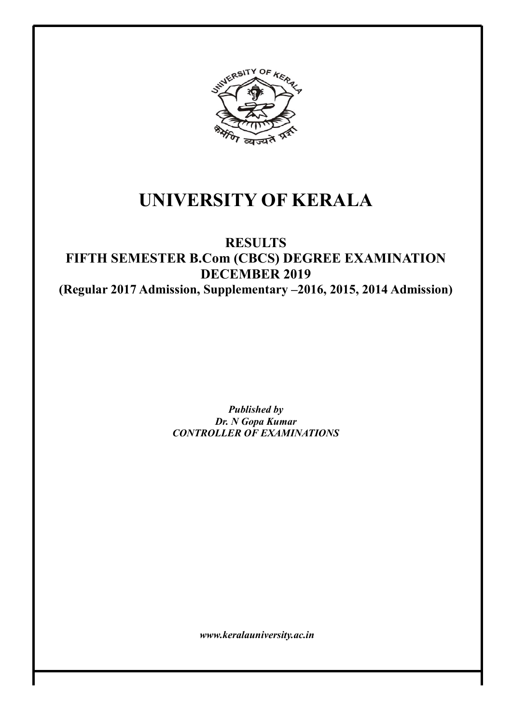

# UNIVERSITY OF KERALA

# RESULTS FIFTH SEMESTER B.Com (CBCS) DEGREE EXAMINATION DECEMBER 2019 (Regular 2017 Admission, Supplementary –2016, 2015, 2014 Admission)

Published by Dr. N Gopa Kumar CONTROLLER OF EXAMINATIONS

www.keralauniversity.ac.in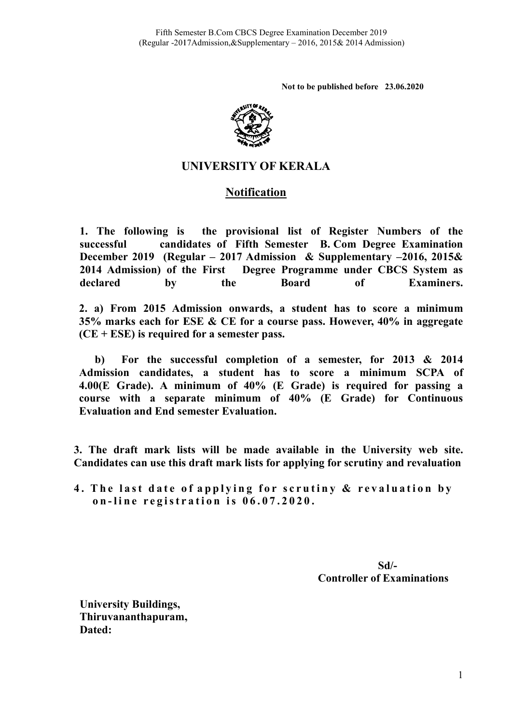Not to be published before 23.06.2020



# UNIVERSITY OF KERALA

# Notification

1. The following is successful candidates of Fifth Semester B. Com Degree Examination December 2019 (Regular – 2017 Admission & Supplementary –2016, 2015& 2014 Admission) of the declared by the Board the provisional list of Register Numbers of the the First Degree Programme under CBCS System as Board of Examiners. Examiners.

2. a) From 2015 Admission onwards, a student has to score a minimum 35% marks each for ESE & CE for a course pass. However, 40% in aggregate (CE + ESE) is required for a semester pass.<br>b) For the successful completion of 35% marks each for ESE & CE for a course pass. However, 40% 40% in aggregate  $(CE + ESE)$  is required for a semester pass.

b) For the successful completion of a semester, for 2013 & 2014 Admission candidates, a student has to score a minimum SCPA of 4.00(E Grade). A minimum of 40% (E Grade) is required for passing a Evaluation and End semester Evaluation.

course with a separate minimum of 40% (E Grade) for Continuous<br>Evaluation and End semester Evaluation.<br>. The draft mark lists will be made available in the University web site.<br>. The draft mark lists will be made available 3. The draft mark lists will be made available in the University web site. Candidates can use this draft mark lists for applying for scrutiny and revaluation

4. The last date of applying for scrutiny & revaluation by on-line registration is  $06.07.2020$ .

> Controller of Examinations Sd/-

University Buildings, Thiruvananthapuram, Dated: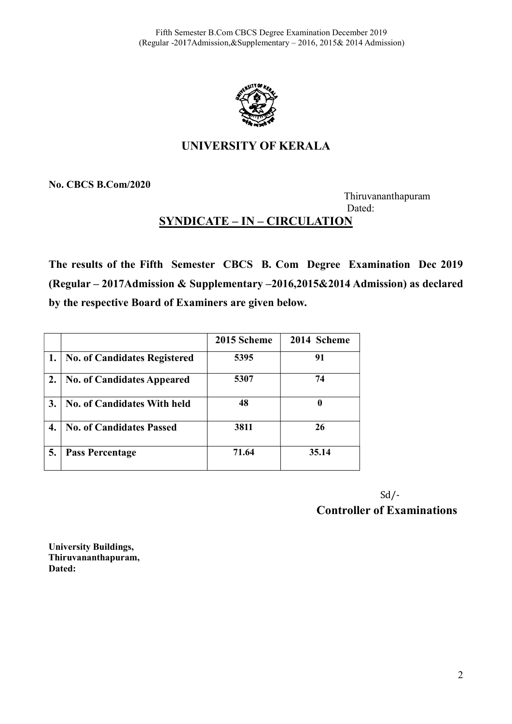

# UNIVERSITY OF KERALA

No. CBCS B.Com/2020

 Thiruvananthapuram Dated: Dated:

# SYNDICATE – IN – CIRCULATION

The results of the Fifth Semester CBCS B. Com Degree Examination Dec 2019 (Regular – 2017Admission & Supplementary –2016,2015&2014 Admission) as declared by the respective Board of Examiners are given below.

|                  |                                     | 2015 Scheme | 2014 Scheme |
|------------------|-------------------------------------|-------------|-------------|
| 1.               | <b>No. of Candidates Registered</b> | 5395        | 91          |
| $\overline{2}$ . | <b>No. of Candidates Appeared</b>   | 5307        | 74          |
| 3.               | <b>No. of Candidates With held</b>  | 48          | 0           |
| 4.               | <b>No. of Candidates Passed</b>     | 3811        | 26          |
| 5.               | <b>Pass Percentage</b>              | 71.64       | 35.14       |

Controller of Examinations Sd/-

 University Buildings, Thiruvananthapuram, Dated: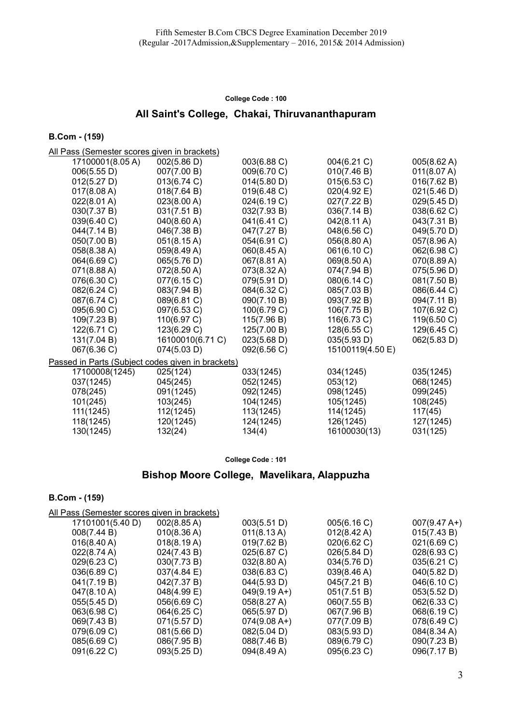### All Saint's College, Chakai, Thiruvananthapuram

B.Com - (159)

| All Pass (Semester scores given in brackets)      |                  |             |                       |             |
|---------------------------------------------------|------------------|-------------|-----------------------|-------------|
| 17100001(8.05A)                                   | 002(5.86 D)      | 003(6.88 C) | 004(6.21 C)           | 005(8.62 A) |
| 006(5.55 D)                                       | 007(7.00 B)      | 009(6.70 C) | 010(7.46 B)           | 011(8.07 A) |
| 012(5.27 D)                                       | 013(6.74 C)      | 014(5.80 D) | 015(6.53 C)           | 016(7.62 B) |
| 017(8.08 A)                                       | 018(7.64 B)      | 019(6.48 C) | 020(4.92 E)           | 021(5.46 D) |
| 022(8.01 A)                                       | 023(8.00 A)      | 024(6.19 C) | 027(7.22 B)           | 029(5.45 D) |
| 030(7.37 B)                                       | 031(7.51 B)      | 032(7.93 B) | 036(7.14 B)           | 038(6.62 C) |
| 039(6.40 C)                                       | 040(8.60 A)      | 041(6.41 C) | $042(8.11 \text{ A})$ | 043(7.31 B) |
| 044(7.14 B)                                       | 046(7.38 B)      | 047(7.27 B) | 048(6.56 C)           | 049(5.70 D) |
| 050(7.00 B)                                       | 051(8.15 A)      | 054(6.91 C) | 056(8.80 A)           | 057(8.96 A) |
| 058(8.38 A)                                       | 059(8.49 A)      | 060(8.45 A) | 061(6.10 C)           | 062(6.98 C) |
| 064(6.69 C)                                       | 065(5.76 D)      | 067(8.81 A) | 069(8.50 A)           | 070(8.89 A) |
| 071(8.88 A)                                       | 072(8.50 A)      | 073(8.32 A) | 074(7.94 B)           | 075(5.96 D) |
| 076(6.30 C)                                       | 077(6.15 C)      | 079(5.91 D) | 080(6.14 C)           | 081(7.50 B) |
| 082(6.24 C)                                       | 083(7.94 B)      | 084(6.32 C) | 085(7.03 B)           | 086(6.44 C) |
| 087(6.74 C)                                       | 089(6.81 C)      | 090(7.10 B) | 093(7.92 B)           | 094(7.11 B) |
| 095(6.90 C)                                       | 097(6.53 C)      | 100(6.79 C) | 106(7.75 B)           | 107(6.92 C) |
| 109(7.23 B)                                       | 110(6.97 C)      | 115(7.96 B) | 116(6.73 C)           | 119(6.50 C) |
| 122(6.71 C)                                       | 123(6.29 C)      | 125(7.00 B) | 128(6.55 C)           | 129(6.45 C) |
| 131(7.04 B)                                       | 16100010(6.71 C) | 023(5.68 D) | 035(5.93 D)           | 062(5.83 D) |
| 067(6.36 C)                                       | 074(5.03 D)      | 092(6.56 C) | 15100119(4.50 E)      |             |
| Passed in Parts (Subject codes given in brackets) |                  |             |                       |             |
| 17100008(1245)                                    | 025(124)         | 033(1245)   | 034(1245)             | 035(1245)   |
| 037(1245)                                         | 045(245)         | 052(1245)   | 053(12)               | 068(1245)   |
| 078(245)                                          | 091(1245)        | 092(1245)   | 098(1245)             | 099(245)    |
| 101(245)                                          | 103(245)         | 104(1245)   | 105(1245)             | 108(245)    |
| 111(1245)                                         | 112(1245)        | 113(1245)   | 114(1245)             | 117(45)     |
| 118(1245)                                         | 120(1245)        | 124(1245)   | 126(1245)             | 127(1245)   |
| 130(1245)                                         | 132(24)          | 134(4)      | 16100030(13)          | 031(125)    |

College Code : 101

### Bishop Moore College, Mavelikara, Alappuzha

| All Pass (Semester scores given in brackets) |                       |                       |                        |  |  |
|----------------------------------------------|-----------------------|-----------------------|------------------------|--|--|
| $002(8.85 \text{ A})$                        | 003(5.51 D)           | 005(6.16 C)           | $007(9.47 \text{ A+})$ |  |  |
| 010(8.36 A)                                  | $011(8.13 \text{ A})$ | $012(8.42 \text{ A})$ | 015(7.43 B)            |  |  |
| 018(8.19 A)                                  | 019(7.62 B)           | 020(6.62 C)           | 021(6.69 C)            |  |  |
| 024(7.43 B)                                  | 025(6.87 C)           | $026(5.84 \text{ D})$ | 028(6.93 C)            |  |  |
| 030(7.73 B)                                  | $032(8.80 \text{ A})$ | 034(5.76 D)           | 035(6.21 C)            |  |  |
| 037(4.84 E)                                  | 038(6.83 C)           | 039(8.46 A)           | 040(5.82 D)            |  |  |
| 042(7.37 B)                                  | 044(5.93 D)           | 045(7.21 B)           | 046(6.10 C)            |  |  |
| 048(4.99 E)                                  | $049(9.19 A+)$        | 051(7.51 B)           | 053(5.52 D)            |  |  |
| 056(6.69 C)                                  | 058(8.27 A)           | 060(7.55 B)           | 062(6.33 C)            |  |  |
| 064(6.25 C)                                  | 065(5.97 D)           | 067(7.96 B)           | 068(6.19 C)            |  |  |
| 071(5.57 D)                                  | $074(9.08 A+)$        | 077(7.09 B)           | 078(6.49 C)            |  |  |
| 081(5.66 D)                                  | 082(5.04 D)           | 083(5.93 D)           | 084(8.34 A)            |  |  |
| 086(7.95 B)                                  | 088(7.46 B)           | 089(6.79 C)           | 090(7.23 B)            |  |  |
| 093(5.25 D)                                  | 094(8.49 A)           | 095(6.23 C)           | 096(7.17 B)            |  |  |
|                                              |                       |                       |                        |  |  |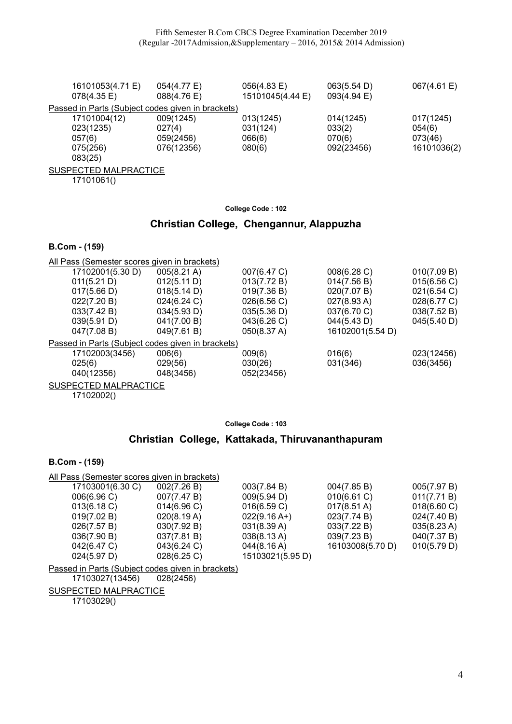| 16101053(4.71 E)<br>$078(4.35 \text{ E})$         | 054(4.77 E)<br>088(4.76 E) | 056(4.83 E)<br>15101045(4.44 E) | 063(5.54 D)<br>093(4.94 E) | 067(4.61 E) |  |  |
|---------------------------------------------------|----------------------------|---------------------------------|----------------------------|-------------|--|--|
| Passed in Parts (Subject codes given in brackets) |                            |                                 |                            |             |  |  |
| 17101004(12)                                      | 009(1245)                  | 013(1245)                       | 014(1245)                  | 017(1245)   |  |  |
| 023(1235)                                         | 027(4)                     | 031(124)                        | 033(2)                     | 054(6)      |  |  |
| 057(6)                                            | 059(2456)                  | 066(6)                          | 070(6)                     | 073(46)     |  |  |
| 075(256)                                          | 076(12356)                 | 080(6)                          | 092(23456)                 | 16101036(2) |  |  |
| 083(25)                                           |                            |                                 |                            |             |  |  |
| SUSPECTED MALPRACTICE                             |                            |                                 |                            |             |  |  |

17101061()

College Code : 102

# Christian College, Chengannur, Alappuzha

#### B.Com - (159)

|        |                  | All Pass (Semester scores given in brackets)      |             |                  |             |
|--------|------------------|---------------------------------------------------|-------------|------------------|-------------|
|        | 17102001(5.30 D) | $005(8.21 \text{ A})$                             | 007(6.47 C) | 008(6.28 C)      | 010(7.09 B) |
|        | 011(5.21 D)      | 012(5.11 D)                                       | 013(7.72 B) | 014(7.56 B)      | 015(6.56 C) |
|        | 017(5.66 D)      | 018(5.14 D)                                       | 019(7.36 B) | 020(7.07 B)      | 021(6.54 C) |
|        | 022(7.20 B)      | 024(6.24 C)                                       | 026(6.56 C) | 027(8.93 A)      | 028(6.77 C) |
|        | 033(7.42 B)      | 034(5.93 D)                                       | 035(5.36 D) | 037(6.70 C)      | 038(7.52 B) |
|        | 039(5.91 D)      | 041(7.00 B)                                       | 043(6.26 C) | 044(5.43 D)      | 045(5.40 D) |
|        | 047(7.08 B)      | 049(7.61 B)                                       | 050(8.37 A) | 16102001(5.54 D) |             |
|        |                  | Passed in Parts (Subject codes given in brackets) |             |                  |             |
|        | 17102003(3456)   | 006(6)                                            | 009(6)      | 016(6)           | 023(12456)  |
| 025(6) |                  | 029(56)                                           | 030(26)     | 031(346)         | 036(3456)   |
|        | 040(12356)       | 048(3456)                                         | 052(23456)  |                  |             |

SUSPECTED MALPRACTICE

17102002()

### College Code : 103

# Christian College, Kattakada, Thiruvananthapuram

#### B.Com - (159)

| All Pass (Semester scores given in brackets) |             |                       |                       |                       |  |
|----------------------------------------------|-------------|-----------------------|-----------------------|-----------------------|--|
| 17103001(6.30 C)                             | 002(7.26 B) | 003(7.84 B)           | 004(7.85 B)           | 005(7.97 B)           |  |
| 006(6.96)                                    | 007(7.47 B) | 009(5.94 D)           | 010(6.61 C)           | 011(7.71 B)           |  |
| 013(6.18 C)                                  | 014(6.96)   | 016(6.59 C)           | $017(8.51 \text{ A})$ | 018(6.60 C)           |  |
| 019(7.02 B)                                  | 020(8.19 A) | $022(9.16 A+)$        | 023(7.74 B)           | 024(7.40 B)           |  |
| 026(7.57 B)                                  | 030(7.92 B) | 031(8.39 A)           | 033(7.22 B)           | $035(8.23 \text{ A})$ |  |
| 036(7.90 B)                                  | 037(7.81 B) | $038(8.13 \text{ A})$ | 039(7.23 B)           | 040(7.37 B)           |  |
| 042(6.47 C)                                  | 043(6.24 C) | 044(8.16 A)           | 16103008(5.70 D)      | 010(5.79 D)           |  |
| 024(5.97 D)                                  | 028(6.25)   | 15103021(5.95 D)      |                       |                       |  |
|                                              |             |                       |                       |                       |  |

Passed in Parts (Subject codes given in brackets)<br>17103027(13456) 028(2456)

17103027(13456)

SUSPECTED MALPRACTICE

17103029()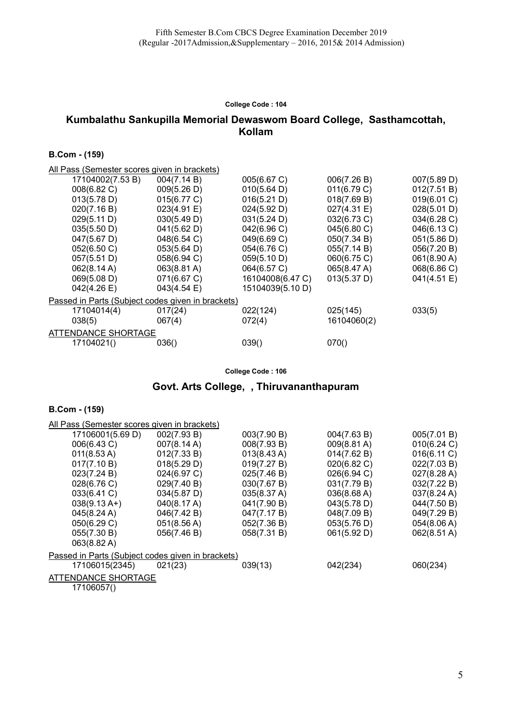# Kumbalathu Sankupilla Memorial Dewaswom Board College, Sasthamcottah, Kollam

#### B.Com - (159)

| All Pass (Semester scores given in brackets)      |             |                  |             |             |
|---------------------------------------------------|-------------|------------------|-------------|-------------|
| 17104002(7.53 B)                                  | 004(7.14 B) | 005(6.67 C)      | 006(7.26 B) | 007(5.89 D) |
| 008(6.82 C)                                       | 009(5.26 D) | 010(5.64 D)      | 011(6.79 C) | 012(7.51 B) |
| 013(5.78 D)                                       | 015(6.77 C) | 016(5.21 D)      | 018(7.69 B) | 019(6.01 C) |
| 020(7.16 B)                                       | 023(4.91 E) | 024(5.92 D)      | 027(4.31 E) | 028(5.01 D) |
| 029(5.11 D)                                       | 030(5.49 D) | 031(5.24 D)      | 032(6.73 C) | 034(6.28 C) |
| 035(5.50 D)                                       | 041(5.62 D) | 042(6.96 C)      | 045(6.80 C) | 046(6.13 C) |
| 047(5.67 D)                                       | 048(6.54 C) | 049(6.69 C)      | 050(7.34 B) | 051(5.86 D) |
| 052(6.50 C)                                       | 053(5.64 D) | 054(6.76 C)      | 055(7.14 B) | 056(7.20 B) |
| 057(5.51 D)                                       | 058(6.94 C) | 059(5.10 D)      | 060(6.75 C) | 061(8.90 A) |
| 062(8.14 A)                                       | 063(8.81 A) | 064(6.57 C)      | 065(8.47 A) | 068(6.86 C) |
| 069(5.08 D)                                       | 071(6.67 C) | 16104008(6.47 C) | 013(5.37 D) | 041(4.51 E) |
| 042(4.26 E)                                       | 043(4.54 E) | 15104039(5.10 D) |             |             |
| Passed in Parts (Subject codes given in brackets) |             |                  |             |             |
| 17104014(4)                                       | 017(24)     | 022(124)         | 025(145)    | 033(5)      |
| 038(5)                                            | 067(4)      | 072(4)           | 16104060(2) |             |
| ATTENDANCE SHORTAGE                               |             |                  |             |             |
| 17104021()                                        | 036()       | 039()            | 070()       |             |
|                                                   |             |                  |             |             |

College Code : 106

### Govt. Arts College, , Thiruvananthapuram

| All Pass (Semester scores given in brackets)      |                       |                       |             |                       |
|---------------------------------------------------|-----------------------|-----------------------|-------------|-----------------------|
| 17106001(5.69 D)                                  | 002(7.93 B)           | 003(7.90 B)           | 004(7.63 B) | 005(7.01 B)           |
| 006(6.43 C)                                       | 007(8.14 A)           | 008(7.93 B)           | 009(8.81 A) | 010(6.24 C)           |
| $011(8.53 \text{ A})$                             | 012(7.33 B)           | $013(8.43 \text{ A})$ | 014(7.62 B) | 016(6.11 C)           |
| 017(7.10 B)                                       | 018(5.29 D)           | 019(7.27 B)           | 020(6.82 C) | 022(7.03 B)           |
| 023(7.24 B)                                       | 024(6.97 C)           | 025(7.46 B)           | 026(6.94 C) | 027(8.28 A)           |
| 028(6.76 C)                                       | 029(7.40 B)           | 030(7.67 B)           | 031(7.79 B) | 032(7.22 B)           |
| 033(6.41 C)                                       | 034(5.87 D)           | 035(8.37 A)           | 036(8.68 A) | $037(8.24 \text{ A})$ |
| $038(9.13 \text{ A+})$                            | 040(8.17 A)           | 041(7.90 B)           | 043(5.78 D) | 044(7.50 B)           |
| 045(8.24 A)                                       | 046(7.42 B)           | 047(7.17 B)           | 048(7.09 B) | 049(7.29 B)           |
| 050(6.29 C)                                       | $051(8.56 \text{ A})$ | 052(7.36 B)           | 053(5.76 D) | 054(8.06 A)           |
| 055(7.30 B)                                       | 056(7.46 B)           | 058(7.31 B)           | 061(5.92 D) | 062(8.51 A)           |
| 063(8.82 A)                                       |                       |                       |             |                       |
| Passed in Parts (Subject codes given in brackets) |                       |                       |             |                       |
| 17106015(2345)                                    | 021(23)               | 039(13)               | 042(234)    | 060(234)              |
| ATTENDANCE SHORTAGE                               |                       |                       |             |                       |
| 17106057()                                        |                       |                       |             |                       |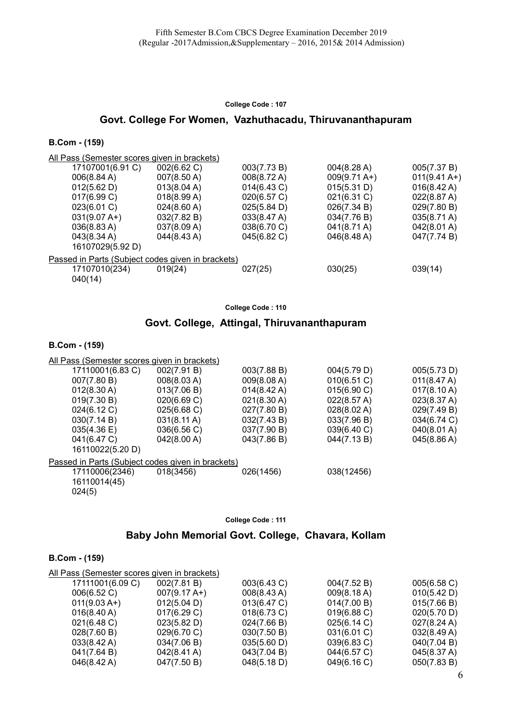# Govt. College For Women, Vazhuthacadu, Thiruvananthapuram

#### B.Com - (159)

All Pass (Semester scores given in brackets)

| 17107001(6.91 C)                                  | 002(6.62 C)           | 003(7.73 B) | 004(8.28 A)            | 005(7.37 B)            |
|---------------------------------------------------|-----------------------|-------------|------------------------|------------------------|
| 006(8.84 A)                                       | 007(8.50 A)           | 008(8.72 A) | $009(9.71 \text{ A+})$ | $011(9.41 \text{ A+})$ |
| 012(5.62 D)                                       | 013(8.04 A)           | 014(6.43 C) | 015(5.31 D)            | $016(8.42 \text{ A})$  |
| 017(6.99 C)                                       | 018(8.99 A)           | 020(6.57 C) | $021(6.31)$ C)         | 022(8.87 A)            |
| 023(6.01 C)                                       | $024(8.60 \text{ A})$ | 025(5.84 D) | 026(7.34 B)            | 029(7.80 B)            |
| $031(9.07 A+)$                                    | 032(7.82 B)           | 033(8.47 A) | 034(7.76 B)            | $035(8.71 \text{ A})$  |
| $036(8.83 \text{ A})$                             | 037(8.09 A)           | 038(6.70 C) | $041(8.71 \text{ A})$  | 042(8.01 A)            |
| $043(8.34 \text{ A})$                             | $044(8.43 \text{ A})$ | 045(6.82 C) | $046(8.48 \text{ A})$  | 047(7.74 B)            |
| 16107029(5.92 D)                                  |                       |             |                        |                        |
| Passed in Parts (Subject codes given in brackets) |                       |             |                        |                        |
| 17107010(234)                                     | 019(24)               | 027(25)     | 030(25)                | 039(14)                |
| 040(14)                                           |                       |             |                        |                        |

College Code : 110

### Govt. College, Attingal, Thiruvananthapuram

#### B.Com - (159)

| All Pass (Semester scores given in brackets)      |                       |                       |             |             |  |
|---------------------------------------------------|-----------------------|-----------------------|-------------|-------------|--|
| 17110001(6.83 C)                                  | 002(7.91 B)           | 003(7.88 B)           | 004(5.79 D) | 005(5.73 D) |  |
| 007(7.80 B)                                       | 008(8.03 A)           | 009(8.08 A)           | 010(6.51 C) | 011(8.47 A) |  |
| 012(8.30 A)                                       | 013(7.06 B)           | $014(8.42 \text{ A})$ | 015(6.90 C) | 017(8.10 A) |  |
| 019(7.30 B)                                       | 020(6.69 C)           | 021(8.30 A)           | 022(8.57 A) | 023(8.37 A) |  |
| 024(6.12 C)                                       | 025(6.68 C)           | 027(7.80 B)           | 028(8.02 A) | 029(7.49 B) |  |
| 030(7.14 B)                                       | $031(8.11 \text{ A})$ | 032(7.43 B)           | 033(7.96 B) | 034(6.74 C) |  |
| 035(4.36)                                         | 036(6.56 C)           | 037(7.90 B)           | 039(6.40 C) | 040(8.01 A) |  |
| 041(6.47 C)                                       | 042(8.00 A)           | 043(7.86 B)           | 044(7.13B)  | 045(8.86 A) |  |
| 16110022(5.20 D)                                  |                       |                       |             |             |  |
| Passed in Parts (Subject codes given in brackets) |                       |                       |             |             |  |
| 17110006(2346)<br>16110014(45)<br>024(5)          | 018(3456)             | 026(1456)             | 038(12456)  |             |  |

College Code : 111

### Baby John Memorial Govt. College, Chavara, Kollam

| All Pass (Semester scores given in brackets) |                        |                |             |                       |  |
|----------------------------------------------|------------------------|----------------|-------------|-----------------------|--|
| 17111001(6.09 C)                             | 002(7.81 B)            | 003(6.43 C)    | 004(7.52 B) | 005(6.58 C)           |  |
| 006(6.52 C)                                  | $007(9.17 \text{ A+})$ | 008(8.43 A)    | 009(8.18 A) | 010(5.42 D)           |  |
| $011(9.03 A+)$                               | 012(5.04 D)            | 013(6.47 C)    | 014(7.00 B) | 015(7.66 B)           |  |
| $016(8.40 \text{ A})$                        | 017(6.29 C)            | $018(6.73)$ C) | 019(6.88 C) | 020(5.70 D)           |  |
| $021(6.48 \text{ C})$                        | 023(5.82 D)            | 024(7.66 B)    | 025(6.14 C) | $027(8.24 \text{ A})$ |  |
| 028(7.60 B)                                  | 029(6.70 C)            | 030(7.50 B)    | 031(6.01 C) | 032(8.49 A)           |  |
| $033(8.42 \text{ A})$                        | 034(7.06 B)            | 035(5.60 D)    | 039(6.83 C) | 040(7.04 B)           |  |
| 041(7.64 B)                                  | $042(8.41 \text{ A})$  | 043(7.04 B)    | 044(6.57 C) | 045(8.37 A)           |  |
| $046(8.42 \text{ A})$                        | 047(7.50 B)            | 048(5.18 D)    | 049(6.16 C) | 050(7.83 B)           |  |
|                                              |                        |                |             |                       |  |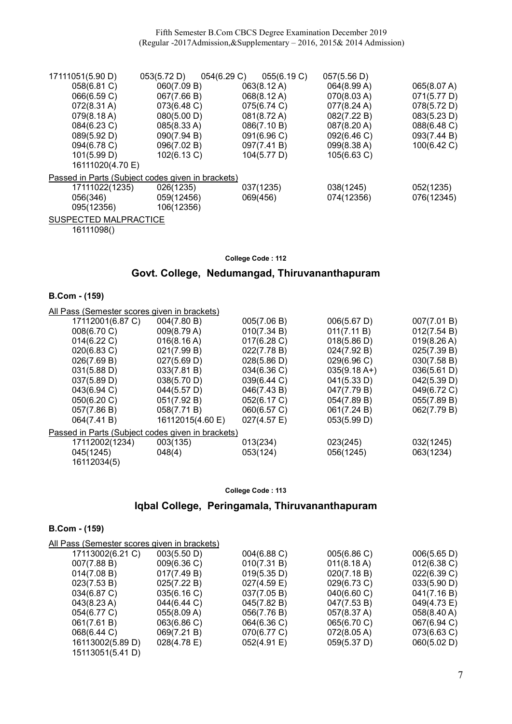| 17111051(5.90 D)                                  | 053(5.72 D) | 054(6.29 C)<br>055(6.19 C) | 057(5.56 D) |             |
|---------------------------------------------------|-------------|----------------------------|-------------|-------------|
| 058(6.81 C)                                       | 060(7.09 B) | 063(8.12 A)                | 064(8.99 A) | 065(8.07 A) |
| 066(6.59 C)                                       | 067(7.66 B) | 068(8.12 A)                | 070(8.03 A) | 071(5.77 D) |
| $072(8.31 \text{ A})$                             | 073(6.48 C) | 075(6.74 C)                | 077(8.24 A) | 078(5.72 D) |
| 079(8.18 A)                                       | 080(5.00 D) | 081(8.72 A)                | 082(7.22 B) | 083(5.23 D) |
| 084(6.23 C)                                       | 085(8.33 A) | 086(7.10 B)                | 087(8.20 A) | 088(6.48 C) |
| 089(5.92 D)                                       | 090(7.94 B) | 091(6.96 C)                | 092(6.46 C) | 093(7.44 B) |
| 094(6.78 C)                                       | 096(7.02 B) | 097(7.41 B)                | 099(8.38 A) | 100(6.42 C) |
| 101(5.99 D)                                       | 102(6.13 C) | 104(5.77 D)                | 105(6.63 C) |             |
| 16111020(4.70 E)                                  |             |                            |             |             |
| Passed in Parts (Subject codes given in brackets) |             |                            |             |             |
| 17111022(1235)                                    | 026(1235)   | 037(1235)                  | 038(1245)   | 052(1235)   |
| 056(346)                                          | 059(12456)  | 069(456)                   | 074(12356)  | 076(12345)  |
| 095(12356)                                        | 106(12356)  |                            |             |             |
|                                                   |             |                            |             |             |

SUSPECTED MALPRACTICE 16111098()

#### College Code : 112

### Govt. College, Nedumangad, Thiruvananthapuram

#### B.Com - (159)

| All Pass (Semester scores given in brackets)      |                  |                |                |             |
|---------------------------------------------------|------------------|----------------|----------------|-------------|
| 17112001(6.87 C)                                  | 004(7.80 B)      | 005(7.06 B)    | 006(5.67 D)    | 007(7.01 B) |
| 008(6.70 C)                                       | 009(8.79 A)      | 010(7.34 B)    | 011(7.11 B)    | 012(7.54 B) |
| 014(6.22 C)                                       | 016(8.16 A)      | 017(6.28)      | 018(5.86 D)    | 019(8.26 A) |
| 020(6.83 C)                                       | 021(7.99 B)      | 022(7.78 B)    | 024(7.92 B)    | 025(7.39 B) |
| 026(7.69 B)                                       | 027(5.69 D)      | 028(5.86 D)    | 029(6.96 C)    | 030(7.58 B) |
| 031(5.88 D)                                       | 033(7.81 B)      | 034(6.36 C)    | $035(9.18 A+)$ | 036(5.61 D) |
| 037(5.89 D)                                       | 038(5.70 D)      | 039(6.44 C)    | 041(5.33 D)    | 042(5.39 D) |
| 043(6.94 C)                                       | 044(5.57 D)      | 046(7.43 B)    | 047(7.79 B)    | 049(6.72 C) |
| 050(6.20 C)                                       | 051(7.92 B)      | 052(6.17 C)    | 054(7.89 B)    | 055(7.89 B) |
| 057(7.86 B)                                       | 058(7.71 B)      | 060(6.57 C)    | 061(7.24 B)    | 062(7.79 B) |
| 064(7.41 B)                                       | 16112015(4.60 E) | $027(4.57)$ E) | 053(5.99 D)    |             |
| Passed in Parts (Subject codes given in brackets) |                  |                |                |             |
| 17112002(1234)                                    | 003(135)         | 013(234)       | 023(245)       | 032(1245)   |
| 045(1245)                                         | 048(4)           | 053(124)       | 056(1245)      | 063(1234)   |
| 16112034(5)                                       |                  |                |                |             |

#### College Code : 113

# Iqbal College, Peringamala, Thiruvananthapuram

| All Pass (Semester scores given in brackets) |                |                |                       |                       |
|----------------------------------------------|----------------|----------------|-----------------------|-----------------------|
| 17113002(6.21 C)                             | 003(5.50 D)    | 004(6.88 C)    | 005(6.86 C)           | 006(5.65 D)           |
| 007(7.88 B)                                  | 009(6.36 C)    | 010(7.31 B)    | $011(8.18 \text{ A})$ | $012(6.38)$ C)        |
| 014(7.08 B)                                  | 017(7.49 B)    | 019(5.35 D)    | 020(7.18 B)           | 022(6.39 C)           |
| 023(7.53 B)                                  | 025(7.22 B)    | $027(4.59)$ E) | 029(6.73 C)           | 033(5.90 D)           |
| 034(6.87 C)                                  | 035(6.16)      | 037(7.05 B)    | $040(6.60 \text{ C})$ | 041(7.16 B)           |
| $043(8.23 \text{ A})$                        | 044(6.44 C)    | 045(7.82 B)    | 047(7.53 B)           | 049(4.73 E)           |
| 054(6.77 C)                                  | 055(8.09 A)    | 056(7.76 B)    | 057(8.37 A)           | $058(8.40 \text{ A})$ |
| 061(7.61 B)                                  | 063(6.86 C)    | 064(6.36 C)    | 065(6.70 C)           | 067(6.94 C)           |
| 068(6.44 C)                                  | 069(7.21 B)    | 070(6.77 C)    | 072(8.05 A)           | 073(6.63 C)           |
| 16113002(5.89 D)                             | $028(4.78)$ E) | 052(4.91 E)    | 059(5.37 D)           | 060(5.02 D)           |
| 15113051(5.41 D)                             |                |                |                       |                       |
|                                              |                |                |                       |                       |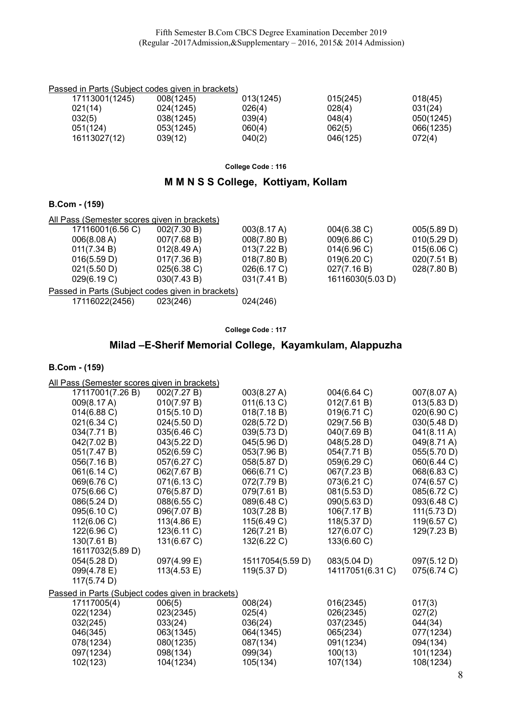### Passed in Parts (Subject codes given in brackets)

| 17113001(1245) | 008(1245) | 013(1245) | 015(245) | 018(45)   |
|----------------|-----------|-----------|----------|-----------|
| 021(14)        | 024(1245) | 026(4)    | 028(4)   | 031(24)   |
| 032(5)         | 038(1245) | 039(4)    | 048(4)   | 050(1245) |
| 051(124)       | 053(1245) | 060(4)    | 062(5)   | 066(1235) |
| 16113027(12)   | 039(12)   | 040(2)    | 046(125) | 072(4)    |

College Code : 116

# M M N S S College, Kottiyam, Kollam

### B.Com - (159)

| 002(7.30 B)    | 003(8.17 A) | $004(6.38)$ C)                                                                                    | 005(5.89 D) |
|----------------|-------------|---------------------------------------------------------------------------------------------------|-------------|
| 007(7.68 B)    | 008(7.80 B) | 009(6.86 C)                                                                                       | 010(5.29 D) |
| 012(8.49 A)    | 013(7.22 B) | 014(6.96)                                                                                         | 015(6.06 C) |
| 017(7.36 B)    | 018(7.80 B) | 019(6.20 C)                                                                                       | 020(7.51 B) |
| $025(6.38)$ C) | 026(6.17 C) | 027(7.16 B)                                                                                       | 028(7.80 B) |
| 030(7.43 B)    | 031(7.41 B) | 16116030(5.03 D)                                                                                  |             |
|                |             |                                                                                                   |             |
| 023(246)       | 024(246)    |                                                                                                   |             |
|                |             | All Pass (Semester scores given in brackets)<br>Passed in Parts (Subject codes given in brackets) |             |

College Code : 117

# Milad –E-Sherif Memorial College, Kayamkulam, Alappuzha

#### B.Com - (159)

All Pass (Semester scores given in brackets)

| 17117001(7.26 B)                                  | 002(7.27 B) | 003(8.27 A)      | 004(6.64 C)      | 007(8.07 A)           |
|---------------------------------------------------|-------------|------------------|------------------|-----------------------|
| 009(8.17 A)                                       | 010(7.97 B) | 011(6.13 C)      | 012(7.61 B)      | 013(5.83 D)           |
| 014(6.88 C)                                       | 015(5.10 D) | 018(7.18 B)      | 019(6.71 C)      | 020(6.90 C)           |
| 021(6.34 C)                                       | 024(5.50 D) | 028(5.72 D)      | 029(7.56 B)      | 030(5.48 D)           |
| 034(7.71 B)                                       | 035(6.46 C) | 039(5.73 D)      | 040(7.69 B)      | $041(8.11 \text{ A})$ |
| 042(7.02 B)                                       | 043(5.22 D) | 045(5.96 D)      | 048(5.28 D)      | 049(8.71 A)           |
| 051(7.47 B)                                       | 052(6.59 C) | 053(7.96 B)      | 054(7.71 B)      | 055(5.70 D)           |
| 056(7.16 B)                                       | 057(6.27 C) | 058(5.87 D)      | 059(6.29 C)      | 060(6.44 C)           |
| 061(6.14 C)                                       | 062(7.67 B) | 066(6.71 C)      | 067(7.23 B)      | 068(6.83 C)           |
| 069(6.76 C)                                       | 071(6.13 C) | 072(7.79 B)      | 073(6.21 C)      | 074(6.57 C)           |
| 075(6.66 C)                                       | 076(5.87 D) | 079(7.61 B)      | 081(5.53 D)      | 085(6.72 C)           |
| 086(5.24 D)                                       | 088(6.55 C) | 089(6.48 C)      | 090(5.63 D)      | 093(6.48 C)           |
| 095(6.10 C)                                       | 096(7.07 B) | 103(7.28 B)      | 106(7.17 B)      | 111(5.73 D)           |
| 112(6.06 C)                                       | 113(4.86 E) | 115(6.49 C)      | 118(5.37 D)      | 119(6.57 C)           |
| 122(6.96 C)                                       | 123(6.11 C) | 126(7.21 B)      | 127(6.07 C)      | 129(7.23 B)           |
| 130(7.61 B)                                       | 131(6.67 C) | 132(6.22 C)      | 133(6.60 C)      |                       |
| 16117032(5.89 D)                                  |             |                  |                  |                       |
| 054(5.28 D)                                       | 097(4.99 E) | 15117054(5.59 D) | 083(5.04 D)      | 097(5.12 D)           |
| 099(4.78 E)                                       | 113(4.53 E) | 119(5.37 D)      | 14117051(6.31 C) | 075(6.74 C)           |
| 117(5.74 D)                                       |             |                  |                  |                       |
| Passed in Parts (Subject codes given in brackets) |             |                  |                  |                       |
| 17117005(4)                                       | 006(5)      | 008(24)          | 016(2345)        | 017(3)                |
| 022(1234)                                         | 023(2345)   | 025(4)           | 026(2345)        | 027(2)                |
| 032(245)                                          | 033(24)     | 036(24)          | 037(2345)        | 044(34)               |
| 046(345)                                          | 063(1345)   | 064(1345)        | 065(234)         | 077(1234)             |
| 078(1234)                                         | 080(1235)   | 087(134)         | 091(1234)        | 094(134)              |
| 097(1234)                                         | 098(134)    | 099(34)          | 100(13)          | 101(1234)             |
| 102(123)                                          | 104(1234)   | 105(134)         | 107(134)         | 108(1234)             |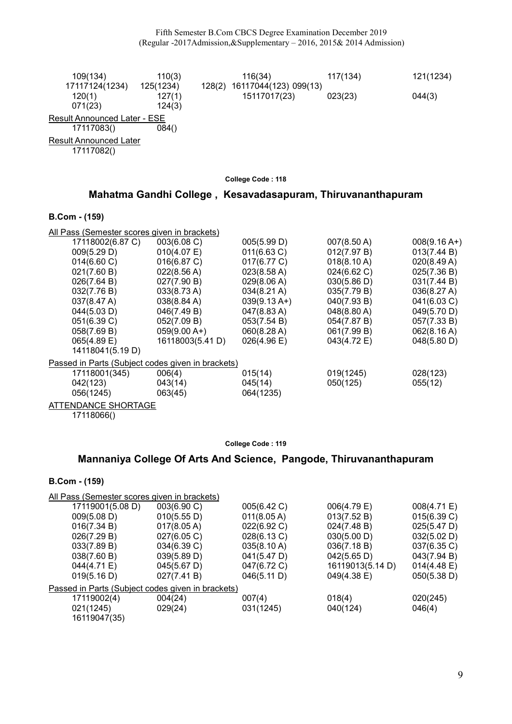| 109(134)                                    | 110(3)                        |        | 116(34)                               | 117(134) | 121(1234) |
|---------------------------------------------|-------------------------------|--------|---------------------------------------|----------|-----------|
| 17117124(1234)<br>120(1)<br>071(23)         | 125(1234)<br>127(1)<br>124(3) | 128(2) | 16117044(123) 099(13)<br>15117017(23) | 023(23)  | 044(3)    |
| <b>Result Announced Later - ESE</b>         |                               |        |                                       |          |           |
| 17117083()                                  | 084()                         |        |                                       |          |           |
| <b>Result Announced Later</b><br>17117082() |                               |        |                                       |          |           |

# Mahatma Gandhi College , Kesavadasapuram, Thiruvananthapuram

### B.Com - (159)

| All Pass (Semester scores given in brackets)      |                       |                        |                       |                |  |  |  |
|---------------------------------------------------|-----------------------|------------------------|-----------------------|----------------|--|--|--|
| 17118002(6.87 C)                                  | 003(6.08 C)           | 005(5.99 D)            | 007(8.50 A)           | $008(9.16 A+)$ |  |  |  |
| 009(5.29 D)                                       | 010(4.07 E)           | 011(6.63 C)            | 012(7.97 B)           | 013(7.44 B)    |  |  |  |
| 014(6.60 C)                                       | 016(6.87 C)           | 017(6.77 C)            | 018(8.10 A)           | 020(8.49 A)    |  |  |  |
| 021(7.60 B)                                       | 022(8.56 A)           | 023(8.58 A)            | 024(6.62 C)           | 025(7.36 B)    |  |  |  |
| 026(7.64 B)                                       | 027(7.90 B)           | 029(8.06 A)            | 030(5.86 D)           | 031(7.44 B)    |  |  |  |
| 032(7.76 B)                                       | $033(8.73 \text{ A})$ | $034(8.21 \text{ A})$  | 035(7.79 B)           | 036(8.27 A)    |  |  |  |
| $037(8.47 \text{ A})$                             | $038(8.84 \text{ A})$ | $039(9.13 \text{ A+})$ | 040(7.93 B)           | 041(6.03 C)    |  |  |  |
| 044(5.03 D)                                       | 046(7.49 B)           | 047(8.83 A)            | $048(8.80 \text{ A})$ | 049(5.70 D)    |  |  |  |
| 051(6.39 C)                                       | 052(7.09 B)           | 053(7.54 B)            | 054(7.87 B)           | 057(7.33 B)    |  |  |  |
| 058(7.69 B)                                       | $059(9.00 A+)$        | 060(8.28 A)            | 061(7.99 B)           | 062(8.16 A)    |  |  |  |
| 065(4.89 E)                                       | 16118003(5.41 D)      | $026(4.96 \text{ E})$  | 043(4.72 E)           | 048(5.80 D)    |  |  |  |
| 14118041(5.19 D)                                  |                       |                        |                       |                |  |  |  |
| Passed in Parts (Subject codes given in brackets) |                       |                        |                       |                |  |  |  |
| 17118001(345)                                     | 006(4)                | 015(14)                | 019(1245)             | 028(123)       |  |  |  |
| 042(123)                                          | 043(14)               | 045(14)                | 050(125)              | 055(12)        |  |  |  |
| 056(1245)                                         | 063(45)               | 064(1235)              |                       |                |  |  |  |
| ATTENDANCE SHORTAGE                               |                       |                        |                       |                |  |  |  |

17118066()

#### College Code : 119

# Mannaniya College Of Arts And Science, Pangode, Thiruvananthapuram

| All Pass (Semester scores given in brackets)      |             |                  |             |
|---------------------------------------------------|-------------|------------------|-------------|
| 003(6.90 C)                                       | 005(6.42 C) | 006(4.79 E)      | 008(4.71 E) |
| 010(5.55 D)                                       | 011(8.05 A) | 013(7.52 B)      | 015(6.39 C) |
| $017(8.05 \text{ A})$                             | 022(6.92 C) | 024(7.48 B)      | 025(5.47 D) |
| 027(6.05 C)                                       | 028(6.13 C) | 030(5.00 D)      | 032(5.02 D) |
| 034(6.39 C)                                       | 035(8.10 A) | 036(7.18 B)      | 037(6.35 C) |
| 039(5.89 D)                                       | 041(5.47 D) | 042(5.65 D)      | 043(7.94 B) |
| 045(5.67 D)                                       | 047(6.72 C) | 16119013(5.14 D) | 014(4.48 E) |
| 027(7.41 B)                                       | 046(5.11 D) | 049(4.38 E)      | 050(5.38 D) |
| Passed in Parts (Subject codes given in brackets) |             |                  |             |
| 004(24)                                           | 007(4)      | 018(4)           | 020(245)    |
| 029(24)                                           | 031(1245)   | 040(124)         | 046(4)      |
|                                                   |             |                  |             |
|                                                   |             |                  |             |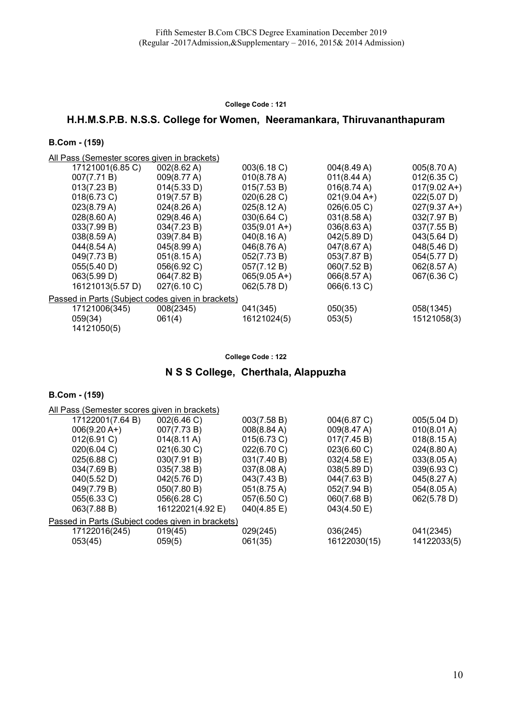# H.H.M.S.P.B. N.S.S. College for Women, Neeramankara, Thiruvananthapuram

### B.Com - (159)

All Pass (Semester scores given in brackets)

| 17121001(6.85 C) | $002(8.62 \text{ A})$ | 003(6.18 C)            | 004(8.49 A)                                                   | $005(8.70 \text{ A})$  |
|------------------|-----------------------|------------------------|---------------------------------------------------------------|------------------------|
| 007(7.71 B)      | 009(8.77 A)           | 010(8.78 A)            | 011(8.44 A)                                                   | 012(6.35 C)            |
| 013(7.23 B)      | 014(5.33 D)           | 015(7.53 B)            | 016(8.74 A)                                                   | $017(9.02 A+)$         |
| 018(6.73 C)      | 019(7.57 B)           | 020(6.28 C)            | $021(9.04 A+)$                                                | 022(5.07 D)            |
| 023(8.79 A)      | $024(8.26 \text{ A})$ | $025(8.12 \text{ A})$  | 026(6.05 C)                                                   | $027(9.37 \text{ A+})$ |
| 028(8.60 A)      | 029(8.46 A)           | 030(6.64 C)            | $031(8.58 \text{ A})$                                         | 032(7.97 B)            |
| 033(7.99 B)      | 034(7.23 B)           | $035(9.01 \text{ A+})$ | 036(8.63 A)                                                   | 037(7.55 B)            |
| 038(8.59 A)      | 039(7.84 B)           | 040(8.16 A)            | 042(5.89 D)                                                   | $043(5.64 \text{ D})$  |
| 044(8.54 A)      | 045(8.99 A)           | 046(8.76 A)            | 047(8.67 A)                                                   | 048(5.46 D)            |
| 049(7.73 B)      | $051(8.15 \text{ A})$ | 052(7.73 B)            | 053(7.87 B)                                                   | 054(5.77 D)            |
| 055(5.40 D)      | 056(6.92 C)           | 057(7.12 B)            | 060(7.52 B)                                                   | 062(8.57 A)            |
| 063(5.99 D)      | 064(7.82 B)           | $065(9.05 A+)$         | 066(8.57 A)                                                   | 067(6.36 C)            |
| 16121013(5.57 D) | 027(6.10 C)           | 062(5.78 D)            | 066(6.13 C)                                                   |                        |
|                  |                       |                        |                                                               |                        |
|                  |                       |                        |                                                               | 058(1345)              |
| 059(34)          | 061(4)                | 16121024(5)            | 053(5)                                                        | 15121058(3)            |
| 14121050(5)      |                       |                        |                                                               |                        |
|                  | 17121006(345)         | 008(2345)              | Passed in Parts (Subject codes given in brackets)<br>041(345) | 050(35)                |

#### College Code : 122

# N S S College, Cherthala, Alappuzha

| All Pass (Semester scores given in brackets)      |                       |                       |                       |                       |  |  |
|---------------------------------------------------|-----------------------|-----------------------|-----------------------|-----------------------|--|--|
| 17122001(7.64 B)                                  | 002(6.46 C)           | 003(7.58 B)           | 004(6.87 C)           | 005(5.04 D)           |  |  |
| $006(9.20 A+)$                                    | 007(7.73 B)           | 008(8.84 A)           | 009(8.47 A)           | 010(8.01 A)           |  |  |
| 012(6.91 C)                                       | $014(8.11 \text{ A})$ | 015(6.73 C)           | 017(7.45 B)           | $018(8.15 \text{ A})$ |  |  |
| $020(6.04 \text{ C})$                             | $021(6.30 \text{ C})$ | 022(6.70 C)           | 023(6.60 C)           | 024(8.80 A)           |  |  |
| 025(6.88 C)                                       | 030(7.91 B)           | 031(7.40 B)           | $032(4.58 \text{ E})$ | 033(8.05 A)           |  |  |
| 034(7.69 B)                                       | 035(7.38 B)           | 037(8.08 A)           | 038(5.89 D)           | 039(6.93 C)           |  |  |
| 040(5.52 D)                                       | 042(5.76 D)           | 043(7.43 B)           | 044(7.63 B)           | 045(8.27 A)           |  |  |
| 049(7.79 B)                                       | 050(7.80 B)           | $051(8.75 \text{ A})$ | 052(7.94 B)           | 054(8.05 A)           |  |  |
| 055(6.33 C)                                       | 056(6.28 C)           | 057(6.50 C)           | 060(7.68 B)           | 062(5.78 D)           |  |  |
| 063(7.88 B)                                       | 16122021(4.92 E)      | 040(4.85 E)           | 043(4.50 E)           |                       |  |  |
| Passed in Parts (Subject codes given in brackets) |                       |                       |                       |                       |  |  |
| 17122016(245)                                     | 019(45)               | 029(245)              | 036(245)              | 041(2345)             |  |  |
| 053(45)                                           | 059(5)                | 061(35)               | 16122030(15)          | 14122033(5)           |  |  |
|                                                   |                       |                       |                       |                       |  |  |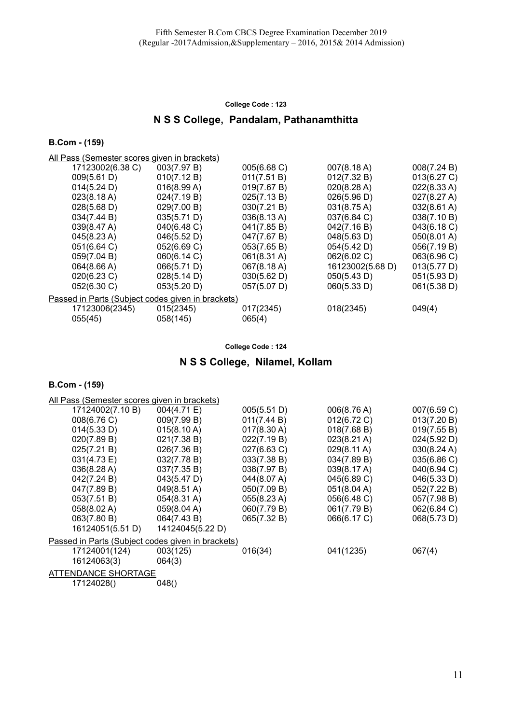# N S S College, Pandalam, Pathanamthitta

### B.Com - (159)

All Pass (Semester scores given in brackets)

| 17123002(6.38 C)                                  | 003(7.97 B) | 005(6.68 C) | 007(8.18 A)           | 008(7.24 B)           |
|---------------------------------------------------|-------------|-------------|-----------------------|-----------------------|
| 009(5.61 D)                                       | 010(7.12 B) | 011(7.51 B) | 012(7.32 B)           | 013(6.27 C)           |
| 014(5.24 D)                                       | 016(8.99 A) | 019(7.67 B) | 020(8.28 A)           | 022(8.33 A)           |
| 023(8.18 A)                                       | 024(7.19 B) | 025(7.13 B) | 026(5.96 D)           | 027(8.27 A)           |
| 028(5.68 D)                                       | 029(7.00 B) | 030(7.21 B) | $031(8.75 \text{ A})$ | $032(8.61 \text{ A})$ |
| 034(7.44 B)                                       | 035(5.71 D) | 036(8.13 A) | 037(6.84 C)           | 038(7.10 B)           |
| 039(8.47 A)                                       | 040(6.48 C) | 041(7.85 B) | 042(7.16 B)           | 043(6.18 C)           |
| 045(8.23 A)                                       | 046(5.52 D) | 047(7.67 B) | 048(5.63 D)           | 050(8.01 A)           |
| 051(6.64 C)                                       | 052(6.69 C) | 053(7.65 B) | 054(5.42 D)           | 056(7.19 B)           |
| 059(7.04 B)                                       | 060(6.14 C) | 061(8.31 A) | 062(6.02 C)           | 063(6.96 C)           |
| 064(8.66 A)                                       | 066(5.71 D) | 067(8.18 A) | 16123002(5.68 D)      | 013(5.77 D)           |
| 020(6.23 C)                                       | 028(5.14 D) | 030(5.62 D) | 050(5.43 D)           | 051(5.93 D)           |
| 052(6.30 C)                                       | 053(5.20 D) | 057(5.07 D) | 060(5.33 D)           | 061(5.38 D)           |
| Passed in Parts (Subject codes given in brackets) |             |             |                       |                       |
| 17123006(2345)                                    | 015(2345)   | 017(2345)   | 018(2345)             | 049(4)                |
| 055(45)                                           | 058(145)    | 065(4)      |                       |                       |

College Code : 124

# N S S College, Nilamel, Kollam

| All Pass (Semester scores given in brackets)      |                       |             |                       |             |  |  |
|---------------------------------------------------|-----------------------|-------------|-----------------------|-------------|--|--|
| 17124002(7.10 B)                                  | 004(4.71 E)           | 005(5.51 D) | 006(8.76 A)           | 007(6.59 C) |  |  |
| 008(6.76 C)                                       | 009(7.99 B)           | 011(7.44 B) | 012(6.72 C)           | 013(7.20 B) |  |  |
| 014(5.33 D)                                       | 015(8.10 A)           | 017(8.30 A) | 018(7.68 B)           | 019(7.55 B) |  |  |
| 020(7.89 B)                                       | 021(7.38 B)           | 022(7.19 B) | $023(8.21 \text{ A})$ | 024(5.92 D) |  |  |
| 025(7.21 B)                                       | 026(7.36 B)           | 027(6.63 C) | $029(8.11 \text{ A})$ | 030(8.24 A) |  |  |
| 031(4.73 E)                                       | 032(7.78 B)           | 033(7.38 B) | 034(7.89 B)           | 035(6.86 C) |  |  |
| 036(8.28 A)                                       | 037(7.35 B)           | 038(7.97 B) | 039(8.17 A)           | 040(6.94 C) |  |  |
| 042(7.24 B)                                       | 043(5.47 D)           | 044(8.07 A) | 045(6.89 C)           | 046(5.33 D) |  |  |
| 047(7.89 B)                                       | $049(8.51 \text{ A})$ | 050(7.09 B) | 051(8.04 A)           | 052(7.22 B) |  |  |
| 053(7.51 B)                                       | $054(8.31 \text{ A})$ | 055(8.23 A) | 056(6.48 C)           | 057(7.98 B) |  |  |
| 058(8.02 A)                                       | 059(8.04 A)           | 060(7.79 B) | 061(7.79 B)           | 062(6.84 C) |  |  |
| 063(7.80 B)                                       | 064(7.43 B)           | 065(7.32 B) | 066(6.17 C)           | 068(5.73 D) |  |  |
| 16124051(5.51 D)                                  | 14124045(5.22 D)      |             |                       |             |  |  |
| Passed in Parts (Subject codes given in brackets) |                       |             |                       |             |  |  |
| 17124001(124)                                     | 003(125)              | 016(34)     | 041(1235)             | 067(4)      |  |  |
| 16124063(3)                                       | 064(3)                |             |                       |             |  |  |
| ATTENDANCE SHORTAGE                               |                       |             |                       |             |  |  |
| 17124028()                                        | 048()                 |             |                       |             |  |  |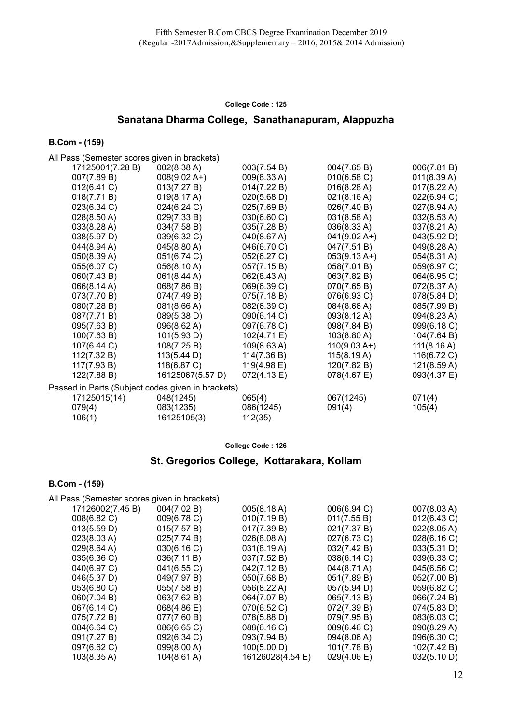# Sanatana Dharma College, Sanathanapuram, Alappuzha

#### B.Com - (159)

All Pass (Semester scores given in brackets)

| ---                                               |                       |             |                |                       |
|---------------------------------------------------|-----------------------|-------------|----------------|-----------------------|
| 17125001(7.28 B)                                  | 002(8.38 A)           | 003(7.54 B) | 004(7.65 B)    | 006(7.81 B)           |
| 007(7.89 B)                                       | $008(9.02 A+)$        | 009(8.33 A) | 010(6.58 C)    | 011(8.39 A)           |
| 012(6.41 C)                                       | 013(7.27 B)           | 014(7.22 B) | 016(8.28 A)    | $017(8.22 \text{ A})$ |
| 018(7.71 B)                                       | 019(8.17 A)           | 020(5.68 D) | 021(8.16 A)    | 022(6.94 C)           |
| 023(6.34 C)                                       | 024(6.24 C)           | 025(7.69 B) | 026(7.40 B)    | 027(8.94 A)           |
| 028(8.50 A)                                       | 029(7.33 B)           | 030(6.60 C) | 031(8.58 A)    | 032(8.53 A)           |
| 033(8.28 A)                                       | 034(7.58 B)           | 035(7.28 B) | 036(8.33 A)    | $037(8.21 \text{ A})$ |
| 038(5.97 D)                                       | 039(6.32 C)           | 040(8.67 A) | $041(9.02 A+)$ | 043(5.92 D)           |
| 044(8.94 A)                                       | $045(8.80 \text{ A})$ | 046(6.70 C) | 047(7.51 B)    | 049(8.28 A)           |
| 050(8.39 A)                                       | 051(6.74 C)           | 052(6.27 C) | $053(9.13 A+)$ | 054(8.31 A)           |
| 055(6.07 C)                                       | 056(8.10 A)           | 057(7.15B)  | 058(7.01 B)    | 059(6.97 C)           |
| 060(7.43 B)                                       | 061(8.44 A)           | 062(8.43 A) | 063(7.82 B)    | 064(6.95 C)           |
| 066(8.14 A)                                       | 068(7.86 B)           | 069(6.39 C) | 070(7.65 B)    | 072(8.37 A)           |
| 073(7.70 B)                                       | 074(7.49 B)           | 075(7.18 B) | 076(6.93 C)    | 078(5.84 D)           |
| 080(7.28 B)                                       | 081(8.66 A)           | 082(6.39 C) | 084(8.66 A)    | 085(7.99 B)           |
| 087(7.71 B)                                       | 089(5.38 D)           | 090(6.14 C) | 093(8.12 A)    | 094(8.23 A)           |
| 095(7.63 B)                                       | 096(8.62 A)           | 097(6.78 C) | 098(7.84 B)    | 099(6.18 C)           |
| 100(7.63 B)                                       | 101(5.93 D)           | 102(4.71 E) | 103(8.80 A)    | 104(7.64 B)           |
| 107(6.44 C)                                       | 108(7.25 B)           | 109(8.63 A) | $110(9.03 A+)$ | $111(8.16 \text{ A})$ |
| 112(7.32 B)                                       | 113(5.44 D)           | 114(7.36 B) | 115(8.19 A)    | 116(6.72 C)           |
| 117(7.93 B)                                       | 118(6.87 C)           | 119(4.98 E) | 120(7.82 B)    | 121(8.59 A)           |
| 122(7.88 B)                                       | 16125067(5.57 D)      | 072(4.13 E) | 078(4.67 E)    | 093(4.37 E)           |
| Passed in Parts (Subject codes given in brackets) |                       |             |                |                       |
| 17125015(14)                                      | 048(1245)             | 065(4)      | 067(1245)      | 071(4)                |
| 079(4)                                            | 083(1235)             | 086(1245)   | 091(4)         | 105(4)                |
| 106(1)                                            | 16125105(3)           | 112(35)     |                |                       |
|                                                   |                       |             |                |                       |

College Code : 126

# St. Gregorios College, Kottarakara, Kollam

| All Pass (Semester scores given in brackets) |  |
|----------------------------------------------|--|
|                                              |  |

| 17126002(7.45 B)      | 004(7.02 B)           | 005(8.18 A)      | 006(6.94 C) | 007(8.03 A) |
|-----------------------|-----------------------|------------------|-------------|-------------|
| 008(6.82 C)           | 009(6.78 C)           | 010(7.19 B)      | 011(7.55 B) | 012(6.43 C) |
| 013(5.59 D)           | 015(7.57 B)           | 017(7.39 B)      | 021(7.37 B) | 022(8.05 A) |
| 023(8.03 A)           | 025(7.74 B)           | 026(8.08 A)      | 027(6.73 C) | 028(6.16 C) |
| 029(8.64 A)           | 030(6.16 C)           | 031(8.19 A)      | 032(7.42 B) | 033(5.31 D) |
| 035(6.36 C)           | 036(7.11 B)           | 037(7.52 B)      | 038(6.14 C) | 039(6.33 C) |
| 040(6.97 C)           | 041(6.55 C)           | 042(7.12 B)      | 044(8.71 A) | 045(6.56 C) |
| 046(5.37 D)           | 049(7.97 B)           | 050(7.68 B)      | 051(7.89 B) | 052(7.00 B) |
| 053(6.80 C)           | 055(7.58 B)           | 056(8.22 A)      | 057(5.94 D) | 059(6.82 C) |
| 060(7.04 B)           | 063(7.62 B)           | 064(7.07 B)      | 065(7.13 B) | 066(7.24 B) |
| 067(6.14 C)           | 068(4.86 E)           | 070(6.52 C)      | 072(7.39 B) | 074(5.83 D) |
| 075(7.72 B)           | 077(7.60 B)           | 078(5.88 D)      | 079(7.95 B) | 083(6.03 C) |
| 084(6.64 C)           | 086(6.65 C)           | 088(6.16 C)      | 089(6.46 C) | 090(8.29 A) |
| 091(7.27 B)           | 092(6.34 C)           | 093(7.94 B)      | 094(8.06 A) | 096(6.30 C) |
| 097(6.62 C)           | 099(8.00 A)           | 100(5.00 D)      | 101(7.78 B) | 102(7.42 B) |
| $103(8.35 \text{ A})$ | $104(8.61 \text{ A})$ | 16126028(4.54 E) | 029(4.06)   | 032(5.10 D) |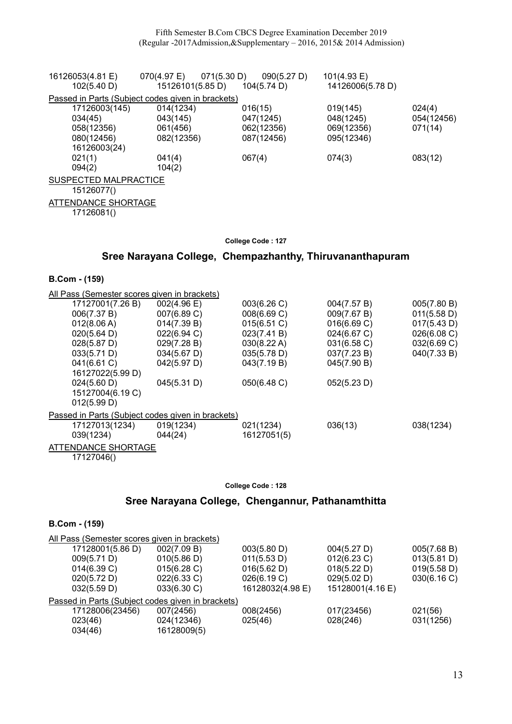| 16126053(4.81 E)                                  | 070(4.97 E)         | 071(5.30 D)<br>090(5.27 D) | 101(4.93 E)      |            |  |  |  |
|---------------------------------------------------|---------------------|----------------------------|------------------|------------|--|--|--|
| 102(5.40 D)                                       | 15126101(5.85 D)    | 104(5.74 D)                | 14126006(5.78 D) |            |  |  |  |
| Passed in Parts (Subject codes given in brackets) |                     |                            |                  |            |  |  |  |
| 17126003(145)                                     | 014(1234)           | 016(15)                    | 019(145)         | 024(4)     |  |  |  |
| 034(45)                                           | 043(145)            | 047(1245)                  | 048(1245)        | 054(12456) |  |  |  |
| 058(12356)                                        | 061(456)            | 062(12356)                 | 069(12356)       | 071(14)    |  |  |  |
| 080(12456)                                        | 082(12356)          | 087(12456)                 | 095(12346)       |            |  |  |  |
| 16126003(24)                                      |                     |                            |                  |            |  |  |  |
| 021(1)                                            | 041(4)              | 067(4)                     | 074(3)           | 083(12)    |  |  |  |
| 094(2)                                            | 104(2)              |                            |                  |            |  |  |  |
| SUSPECTED MALPRACTICE                             |                     |                            |                  |            |  |  |  |
| 15126077()                                        |                     |                            |                  |            |  |  |  |
|                                                   | ATTENDANCE SHORTAGE |                            |                  |            |  |  |  |
| 17126081()                                        |                     |                            |                  |            |  |  |  |
|                                                   |                     |                            |                  |            |  |  |  |

# Sree Narayana College, Chempazhanthy, Thiruvananthapuram

B.Com - (159)

| All Pass (Semester scores given in brackets)      |                            |                       |             |             |  |  |  |
|---------------------------------------------------|----------------------------|-----------------------|-------------|-------------|--|--|--|
| 17127001(7.26 B)                                  | $002(4.96 \text{ E})$      | 003(6.26)             | 004(7.57 B) | 005(7.80 B) |  |  |  |
| 006(7.37 B)                                       | 007(6.89 C)                | 008(6.69 C)           | 009(7.67 B) | 011(5.58 D) |  |  |  |
| 012(8.06 A)                                       | 014(7.39 B)                | 015(6.51 C)           | 016(6.69 C) | 017(5.43 D) |  |  |  |
| 020(5.64 D)                                       | 022(6.94 C)                | 023(7.41 B)           | 024(6.67 C) | 026(6.08 C) |  |  |  |
| 028(5.87 D)                                       | 029(7.28 B)                | $030(8.22 \text{ A})$ | 031(6.58 C) | 032(6.69 C) |  |  |  |
| 033(5.71 D)                                       | $034(5.67 \text{ D})$      | 035(5.78 D)           | 037(7.23 B) | 040(7.33 B) |  |  |  |
| 041(6.61 C)                                       | 042(5.97 D)                | 043(7.19 B)           | 045(7.90 B) |             |  |  |  |
| 16127022(5.99 D)                                  |                            |                       |             |             |  |  |  |
| 024(5.60 D)                                       | 045(5.31 D)                | 050(6.48 C)           | 052(5.23 D) |             |  |  |  |
| 15127004(6.19 C)                                  |                            |                       |             |             |  |  |  |
| 012(5.99 D)                                       |                            |                       |             |             |  |  |  |
| Passed in Parts (Subject codes given in brackets) |                            |                       |             |             |  |  |  |
| 17127013(1234)                                    | 019(1234)                  | 021(1234)             | 036(13)     | 038(1234)   |  |  |  |
| 039(1234)                                         | 044(24)                    | 16127051(5)           |             |             |  |  |  |
|                                                   | <b>ATTENDANCE SHORTAGE</b> |                       |             |             |  |  |  |
| 17127046()                                        |                            |                       |             |             |  |  |  |

#### College Code : 128

# Sree Narayana College, Chengannur, Pathanamthitta

| All Pass (Semester scores given in brackets)      |             |                  |                  |             |  |  |
|---------------------------------------------------|-------------|------------------|------------------|-------------|--|--|
| 17128001(5.86 D)                                  | 002(7.09 B) | 003(5.80 D)      | 004(5.27 D)      | 005(7.68 B) |  |  |
| 009(5.71 D)                                       | 010(5.86 D) | 011(5.53 D)      | 012(6.23 C)      | 013(5.81 D) |  |  |
| 014(6.39 C)                                       | 015(6.28)   | 016(5.62 D)      | 018(5.22 D)      | 019(5.58 D) |  |  |
| 020(5.72 D)                                       | 022(6.33 C) | 026(6.19 C)      | 029(5.02 D)      | 030(6.16)   |  |  |
| 032(5.59 D)                                       | 033(6.30 C) | 16128032(4.98 E) | 15128001(4.16 E) |             |  |  |
| Passed in Parts (Subject codes given in brackets) |             |                  |                  |             |  |  |
| 17128006(23456)                                   | 007(2456)   | 008(2456)        | 017(23456)       | 021(56)     |  |  |
| 023(46)                                           | 024(12346)  | 025(46)          | 028(246)         | 031(1256)   |  |  |
| 034(46)                                           | 16128009(5) |                  |                  |             |  |  |
|                                                   |             |                  |                  |             |  |  |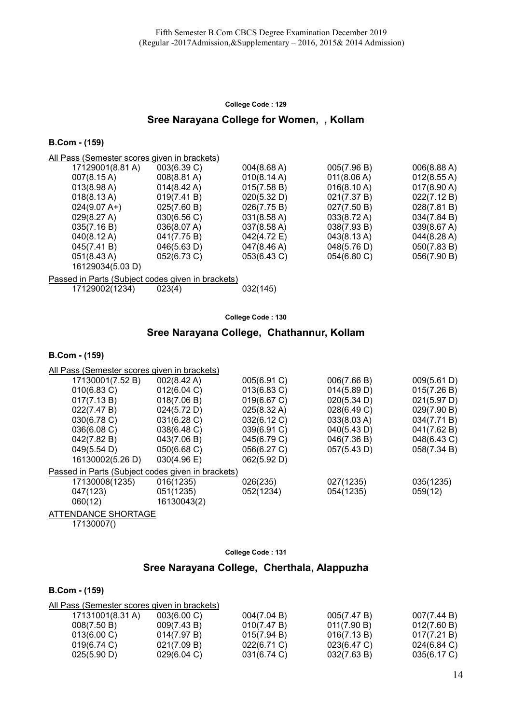### Sree Narayana College for Women, , Kollam

#### B.Com - (159)

All Pass (Semester scores given in brackets)

| 17129001(8.81 A)      | 003(6.39 C)           | 004(8.68 A)           | 005(7.96 B)           | 006(8.88 A)           |
|-----------------------|-----------------------|-----------------------|-----------------------|-----------------------|
| $007(8.15 \text{ A})$ | $008(8.81 \text{ A})$ | 010(8.14 A)           | 011(8.06 A)           | 012(8.55 A)           |
| $013(8.98 \text{ A})$ | $014(8.42 \text{ A})$ | 015(7.58 B)           | 016(8.10 A)           | $017(8.90 \text{ A})$ |
| $018(8.13 \text{ A})$ | 019(7.41 B)           | 020(5.32 D)           | 021(7.37 B)           | 022(7.12 B)           |
| $024(9.07 A+)$        | 025(7.60 B)           | 026(7.75 B)           | 027(7.50 B)           | 028(7.81 B)           |
| 029(8.27 A)           | 030(6.56 C)           | $031(8.58 \text{ A})$ | $033(8.72 \text{ A})$ | 034(7.84 B)           |
| 035(7.16 B)           | 036(8.07 A)           | $037(8.58 \text{ A})$ | 038(7.93 B)           | 039(8.67 A)           |
| 040(8.12 A)           | 041(7.75 B)           | 042(4.72 E)           | 043(8.13 A)           | 044(8.28 A)           |
| 045(7.41 B)           | 046(5.63 D)           | 047(8.46 A)           | 048(5.76 D)           | 050(7.83 B)           |
| $051(8.43 \text{ A})$ | $052(6.73)$ C)        | 053(6.43 C)           | $054(6.80 \text{ C})$ | 056(7.90 B)           |
| 16129034(5.03 D)      |                       |                       |                       |                       |
|                       |                       |                       |                       |                       |

Passed in Parts (Subject codes given in brackets)

17129002(1234) 023(4) 032(145)

College Code : 130

### Sree Narayana College, Chathannur, Kollam

#### B.Com - (159)

| All Pass (Semester scores given in brackets)      |                       |             |             |             |  |
|---------------------------------------------------|-----------------------|-------------|-------------|-------------|--|
| 17130001(7.52 B)                                  | $002(8.42 \text{ A})$ | 005(6.91 C) | 006(7.66 B) | 009(5.61 D) |  |
| 010(6.83 C)                                       | 012(6.04 C)           | 013(6.83 C) | 014(5.89 D) | 015(7.26 B) |  |
| 017(7.13 B)                                       | 018(7.06 B)           | 019(6.67 C) | 020(5.34 D) | 021(5.97 D) |  |
| 022(7.47 B)                                       | 024(5.72 D)           | 025(8.32 A) | 028(6.49 C) | 029(7.90 B) |  |
| 030(6.78 C)                                       | 031(6.28)             | 032(6.12 C) | 033(8.03 A) | 034(7.71 B) |  |
| 036(6.08 C)                                       | 038(6.48 C)           | 039(6.91 C) | 040(5.43 D) | 041(7.62 B) |  |
| 042(7.82 B)                                       | 043(7.06 B)           | 045(6.79 C) | 046(7.36 B) | 048(6.43 C) |  |
| 049(5.54 D)                                       | 050(6.68 C)           | 056(6.27 C) | 057(5.43 D) | 058(7.34 B) |  |
| 16130002(5.26 D)                                  | $030(4.96 \text{ E})$ | 062(5.92 D) |             |             |  |
| Passed in Parts (Subject codes given in brackets) |                       |             |             |             |  |
| 17130008(1235)                                    | 016(1235)             | 026(235)    | 027(1235)   | 035(1235)   |  |
| 047(123)                                          | 051(1235)             | 052(1234)   | 054(1235)   | 059(12)     |  |
| 060(12)                                           | 16130043(2)           |             |             |             |  |
|                                                   |                       |             |             |             |  |

ATTENDANCE SHORTAGE

17130007()

#### College Code : 131

### Sree Narayana College, Cherthala, Alappuzha

| All Pass (Semester scores given in brackets) |                       |             |                |                |
|----------------------------------------------|-----------------------|-------------|----------------|----------------|
| 17131001(8.31 A)                             | 003(6.00 C)           | 004(7.04 B) | 005(7.47 B)    | 007(7.44 B)    |
| 008(7.50 B)                                  | 009(7.43 B)           | 010(7.47 B) | 011(7.90 B)    | 012(7.60 B)    |
| 013(6.00 C)                                  | 014(7.97 B)           | 015(7.94 B) | 016(7.13 B)    | 017(7.21 B)    |
| 019(6.74)                                    | 021(7.09 B)           | 022(6.71 C) | $023(6.47)$ C) | $024(6.84)$ C) |
| 025(5.90 D)                                  | $029(6.04 \text{ C})$ | 031(6.74 C) | 032(7.63 B)    | 035(6.17 C)    |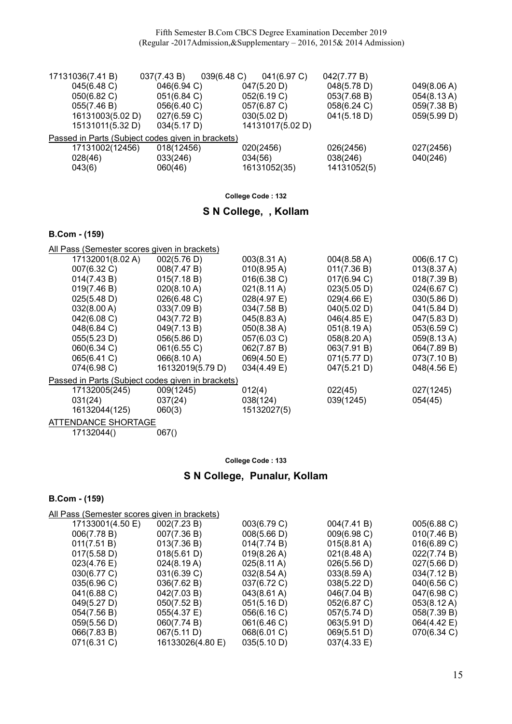Fifth Semester B.Com CBCS Degree Examination December 2019 (Regular -2017Admission,&Supplementary – 2016, 2015& 2014 Admission)

| 17131036(7.41 B) | 037(7.43 B)                                       | 039(6.48)<br>041(6.97 C) | 042(7.77 B) |             |  |  |  |
|------------------|---------------------------------------------------|--------------------------|-------------|-------------|--|--|--|
| 045(6.48 C)      | 046(6.94 C)                                       | 047(5.20 D)              | 048(5.78 D) | 049(8.06 A) |  |  |  |
| 050(6.82 C)      | 051(6.84 C)                                       | 052(6.19 C)              | 053(7.68 B) | 054(8.13 A) |  |  |  |
| 055(7.46 B)      | 056(6.40 C)                                       | 057(6.87 C)              | 058(6.24 C) | 059(7.38 B) |  |  |  |
| 16131003(5.02 D) | 027(6.59 C)                                       | 030(5.02 D)              | 041(5.18 D) | 059(5.99 D) |  |  |  |
| 15131011(5.32 D) | 034(5.17 D)                                       | 14131017(5.02 D)         |             |             |  |  |  |
|                  | Passed in Parts (Subject codes given in brackets) |                          |             |             |  |  |  |
| 17131002(12456)  | 018(12456)                                        | 020(2456)                | 026(2456)   | 027(2456)   |  |  |  |
| 028(46)          | 033(246)                                          | 034(56)                  | 038(246)    | 040(246)    |  |  |  |
| 043(6)           | 060(46)                                           | 16131052(35)             | 14131052(5) |             |  |  |  |

College Code : 132

### S N College, , Kollam

#### B.Com - (159)

All Pass (Semester scores given in brackets)

| 17132001(8.02 A)                                  | 002(5.76 D)      | $003(8.31 \text{ A})$ | 004(8.58 A)           | 006(6.17 C) |  |  |
|---------------------------------------------------|------------------|-----------------------|-----------------------|-------------|--|--|
| 007(6.32 C)                                       | 008(7.47 B)      | 010(8.95 A)           | 011(7.36 B)           | 013(8.37 A) |  |  |
| 014(7.43 B)                                       | 015(7.18 B)      | $016(6.38)$ C)        | 017(6.94 C)           | 018(7.39 B) |  |  |
| 019(7.46 B)                                       | 020(8.10 A)      | $021(8.11 \text{ A})$ | 023(5.05 D)           | 024(6.67 C) |  |  |
| 025(5.48 D)                                       | 026(6.48 C)      | 028(4.97 E)           | $029(4.66 \text{ E})$ | 030(5.86 D) |  |  |
| 032(8.00 A)                                       | 033(7.09 B)      | 034(7.58 B)           | 040(5.02 D)           | 041(5.84 D) |  |  |
| 042(6.08 C)                                       | 043(7.72 B)      | 045(8.83 A)           | 046(4.85 E)           | 047(5.83 D) |  |  |
| 048(6.84 C)                                       | 049(7.13 B)      | 050(8.38 A)           | 051(8.19 A)           | 053(6.59 C) |  |  |
| 055(5.23 D)                                       | 056(5.86 D)      | 057(6.03 C)           | 058(8.20 A)           | 059(8.13 A) |  |  |
| 060(6.34 C)                                       | 061(6.55 C)      | 062(7.87 B)           | 063(7.91 B)           | 064(7.89 B) |  |  |
| 065(6.41 C)                                       | 066(8.10 A)      | 069(4.50 E)           | 071(5.77 D)           | 073(7.10 B) |  |  |
| 074(6.98 C)                                       | 16132019(5.79 D) | 034(4.49 E)           | 047(5.21 D)           | 048(4.56 E) |  |  |
| Passed in Parts (Subject codes given in brackets) |                  |                       |                       |             |  |  |
| 17132005(245)                                     | 009(1245)        | 012(4)                | 022(45)               | 027(1245)   |  |  |
| 031(24)                                           | 037(24)          | 038(124)              | 039(1245)             | 054(45)     |  |  |
| 16132044(125)                                     | 060(3)           | 15132027(5)           |                       |             |  |  |
| ATTENDANCE CUODTACE                               |                  |                       |                       |             |  |  |

ATTENDANCE SHORTAGE<br>17132044() 067()  $17132044()$ 

#### College Code : 133

# S N College, Punalur, Kollam

| All Pass (Semester scores given in brackets) |                       |                       |                       |  |  |
|----------------------------------------------|-----------------------|-----------------------|-----------------------|--|--|
| 002(7.23 B)                                  | 003(6.79 C)           | 004(7.41 B)           | 005(6.88 C)           |  |  |
| 007(7.36 B)                                  | 008(5.66 D)           | 009(6.98 C)           | 010(7.46 B)           |  |  |
| 013(7.36 B)                                  | 014(7.74 B)           | $015(8.81 \text{ A})$ | 016(6.89 C)           |  |  |
| 018(5.61 D)                                  | 019(8.26 A)           | 021(8.48 A)           | 022(7.74 B)           |  |  |
| 024(8.19 A)                                  | $025(8.11 \text{ A})$ | 026(5.56 D)           | 027(5.66 D)           |  |  |
| 031(6.39 C)                                  | $032(8.54 \text{ A})$ | 033(8.59 A)           | 034(7.12 B)           |  |  |
| 036(7.62 B)                                  | 037(6.72 C)           | 038(5.22 D)           | 040(6.56 C)           |  |  |
| 042(7.03 B)                                  | $043(8.61 \text{ A})$ | 046(7.04 B)           | 047(6.98 C)           |  |  |
| 050(7.52 B)                                  | 051(5.16 D)           | 052(6.87 C)           | $053(8.12 \text{ A})$ |  |  |
| 055(4.37 E)                                  | 056(6.16 C)           | 057(5.74 D)           | 058(7.39 B)           |  |  |
| 060(7.74 B)                                  | 061(6.46 C)           | 063(5.91 D)           | 064(4.42 E)           |  |  |
| 067(5.11 D)                                  | 068(6.01 C)           | 069(5.51 D)           | 070(6.34 C)           |  |  |
| 16133026(4.80 E)                             | 035(5.10 D)           | 037(4.33 E)           |                       |  |  |
|                                              |                       |                       |                       |  |  |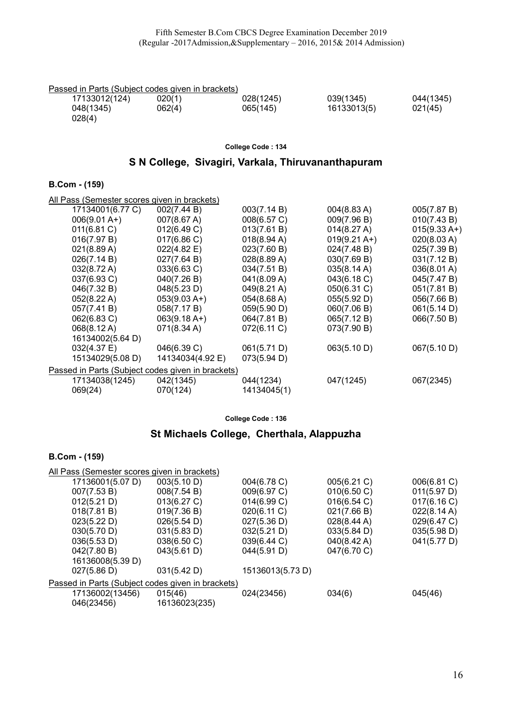| Passed in Parts (Subiect codes given in brackets) |        |           |             |           |
|---------------------------------------------------|--------|-----------|-------------|-----------|
| 17133012(124)                                     | 020(1) | 028(1245) | 039(1345)   | 044(1345) |
| 048(1345)<br>028(4)                               | 062(4) | 065(145)  | 16133013(5) | 021(45)   |

# S N College, Sivagiri, Varkala, Thiruvananthapuram

### B.Com - (159)

| 002(7.44 B)<br>17134001(6.77 C)<br>003(7.14 B)<br>$004(8.83 \text{ A})$<br>005(7.87 B)<br>$006(9.01 A+)$<br>007(8.67 A)<br>008(6.57 C)<br>009(7.96 B)<br>010(7.43 B)<br>012(6.49 C)<br>013(7.61 B)<br>011(6.81 C)<br>014(8.27 A)<br>$015(9.33 \text{ A+})$<br>016(7.97 B)<br>$017(6.86 \text{ C})$<br>018(8.94 A)<br>$019(9.21 \text{ A+})$<br>020(8.03 A) |  |
|------------------------------------------------------------------------------------------------------------------------------------------------------------------------------------------------------------------------------------------------------------------------------------------------------------------------------------------------------------|--|
|                                                                                                                                                                                                                                                                                                                                                            |  |
|                                                                                                                                                                                                                                                                                                                                                            |  |
|                                                                                                                                                                                                                                                                                                                                                            |  |
|                                                                                                                                                                                                                                                                                                                                                            |  |
| $022(4.82 \text{ E})$<br>023(7.60 B)<br>024(7.48 B)<br>025(7.39 B)<br>021(8.89 A)                                                                                                                                                                                                                                                                          |  |
| 026(7.14 B)<br>028(8.89 A)<br>030(7.69 B)<br>027(7.64 B)<br>031(7.12 B)                                                                                                                                                                                                                                                                                    |  |
| 032(8.72 A)<br>033(6.63 C)<br>035(8.14 A)<br>034(7.51 B)<br>036(8.01 A)                                                                                                                                                                                                                                                                                    |  |
| 037(6.93 C)<br>040(7.26 B)<br>041(8.09 A)<br>043(6.18 C)<br>045(7.47 B)                                                                                                                                                                                                                                                                                    |  |
| 046(7.32 B)<br>048(5.23 D)<br>049(8.21 A)<br>050(6.31 C)<br>051(7.81 B)                                                                                                                                                                                                                                                                                    |  |
| 052(8.22 A)<br>$053(9.03 A+)$<br>054(8.68 A)<br>055(5.92 D)<br>056(7.66 B)                                                                                                                                                                                                                                                                                 |  |
| 059(5.90 D)<br>057(7.41 B)<br>058(7.17 B)<br>060(7.06 B)<br>061(5.14 D)                                                                                                                                                                                                                                                                                    |  |
| 062(6.83 C)<br>$063(9.18 A+)$<br>064(7.81 B)<br>065(7.12 B)<br>066(7.50 B)                                                                                                                                                                                                                                                                                 |  |
| 068(8.12 A)<br>$071(8.34 \text{ A})$<br>072(6.11 C)<br>073(7.90 B)                                                                                                                                                                                                                                                                                         |  |
| 16134002(5.64 D)                                                                                                                                                                                                                                                                                                                                           |  |
| 032(4.37 E)<br>046(6.39 C)<br>063(5.10 D)<br>067(5.10 D)<br>061(5.71 D)                                                                                                                                                                                                                                                                                    |  |
| 15134029(5.08 D)<br>14134034(4.92 E)<br>073(5.94 D)                                                                                                                                                                                                                                                                                                        |  |
| Passed in Parts (Subject codes given in brackets)                                                                                                                                                                                                                                                                                                          |  |
| 17134038(1245)<br>042(1345)<br>044(1234)<br>047(1245)<br>067(2345)                                                                                                                                                                                                                                                                                         |  |
| 069(24)<br>070(124)<br>14134045(1)                                                                                                                                                                                                                                                                                                                         |  |

College Code : 136

# St Michaels College, Cherthala, Alappuzha

| All Pass (Semester scores given in brackets)      |               |                  |                       |             |  |  |
|---------------------------------------------------|---------------|------------------|-----------------------|-------------|--|--|
| 17136001(5.07 D)                                  | 003(5.10 D)   | 004(6.78 C)      | 005(6.21 C)           | 006(6.81 C) |  |  |
| 007(7.53 B)                                       | 008(7.54 B)   | 009(6.97 C)      | 010(6.50 C)           | 011(5.97 D) |  |  |
| 012(5.21 D)                                       | 013(6.27 C)   | 014(6.99 C)      | 016(6.54 C)           | 017(6.16 C) |  |  |
| 018(7.81 B)                                       | 019(7.36 B)   | 020(6.11 C)      | 021(7.66 B)           | 022(8.14 A) |  |  |
| 023(5.22 D)                                       | 026(5.54 D)   | 027(5.36 D)      | 028(8.44 A)           | 029(6.47 C) |  |  |
| 030(5.70 D)                                       | 031(5.83 D)   | 032(5.21 D)      | 033(5.84 D)           | 035(5.98 D) |  |  |
| 036(5.53 D)                                       | 038(6.50 C)   | 039(6.44 C)      | $040(8.42 \text{ A})$ | 041(5.77 D) |  |  |
| 042(7.80 B)                                       | 043(5.61 D)   | 044(5.91 D)      | 047(6.70 C)           |             |  |  |
| 16136008(5.39 D)                                  |               |                  |                       |             |  |  |
| 027(5.86 D)                                       | 031(5.42 D)   | 15136013(5.73 D) |                       |             |  |  |
| Passed in Parts (Subject codes given in brackets) |               |                  |                       |             |  |  |
| 17136002(13456)                                   | 015(46)       | 024(23456)       | 034(6)                | 045(46)     |  |  |
| 046(23456)                                        | 16136023(235) |                  |                       |             |  |  |
|                                                   |               |                  |                       |             |  |  |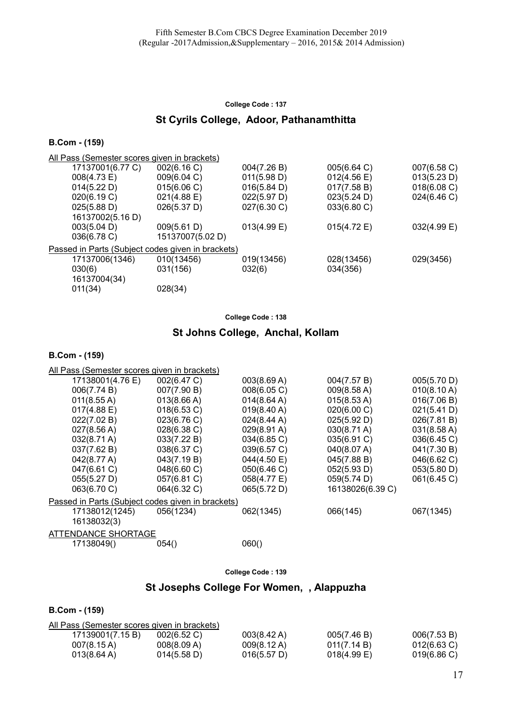# St Cyrils College, Adoor, Pathanamthitta

#### B.Com - (159)

| All Pass (Semester scores given in brackets)      |                       |                |                       |             |  |  |
|---------------------------------------------------|-----------------------|----------------|-----------------------|-------------|--|--|
| 17137001(6.77 C)                                  | 002(6.16 C)           | 004(7.26 B)    | 005(6.64 C)           | 007(6.58 C) |  |  |
| 008(4.73 E)                                       | 009(6.04 C)           | 011(5.98 D)    | $012(4.56 \text{ E})$ | 013(5.23 D) |  |  |
| 014(5.22 D)                                       | 015(6.06 C)           | 016(5.84 D)    | 017(7.58 B)           | 018(6.08 C) |  |  |
| 020(6.19 C)                                       | $021(4.88 \text{ E})$ | 022(5.97 D)    | 023(5.24 D)           | 024(6.46 C) |  |  |
| 025(5.88 D)                                       | 026(5.37 D)           | 027(6.30 C)    | 033(6.80 C)           |             |  |  |
| 16137002(5.16 D)                                  |                       |                |                       |             |  |  |
| 003(5.04 D)                                       | 009(5.61 D)           | $013(4.99)$ E) | 015(4.72 E)           | 032(4.99 E) |  |  |
| 036(6.78 C)                                       | 15137007(5.02 D)      |                |                       |             |  |  |
| Passed in Parts (Subject codes given in brackets) |                       |                |                       |             |  |  |
| 17137006(1346)                                    | 010(13456)            | 019(13456)     | 028(13456)            | 029(3456)   |  |  |
| 030(6)                                            | 031(156)              | 032(6)         | 034(356)              |             |  |  |
| 16137004(34)                                      |                       |                |                       |             |  |  |
| 011(34)                                           | 028(34)               |                |                       |             |  |  |
|                                                   |                       |                |                       |             |  |  |

College Code : 138

# St Johns College, Anchal, Kollam

#### B.Com - (159)

| All Pass (Semester scores given in brackets)      |             |             |                       |                       |
|---------------------------------------------------|-------------|-------------|-----------------------|-----------------------|
| 17138001(4.76 E)                                  | 002(6.47 C) | 003(8.69 A) | 004(7.57 B)           | 005(5.70 D)           |
| 006(7.74 B)                                       | 007(7.90 B) | 008(6.05 C) | 009(8.58 A)           | 010(8.10 A)           |
| 011(8.55 A)                                       | 013(8.66 A) | 014(8.64 A) | $015(8.53 \text{ A})$ | 016(7.06 B)           |
| 017(4.88 E)                                       | 018(6.53 C) | 019(8.40 A) | 020(6.00 C)           | 021(5.41 D)           |
| 022(7.02 B)                                       | 023(6.76 C) | 024(8.44 A) | 025(5.92 D)           | 026(7.81 B)           |
| 027(8.56 A)                                       | 028(6.38 C) | 029(8.91 A) | $030(8.71 \text{ A})$ | $031(8.58 \text{ A})$ |
| $032(8.71 \text{ A})$                             | 033(7.22 B) | 034(6.85 C) | 035(6.91 C)           | 036(6.45 C)           |
| 037(7.62 B)                                       | 038(6.37 C) | 039(6.57 C) | 040(8.07 A)           | 041(7.30 B)           |
| 042(8.77 A)                                       | 043(7.19 B) | 044(4.50 E) | 045(7.88 B)           | 046(6.62 C)           |
| 047(6.61 C)                                       | 048(6.60 C) | 050(6.46 C) | 052(5.93 D)           | 053(5.80 D)           |
| 055(5.27 D)                                       | 057(6.81 C) | 058(4.77 E) | 059(5.74 D)           | 061(6.45 C)           |
| 063(6.70 C)                                       | 064(6.32 C) | 065(5.72 D) | 16138026(6.39 C)      |                       |
| Passed in Parts (Subject codes given in brackets) |             |             |                       |                       |
| 17138012(1245)                                    | 056(1234)   | 062(1345)   | 066(145)              | 067(1345)             |
| 16138032(3)                                       |             |             |                       |                       |
| <b>ATTENDANCE SHORTAGE</b>                        |             |             |                       |                       |
| 17138049()                                        | 054()       | 060()       |                       |                       |
|                                                   |             |             |                       |                       |

College Code : 139

### St Josephs College For Women, , Alappuzha

| All Pass (Semester scores given in brackets) |             |             |                |                |  |  |
|----------------------------------------------|-------------|-------------|----------------|----------------|--|--|
| 17139001(7.15 B)                             | 002(6.52 C) | 003(8.42 A) | 005(7.46 B)    | 006(7.53 B)    |  |  |
| $007(8.15 \text{ A})$                        | 008(8.09 A) | 009(8.12 A) | 011(7.14 B)    | $012(6.63)$ C) |  |  |
| $013(8.64 \text{ A})$                        | 014(5.58 D) | 016(5.57 D) | $018(4.99)$ E) | 019(6.86)      |  |  |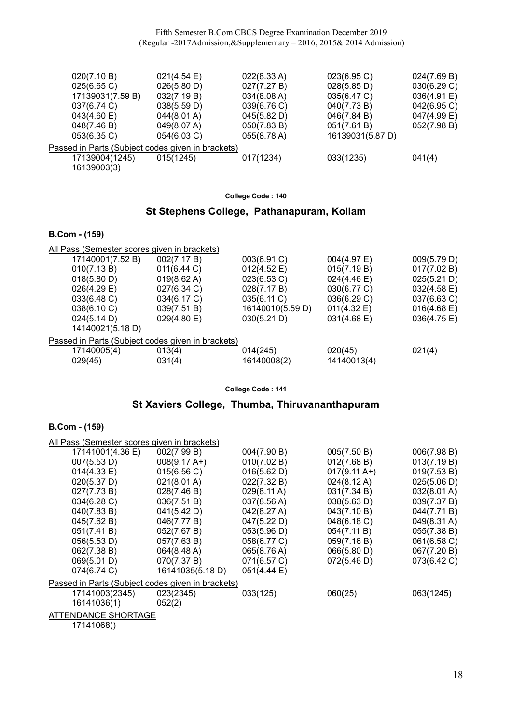Fifth Semester B.Com CBCS Degree Examination December 2019 (Regular -2017Admission,&Supplementary – 2016, 2015& 2014 Admission)

| 020(7.10 B)      | $021(4.54 \text{ E})$                             | 022(8.33 A) | 023(6.95)        | 024(7.69 B) |
|------------------|---------------------------------------------------|-------------|------------------|-------------|
| 025(6.65 C)      | 026(5.80 D)                                       | 027(7.27 B) | 028(5.85 D)      | 030(6.29 C) |
| 17139031(7.59 B) | 032(7.19 B)                                       | 034(8.08 A) | 035(6.47 C)      | 036(4.91 E) |
| 037(6.74 C)      | 038(5.59 D)                                       | 039(6.76 C) | 040(7.73 B)      | 042(6.95 C) |
| 043(4.60 E)      | 044(8.01 A)                                       | 045(5.82 D) | 046(7.84 B)      | 047(4.99 E) |
| 048(7.46 B)      | 049(8.07 A)                                       | 050(7.83 B) | 051(7.61 B)      | 052(7.98 B) |
| $053(6.35)$ C)   | 054(6.03 C)                                       | 055(8.78 A) | 16139031(5.87 D) |             |
|                  | Passed in Parts (Subject codes given in brackets) |             |                  |             |
| 17139004(1245)   | 015(1245)                                         | 017(1234)   | 033(1235)        | 041(4)      |
| 16139003(3)      |                                                   |             |                  |             |
|                  |                                                   |             |                  |             |

College Code : 140

### St Stephens College, Pathanapuram, Kollam

#### B.Com - (159)

| All Pass (Semester scores given in brackets)      |                       |                  |                       |                       |
|---------------------------------------------------|-----------------------|------------------|-----------------------|-----------------------|
| 17140001(7.52 B)                                  | 002(7.17 B)           | 003(6.91 C)      | 004(4.97 E)           | 009(5.79 D)           |
| 010(7.13 B)                                       | 011(6.44)             | 012(4.52 E)      | 015(7.19 B)           | 017(7.02 B)           |
| 018(5.80 D)                                       | $019(8.62 \text{ A})$ | 023(6.53 C)      | $024(4.46 \text{ E})$ | 025(5.21 D)           |
| $026(4.29)$ E)                                    | 027(6.34 C)           | 028(7.17 B)      | 030(6.77 C)           | $032(4.58 \text{ E})$ |
| 033(6.48 C)                                       | 034(6.17 C)           | 035(6.11 C)      | 036(6.29 C)           | 037(6.63 C)           |
| 038(6.10 C)                                       | 039(7.51 B)           | 16140010(5.59 D) | 011(4.32 E)           | $016(4.68 \text{ E})$ |
| 024(5.14 D)                                       | 029(4.80 E)           | 030(5.21 D)      | 031(4.68 E)           | $036(4.75 \text{ E})$ |
| 14140021(5.18 D)                                  |                       |                  |                       |                       |
| Passed in Parts (Subject codes given in brackets) |                       |                  |                       |                       |
| 17140005(4)                                       | 013(4)                | 014(245)         | 020(45)               | 021(4)                |
| 029(45)                                           | 031(4)                | 16140008(2)      | 14140013(4)           |                       |
|                                                   |                       |                  |                       |                       |

College Code : 141

# St Xaviers College, Thumba, Thiruvananthapuram

#### B.Com - (159)

| All Pass (Semester scores given in brackets)      |                  |                       |                        |                       |  |  |
|---------------------------------------------------|------------------|-----------------------|------------------------|-----------------------|--|--|
| 17141001(4.36 E)                                  | 002(7.99 B)      | 004(7.90 B)           | 005(7.50 B)            | 006(7.98 B)           |  |  |
| 007(5.53 D)                                       | $008(9.17 A+)$   | 010(7.02 B)           | 012(7.68 B)            | 013(7.19 B)           |  |  |
| 014(4.33 E)                                       | 015(6.56 C)      | 016(5.62 D)           | $017(9.11 \text{ A+})$ | 019(7.53 B)           |  |  |
| 020(5.37 D)                                       | 021(8.01 A)      | 022(7.32 B)           | $024(8.12 \text{ A})$  | 025(5.06 D)           |  |  |
| 027(7.73 B)                                       | 028(7.46 B)      | $029(8.11 \text{ A})$ | 031(7.34 B)            | $032(8.01 \text{ A})$ |  |  |
| 034(6.28 C)                                       | 036(7.51 B)      | $037(8.56 \text{ A})$ | 038(5.63 D)            | 039(7.37 B)           |  |  |
| 040(7.83 B)                                       | 041(5.42 D)      | 042(8.27 A)           | 043(7.10 B)            | 044(7.71 B)           |  |  |
| 045(7.62 B)                                       | 046(7.77 B)      | 047(5.22 D)           | 048(6.18 C)            | 049(8.31 A)           |  |  |
| 051(7.41 B)                                       | 052(7.67 B)      | 053(5.96 D)           | 054(7.11 B)            | 055(7.38 B)           |  |  |
| 056(5.53 D)                                       | 057(7.63 B)      | 058(6.77 C)           | 059(7.16 B)            | 061(6.58 C)           |  |  |
| 062(7.38 B)                                       | 064(8.48 A)      | 065(8.76 A)           | 066(5.80 D)            | 067(7.20 B)           |  |  |
| 069(5.01 D)                                       | 070(7.37 B)      | 071(6.57 C)           | 072(5.46 D)            | 073(6.42 C)           |  |  |
| 074(6.74 C)                                       | 16141035(5.18 D) | 051(4.44 E)           |                        |                       |  |  |
| Passed in Parts (Subject codes given in brackets) |                  |                       |                        |                       |  |  |
| 17141003(2345)                                    | 023(2345)        | 033(125)              | 060(25)                | 063(1245)             |  |  |
| 16141036(1)                                       | 052(2)           |                       |                        |                       |  |  |
| <b>ATTENDANCE SHORTAGE</b>                        |                  |                       |                        |                       |  |  |

17141068()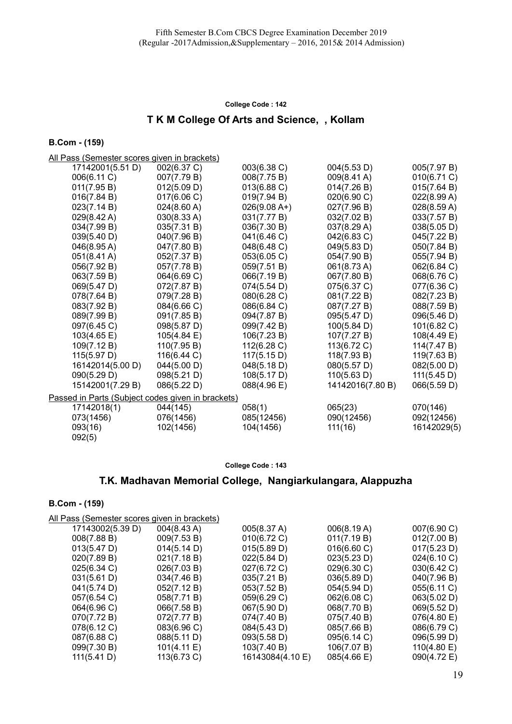# T K M College Of Arts and Science, , Kollam

#### B.Com - (159)

All Pass (Semester scores given in brackets)

| 17142001(5.51 D)                                  | 002(6.37 C) | 003(6.38 C)    | 004(5.53 D)      | 005(7.97 B) |
|---------------------------------------------------|-------------|----------------|------------------|-------------|
| 006(6.11 C)                                       | 007(7.79 B) | 008(7.75 B)    | 009(8.41 A)      | 010(6.71 C) |
| 011(7.95 B)                                       | 012(5.09 D) | 013(6.88 C)    | 014(7.26 B)      | 015(7.64 B) |
| 016(7.84 B)                                       | 017(6.06 C) | 019(7.94 B)    | 020(6.90 C)      | 022(8.99 A) |
| 023(7.14 B)                                       | 024(8.60 A) | $026(9.08 A+)$ | 027(7.96 B)      | 028(8.59 A) |
| $029(8.42 \text{ A})$                             | 030(8.33 A) | 031(7.77 B)    | 032(7.02 B)      | 033(7.57 B) |
| 034(7.99 B)                                       | 035(7.31 B) | 036(7.30 B)    | 037(8.29 A)      | 038(5.05 D) |
| 039(5.40 D)                                       | 040(7.96 B) | 041(6.46 C)    | 042(6.83 C)      | 045(7.22 B) |
| 046(8.95 A)                                       | 047(7.80 B) | 048(6.48 C)    | 049(5.83 D)      | 050(7.84 B) |
| $051(8.41 \text{ A})$                             | 052(7.37 B) | 053(6.05 C)    | 054(7.90 B)      | 055(7.94 B) |
| 056(7.92 B)                                       | 057(7.78 B) | 059(7.51 B)    | 061(8.73 A)      | 062(6.84 C) |
| 063(7.59 B)                                       | 064(6.69 C) | 066(7.19 B)    | 067(7.80 B)      | 068(6.76 C) |
| 069(5.47 D)                                       | 072(7.87 B) | 074(5.54 D)    | 075(6.37 C)      | 077(6.36 C) |
| 078(7.64 B)                                       | 079(7.28 B) | 080(6.28 C)    | 081(7.22 B)      | 082(7.23 B) |
| 083(7.92 B)                                       | 084(6.66 C) | 086(6.84 C)    | 087(7.27 B)      | 088(7.59 B) |
| 089(7.99 B)                                       | 091(7.85 B) | 094(7.87 B)    | 095(5.47 D)      | 096(5.46 D) |
| 097(6.45 C)                                       | 098(5.87 D) | 099(7.42 B)    | 100(5.84 D)      | 101(6.82 C) |
| 103(4.65 E)                                       | 105(4.84 E) | 106(7.23 B)    | 107(7.27 B)      | 108(4.49 E) |
| 109(7.12 B)                                       | 110(7.95 B) | 112(6.28 C)    | 113(6.72 C)      | 114(7.47 B) |
| 115(5.97 D)                                       | 116(6.44 C) | 117(5.15 D)    | 118(7.93 B)      | 119(7.63 B) |
| 16142014(5.00 D)                                  | 044(5.00 D) | 048(5.18 D)    | 080(5.57 D)      | 082(5.00 D) |
| 090(5.29 D)                                       | 098(5.21 D) | 108(5.17 D)    | 110(5.63 D)      | 111(5.45 D) |
| 15142001(7.29 B)                                  | 086(5.22 D) | 088(4.96 E)    | 14142016(7.80 B) | 066(5.59 D) |
| Passed in Parts (Subject codes given in brackets) |             |                |                  |             |
| 17142018(1)                                       | 044(145)    | 058(1)         | 065(23)          | 070(146)    |
| 073(1456)                                         | 076(1456)   | 085(12456)     | 090(12456)       | 092(12456)  |
| 093(16)                                           | 102(1456)   | 104(1456)      | 111(16)          | 16142029(5) |
| 092(5)                                            |             |                |                  |             |
|                                                   |             |                |                  |             |

#### College Code : 143

### T.K. Madhavan Memorial College, Nangiarkulangara, Alappuzha

| וטטון ווטט.                                          |                       |                  |             |             |  |  |  |
|------------------------------------------------------|-----------------------|------------------|-------------|-------------|--|--|--|
| <u> All Pass (Semester scores given in brackets)</u> |                       |                  |             |             |  |  |  |
| 17143002(5.39 D)                                     | $004(8.43 \text{ A})$ | 005(8.37 A)      | 006(8.19 A) | 007(6.90 C) |  |  |  |
| 008(7.88 B)                                          | 009(7.53 B)           | 010(6.72 C)      | 011(7.19 B) | 012(7.00 B) |  |  |  |
| 013(5.47 D)                                          | 014(5.14 D)           | 015(5.89 D)      | 016(6.60 C) | 017(5.23 D) |  |  |  |
| 020(7.89 B)                                          | 021(7.18 B)           | 022(5.84 D)      | 023(5.23 D) | 024(6.10 C) |  |  |  |
| 025(6.34 C)                                          | 026(7.03 B)           | 027(6.72 C)      | 029(6.30 C) | 030(6.42 C) |  |  |  |
| 031(5.61 D)                                          | 034(7.46 B)           | 035(7.21 B)      | 036(5.89 D) | 040(7.96 B) |  |  |  |
| 041(5.74 D)                                          | 052(7.12 B)           | 053(7.52 B)      | 054(5.94 D) | 055(6.11 C) |  |  |  |
| 057(6.54 C)                                          | 058(7.71 B)           | 059(6.29 C)      | 062(6.08 C) | 063(5.02 D) |  |  |  |
| 064(6.96 C)                                          | 066(7.58 B)           | 067(5.90 D)      | 068(7.70 B) | 069(5.52 D) |  |  |  |
| 070(7.72 B)                                          | 072(7.77 B)           | 074(7.40 B)      | 075(7.40 B) | 076(4.80 E) |  |  |  |
| 078(6.12 C)                                          | 083(6.96 C)           | 084(5.43 D)      | 085(7.66 B) | 086(6.79 C) |  |  |  |
| 087(6.88 C)                                          | 088(5.11 D)           | 093(5.58 D)      | 095(6.14 C) | 096(5.99 D) |  |  |  |
| 099(7.30 B)                                          | 101(4.11 E)           | 103(7.40 B)      | 106(7.07 B) | 110(4.80 E) |  |  |  |
| 111(5.41 D)                                          | 113(6.73 C)           | 16143084(4.10 E) | 085(4.66 E) | 090(4.72 E) |  |  |  |
|                                                      |                       |                  |             |             |  |  |  |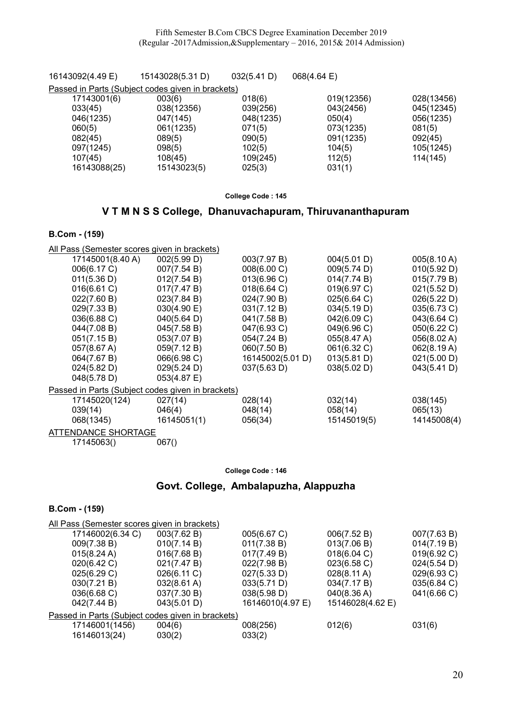| 16143092(4.49 E) | 15143028(5.31 D)                                  | 032(5.41 D) | $068(4.64 \text{ E})$ |            |
|------------------|---------------------------------------------------|-------------|-----------------------|------------|
|                  | Passed in Parts (Subject codes given in brackets) |             |                       |            |
| 17143001(6)      | 003(6)                                            | 018(6)      | 019(12356)            | 028(13456) |
| 033(45)          | 038(12356)                                        | 039(256)    | 043(2456)             | 045(12345) |
| 046(1235)        | 047(145)                                          | 048(1235)   | 050(4)                | 056(1235)  |
| 060(5)           | 061(1235)                                         | 071(5)      | 073(1235)             | 081(5)     |
| 082(45)          | 089(5)                                            | 090(5)      | 091(1235)             | 092(45)    |
| 097(1245)        | 098(5)                                            | 102(5)      | 104(5)                | 105(1245)  |
| 107(45)          | 108(45)                                           | 109(245)    | 112(5)                | 114(145)   |
| 16143088(25)     | 15143023(5)                                       | 025(3)      | 031(1)                |            |
|                  |                                                   |             |                       |            |

### V T M N S S College, Dhanuvachapuram, Thiruvananthapuram

### B.Com - (159)

B.Com - (159)

All Pass (Semester scores given in brackets)

| 17145001(8.40 A)    | 002(5.99 D)                                       | 003(7.97 B)      | 004(5.01 D) | 005(8.10 A) |
|---------------------|---------------------------------------------------|------------------|-------------|-------------|
| 006(6.17 C)         | 007(7.54 B)                                       | 008(6.00 C)      | 009(5.74 D) | 010(5.92 D) |
| 011(5.36 D)         | 012(7.54 B)                                       | 013(6.96 C)      | 014(7.74 B) | 015(7.79 B) |
| 016(6.61 C)         | 017(7.47 B)                                       | 018(6.64 C)      | 019(6.97 C) | 021(5.52 D) |
| 022(7.60 B)         | 023(7.84 B)                                       | 024(7.90 B)      | 025(6.64 C) | 026(5.22 D) |
| 029(7.33 B)         | 030(4.90 E)                                       | 031(7.12 B)      | 034(5.19 D) | 035(6.73 C) |
| 036(6.88 C)         | 040(5.64 D)                                       | 041(7.58 B)      | 042(6.09 C) | 043(6.64 C) |
| 044(7.08 B)         | 045(7.58 B)                                       | 047(6.93 C)      | 049(6.96 C) | 050(6.22 C) |
| 051(7.15 B)         | 053(7.07 B)                                       | 054(7.24 B)      | 055(8.47 A) | 056(8.02 A) |
| 057(8.67 A)         | 059(7.12 B)                                       | 060(7.50 B)      | 061(6.32 C) | 062(8.19 A) |
| 064(7.67 B)         | 066(6.98 C)                                       | 16145002(5.01 D) | 013(5.81 D) | 021(5.00 D) |
| 024(5.82 D)         | 029(5.24 D)                                       | 037(5.63 D)      | 038(5.02 D) | 043(5.41 D) |
| 048(5.78 D)         | 053(4.87 E)                                       |                  |             |             |
|                     | Passed in Parts (Subject codes given in brackets) |                  |             |             |
| 17145020(124)       | 027(14)                                           | 028(14)          | 032(14)     | 038(145)    |
| 039(14)             | 046(4)                                            | 048(14)          | 058(14)     | 065(13)     |
| 068(1345)           | 16145051(1)                                       | 056(34)          | 15145019(5) | 14145008(4) |
| ATTENDANCE SHORTAGE |                                                   |                  |             |             |
| 17145063()          | 067()                                             |                  |             |             |
|                     |                                                   |                  |             |             |

#### College Code : 146

# Govt. College, Ambalapuzha, Alappuzha

| All Pass (Semester scores given in brackets)      |                       |                  |                       |             |  |
|---------------------------------------------------|-----------------------|------------------|-----------------------|-------------|--|
| 17146002(6.34 C)                                  | 003(7.62 B)           | 005(6.67 C)      | 006(7.52 B)           | 007(7.63 B) |  |
| 009(7.38 B)                                       | 010(7.14 B)           | 011(7.38 B)      | 013(7.06 B)           | 014(7.19 B) |  |
| 015(8.24 A)                                       | 016(7.68 B)           | 017(7.49 B)      | 018(6.04 C)           | 019(6.92 C) |  |
| 020(6.42 C)                                       | 021(7.47 B)           | 022(7.98 B)      | 023(6.58 C)           | 024(5.54 D) |  |
| 025(6.29 C)                                       | 026(6.11 C)           | 027(5.33 D)      | $028(8.11 \text{ A})$ | 029(6.93 C) |  |
| 030(7.21 B)                                       | $032(8.61 \text{ A})$ | 033(5.71 D)      | 034(7.17 B)           | 035(6.84 C) |  |
| 036(6.68 C)                                       | 037(7.30 B)           | 038(5.98 D)      | 040(8.36 A)           | 041(6.66 C) |  |
| 042(7.44 B)                                       | 043(5.01 D)           | 16146010(4.97 E) | 15146028(4.62 E)      |             |  |
| Passed in Parts (Subject codes given in brackets) |                       |                  |                       |             |  |
| 17146001(1456)                                    | 004(6)                | 008(256)         | 012(6)                | 031(6)      |  |
| 16146013(24)                                      | 030(2)                | 033(2)           |                       |             |  |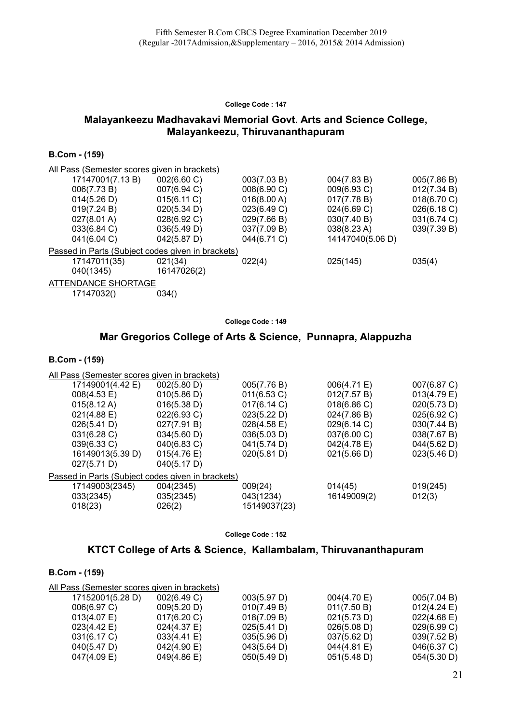### Malayankeezu Madhavakavi Memorial Govt. Arts and Science College, Malayankeezu, Thiruvananthapuram

### B.Com - (159)

| All Pass (Semester scores given in brackets)      |             |             |                  |             |
|---------------------------------------------------|-------------|-------------|------------------|-------------|
| 17147001(7.13 B)                                  | 002(6.60 C) | 003(7.03 B) | 004(7.83 B)      | 005(7.86 B) |
| 006(7.73 B)                                       | 007(6.94 C) | 008(6.90 C) | 009(6.93 C)      | 012(7.34 B) |
| 014(5.26 D)                                       | 015(6.11 C) | 016(8.00 A) | 017(7.78 B)      | 018(6.70 C) |
| 019(7.24 B)                                       | 020(5.34 D) | 023(6.49 C) | 024(6.69 C)      | 026(6.18 C) |
| $027(8.01 \text{ A})$                             | 028(6.92 C) | 029(7.66 B) | 030(7.40 B)      | 031(6.74 C) |
| 033(6.84 C)                                       | 036(5.49 D) | 037(7.09 B) | 038(8.23 A)      | 039(7.39 B) |
| 041(6.04 C)                                       | 042(5.87 D) | 044(6.71 C) | 14147040(5.06 D) |             |
| Passed in Parts (Subject codes given in brackets) |             |             |                  |             |
| 17147011(35)                                      | 021(34)     | 022(4)      | 025(145)         | 035(4)      |
| 040(1345)                                         | 16147026(2) |             |                  |             |
| ATTENDANCE SHORTAGE                               |             |             |                  |             |
| 17147032()                                        | 034()       |             |                  |             |

College Code : 149

### Mar Gregorios College of Arts & Science, Punnapra, Alappuzha

#### B.Com - (159)

| All Pass (Semester scores given in brackets)      |             |                       |             |             |  |
|---------------------------------------------------|-------------|-----------------------|-------------|-------------|--|
| 17149001(4.42 E)                                  | 002(5.80 D) | 005(7.76 B)           | 006(4.71 E) | 007(6.87 C) |  |
| 008(4.53 E)                                       | 010(5.86 D) | 011(6.53 C)           | 012(7.57 B) | 013(4.79 E) |  |
| $015(8.12 \text{ A})$                             | 016(5.38 D) | 017(6.14 C)           | 018(6.86)   | 020(5.73 D) |  |
| $021(4.88 \text{ E})$                             | 022(6.93 C) | 023(5.22 D)           | 024(7.86 B) | 025(6.92 C) |  |
| 026(5.41 D)                                       | 027(7.91 B) | $028(4.58 \text{ E})$ | 029(6.14 C) | 030(7.44 B) |  |
| 031(6.28 C)                                       | 034(5.60 D) | 036(5.03 D)           | 037(6.00 C) | 038(7.67 B) |  |
| 039(6.33 C)                                       | 040(6.83 C) | 041(5.74 D)           | 042(4.78 E) | 044(5.62 D) |  |
| 16149013(5.39 D)                                  | 015(4.76)   | 020(5.81 D)           | 021(5.66 D) | 023(5.46 D) |  |
| 027(5.71 D)                                       | 040(5.17 D) |                       |             |             |  |
| Passed in Parts (Subject codes given in brackets) |             |                       |             |             |  |
| 17149003(2345)                                    | 004(2345)   | 009(24)               | 014(45)     | 019(245)    |  |
| 033(2345)                                         | 035(2345)   | 043(1234)             | 16149009(2) | 012(3)      |  |
| 018(23)                                           | 026(2)      | 15149037(23)          |             |             |  |
|                                                   |             |                       |             |             |  |

College Code : 152

### KTCT College of Arts & Science, Kallambalam, Thiruvananthapuram

| All Pass (Semester scores given in brackets) |                       |             |                       |             |  |  |
|----------------------------------------------|-----------------------|-------------|-----------------------|-------------|--|--|
| 17152001(5.28 D)                             | 002(6.49 C)           | 003(5.97 D) | 004(4.70 E)           | 005(7.04 B) |  |  |
| 006(6.97 C)                                  | 009(5.20 D)           | 010(7.49 B) | 011(7.50 B)           | 012(4.24)   |  |  |
| $013(4.07)$ E)                               | 017(6.20 C)           | 018(7.09 B) | 021(5.73 D)           | 022(4.68)   |  |  |
| $023(4.42 \text{ E})$                        | $024(4.37)$ E)        | 025(5.41 D) | 026(5.08 D)           | 029(6.99 C) |  |  |
| 031(6.17 C)                                  | 033(4.41 E)           | 035(5.96 D) | 037(5.62 D)           | 039(7.52 B) |  |  |
| 040(5.47 D)                                  | 042(4.90 E)           | 043(5.64 D) | $044(4.81 \text{ E})$ | 046(6.37 C) |  |  |
| $047(4.09)$ E)                               | $049(4.86 \text{ E})$ | 050(5.49 D) | 051(5.48 D)           | 054(5.30 D) |  |  |
|                                              |                       |             |                       |             |  |  |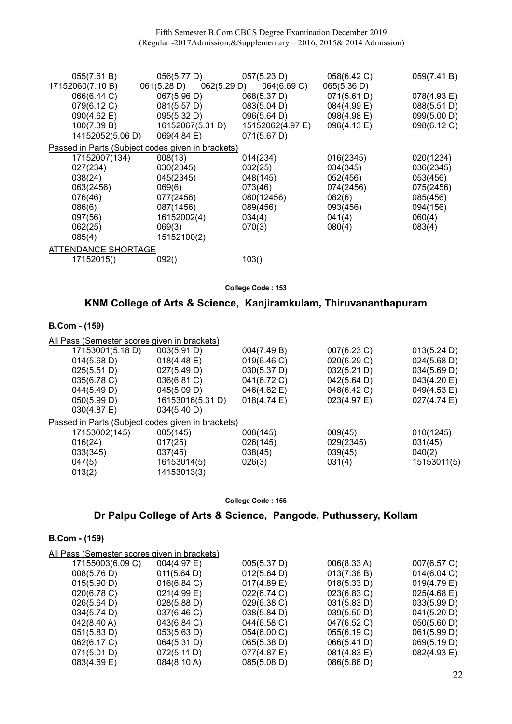| 055(7.61 B)         | 056(5.77 D)                                       | 057(5.23 D)      | 058(6.42 C) | 059(7.41 B) |  |
|---------------------|---------------------------------------------------|------------------|-------------|-------------|--|
| 17152060(7.10 B)    | 061(5.28 D)<br>062(5.29 D)                        | 064(6.69 C)      | 065(5.36 D) |             |  |
| 066(6.44 C)         | 067(5.96 D)                                       | 068(5.37 D)      | 071(5.61 D) | 078(4.93 E) |  |
| 079(6.12 C)         | 081(5.57 D)                                       | 083(5.04 D)      | 084(4.99 E) | 088(5.51 D) |  |
| 090(4.62 E)         | 095(5.32 D)                                       | 096(5.64 D)      | 098(4.98 E) | 099(5.00 D) |  |
| 100(7.39 B)         | 16152067(5.31 D)                                  | 15152062(4.97 E) | 096(4.13 E) | 098(6.12 C) |  |
| 14152052(5.06 D)    | 069(4.84 E)                                       | 071(5.67 D)      |             |             |  |
|                     | Passed in Parts (Subject codes given in brackets) |                  |             |             |  |
| 17152007(134)       | 008(13)                                           | 014(234)         | 016(2345)   | 020(1234)   |  |
| 027(234)            | 030(2345)                                         | 032(25)          | 034(345)    | 036(2345)   |  |
| 038(24)             | 045(2345)                                         | 048(145)         | 052(456)    | 053(456)    |  |
| 063(2456)           | 069(6)                                            | 073(46)          | 074(2456)   | 075(2456)   |  |
| 076(46)             | 077(2456)                                         | 080(12456)       | 082(6)      | 085(456)    |  |
| 086(6)              | 087(1456)                                         | 089(456)         | 093(456)    | 094(156)    |  |
| 097(56)             | 16152002(4)                                       | 034(4)           | 041(4)      | 060(4)      |  |
| 062(25)             | 069(3)                                            | 070(3)           | 080(4)      | 083(4)      |  |
| 085(4)              | 15152100(2)                                       |                  |             |             |  |
| ATTENDANCE SHORTAGE |                                                   |                  |             |             |  |
| 17152015()          | 092()                                             | 103()            |             |             |  |

# KNM College of Arts & Science, Kanjiramkulam, Thiruvananthapuram

### B.Com - (159)

| All Pass (Semester scores given in brackets)      |                       |                       |             |                       |
|---------------------------------------------------|-----------------------|-----------------------|-------------|-----------------------|
| 17153001(5.18 D)                                  | 003(5.91 D)           | 004(7.49 B)           | 007(6.23 C) | 013(5.24 D)           |
| 014(5.68 D)                                       | $018(4.48 \text{ E})$ | 019(6.46 C)           | 020(6.29 C) | $024(5.68 \text{ D})$ |
| 025(5.51 D)                                       | 027(5.49 D)           | 030(5.37 D)           | 032(5.21 D) | 034(5.69 D)           |
| $035(6.78)$ C)                                    | 036(6.81 C)           | 041(6.72 C)           | 042(5.64 D) | 043(4.20 E)           |
| 044(5.49 D)                                       | 045(5.09 D)           | 046(4.62 E)           | 048(6.42 C) | 049(4.53 E)           |
| 050(5.99 D)                                       | 16153016(5.31 D)      | $018(4.74 \text{ E})$ | 023(4.97 E) | $027(4.74)$ E)        |
| $030(4.87 \text{ E})$                             | 034(5.40 D)           |                       |             |                       |
| Passed in Parts (Subject codes given in brackets) |                       |                       |             |                       |
| 17153002(145)                                     | 005(145)              | 008(145)              | 009(45)     | 010(1245)             |
| 016(24)                                           | 017(25)               | 026(145)              | 029(2345)   | 031(45)               |
| 033(345)                                          | 037(45)               | 038(45)               | 039(45)     | 040(2)                |
| 047(5)                                            | 16153014(5)           | 026(3)                | 031(4)      | 15153011(5)           |
| 013(2)                                            | 14153013(3)           |                       |             |                       |
|                                                   |                       |                       |             |                       |

College Code : 155

# Dr Palpu College of Arts & Science, Pangode, Puthussery, Kollam

| All Pass (Semester scores given in brackets) |                       |                |             |             |  |  |
|----------------------------------------------|-----------------------|----------------|-------------|-------------|--|--|
| 17155003(6.09 C)                             | 004(4.97 E)           | 005(5.37 D)    | 006(8.33 A) | 007(6.57 C) |  |  |
| 008(5.76 D)                                  | 011(5.64 D)           | 012(5.64 D)    | 013(7.38 B) | 014(6.04 C) |  |  |
| 015(5.90 D)                                  | 016(6.84 C)           | $017(4.89)$ E) | 018(5.33 D) | 019(4.79 E) |  |  |
| 020(6.78)                                    | 021(4.99 E)           | 022(6.74 C)    | 023(6.83 C) | 025(4.68)   |  |  |
| 026(5.64 D)                                  | 028(5.88 D)           | 029(6.38 C)    | 031(5.83 D) | 033(5.99 D) |  |  |
| 034(5.74 D)                                  | $037(6.46 \text{ C})$ | 038(5.84 D)    | 039(5.50 D) | 041(5.20 D) |  |  |
| $042(8.40 \text{ A})$                        | 043(6.84 C)           | 044(6.58 C)    | 047(6.52 C) | 050(5.60 D) |  |  |
| 051(5.83 D)                                  | 053(5.63 D)           | 054(6.00 C)    | 055(6.19 C) | 061(5.99 D) |  |  |
| 062(6.17 C)                                  | 064(5.31 D)           | 065(5.38 D)    | 066(5.41 D) | 069(5.19 D) |  |  |
| 071(5.01 D)                                  | 072(5.11 D)           | 077(4.87 E)    | 081(4.83 E) | 082(4.93 E) |  |  |
| $083(4.69)$ E)                               | 084(8.10 A)           | 085(5.08 D)    | 086(5.86 D) |             |  |  |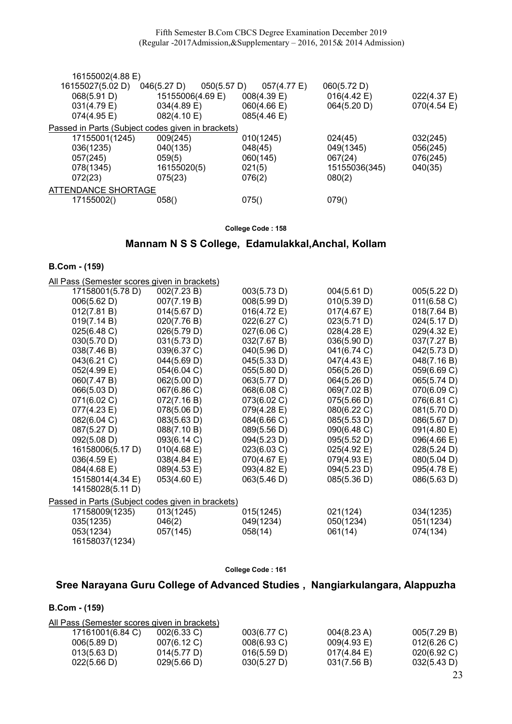Fifth Semester B.Com CBCS Degree Examination December 2019 (Regular -2017Admission,&Supplementary – 2016, 2015& 2014 Admission)

| 16155002(4.88 E)    |                                                   |                |               |             |
|---------------------|---------------------------------------------------|----------------|---------------|-------------|
| 16155027(5.02 D)    | 050(5.57 D)<br>046(5.27 D)                        | 057(4.77 E)    | 060(5.72 D)   |             |
| 068(5.91 D)         | 15155006(4.69 E)                                  | $008(4.39)$ E) | 016(4.42 E)   | 022(4.37 E) |
| 031(4.79 E)         | 034(4.89 E)                                       | 060(4.66 E)    | 064(5.20 D)   | 070(4.54)   |
| 074(4.95 E)         | 082(4.10 E)                                       | 085(4.46 E)    |               |             |
|                     | Passed in Parts (Subject codes given in brackets) |                |               |             |
| 17155001(1245)      | 009(245)                                          | 010(1245)      | 024(45)       | 032(245)    |
| 036(1235)           | 040(135)                                          | 048(45)        | 049(1345)     | 056(245)    |
| 057(245)            | 059(5)                                            | 060(145)       | 067(24)       | 076(245)    |
| 078(1345)           | 16155020(5)                                       | 021(5)         | 15155036(345) | 040(35)     |
| 072(23)             | 075(23)                                           | 076(2)         | 080(2)        |             |
| ATTENDANCE SHORTAGE |                                                   |                |               |             |
| 17155002()          | 058()                                             | 075()          | 079()         |             |
|                     |                                                   |                |               |             |

#### College Code : 158

# Mannam N S S College, Edamulakkal,Anchal, Kollam

### B.Com - (159)

| - - - - - -<br>$\cdots$                           |                       |             |                |             |
|---------------------------------------------------|-----------------------|-------------|----------------|-------------|
| All Pass (Semester scores given in brackets)      |                       |             |                |             |
| 17158001(5.78 D)                                  | 002(7.23 B)           | 003(5.73 D) | 004(5.61 D)    | 005(5.22 D) |
| 006(5.62 D)                                       | 007(7.19 B)           | 008(5.99 D) | 010(5.39 D)    | 011(6.58 C) |
| 012(7.81 B)                                       | 014(5.67 D)           | 016(4.72 E) | $017(4.67)$ E) | 018(7.64 B) |
| 019(7.14 B)                                       | 020(7.76 B)           | 022(6.27 C) | 023(5.71 D)    | 024(5.17 D) |
| 025(6.48 C)                                       | 026(5.79 D)           | 027(6.06 C) | 028(4.28 E)    | 029(4.32 E) |
| 030(5.70 D)                                       | 031(5.73 D)           | 032(7.67 B) | 036(5.90 D)    | 037(7.27 B) |
| 038(7.46 B)                                       | 039(6.37 C)           | 040(5.96 D) | 041(6.74 C)    | 042(5.73 D) |
| 043(6.21 C)                                       | 044(5.69 D)           | 045(5.33 D) | 047(4.43 E)    | 048(7.16 B) |
| 052(4.99 E)                                       | 054(6.04 C)           | 055(5.80 D) | 056(5.26 D)    | 059(6.69 C) |
| 060(7.47 B)                                       | 062(5.00 D)           | 063(5.77 D) | 064(5.26 D)    | 065(5.74 D) |
| 066(5.03 D)                                       | 067(6.86 C)           | 068(6.08 C) | 069(7.02 B)    | 070(6.09 C) |
| 071(6.02 C)                                       | 072(7.16 B)           | 073(6.02 C) | 075(5.66 D)    | 076(6.81 C) |
| 077(4.23 E)                                       | 078(5.06 D)           | 079(4.28 E) | 080(6.22 C)    | 081(5.70 D) |
| 082(6.04 C)                                       | 083(5.63 D)           | 084(6.66 C) | 085(5.53 D)    | 086(5.67 D) |
| 087(5.27 D)                                       | 088(7.10 B)           | 089(5.56 D) | 090(6.48 C)    | 091(4.80 E) |
| 092(5.08 D)                                       | 093(6.14 C)           | 094(5.23 D) | 095(5.52 D)    | 096(4.66 E) |
| 16158006(5.17 D)                                  | $010(4.68 \text{ E})$ | 023(6.03 C) | 025(4.92 E)    | 028(5.24 D) |
| 036(4.59 E)                                       | 038(4.84 E)           | 070(4.67)   | 079(4.93 E)    | 080(5.04 D) |
| 084(4.68 E)                                       | 089(4.53 E)           | 093(4.82 E) | 094(5.23 D)    | 095(4.78 E) |
| 15158014(4.34 E)                                  | 053(4.60 E)           | 063(5.46 D) | 085(5.36 D)    | 086(5.63 D) |
| 14158028(5.11 D)                                  |                       |             |                |             |
| Passed in Parts (Subject codes given in brackets) |                       |             |                |             |
| 17158009(1235)                                    | 013(1245)             | 015(1245)   | 021(124)       | 034(1235)   |
| 035(1235)                                         | 046(2)                | 049(1234)   | 050(1234)      | 051(1234)   |
| 053(1234)                                         | 057(145)              | 058(14)     | 061(14)        | 074(134)    |
| 16158037(1234)                                    |                       |             |                |             |

#### College Code : 161

# Sree Narayana Guru College of Advanced Studies , Nangiarkulangara, Alappuzha

| All Pass (Semester scores given in brackets) |                |                |                       |                |
|----------------------------------------------|----------------|----------------|-----------------------|----------------|
| 17161001(6.84 C)                             | $002(6.33)$ C) | 003(6.77 C)    | $004(8.23 \text{ A})$ | 005(7.29 B)    |
| 006(5.89 D)                                  | 007(6.12 C)    | $008(6.93)$ C) | 009(4.93 E)           | 012(6.26)      |
| 013(5.63 D)                                  | 014(5.77 D)    | 016(5.59 D)    | $017(4.84)$ E)        | $020(6.92)$ C) |
| 022(5.66 D)                                  | 029(5.66 D)    | 030(5.27 D)    | 031(7.56 B)           | 032(5.43 D)    |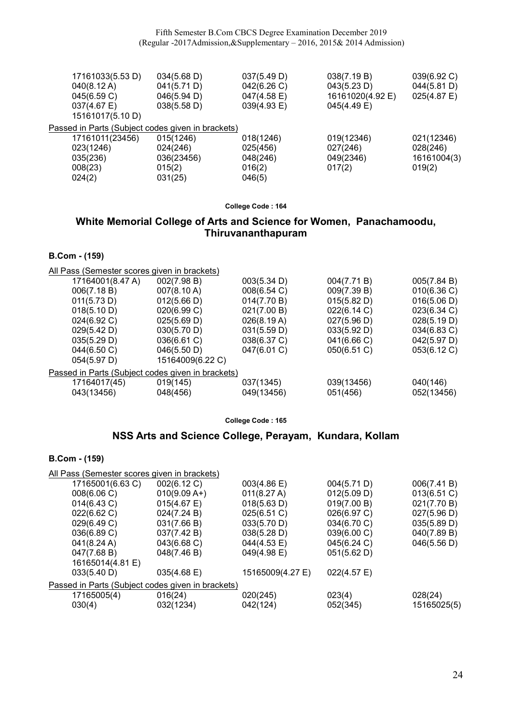| 17161033(5.53 D)                                  | 034(5.68 D) | 037(5.49 D) | 038(7.19 B)      | 039(6.92 C)    |
|---------------------------------------------------|-------------|-------------|------------------|----------------|
| $040(8.12 \text{ A})$                             | 041(5.71 D) | 042(6.26 C) | 043(5.23 D)      | 044(5.81 D)    |
| 045(6.59 C)                                       | 046(5.94 D) | 047(4.58 E) | 16161020(4.92 E) | $025(4.87)$ E) |
| $037(4.67)$ E)                                    | 038(5.58 D) | 039(4.93 E) | 045(4.49 E)      |                |
| 15161017(5.10 D)                                  |             |             |                  |                |
| Passed in Parts (Subject codes given in brackets) |             |             |                  |                |
| 17161011(23456)                                   | 015(1246)   | 018(1246)   | 019(12346)       | 021(12346)     |
| 023(1246)                                         | 024(246)    | 025(456)    | 027(246)         | 028(246)       |
| 035(236)                                          | 036(23456)  | 048(246)    | 049(2346)        | 16161004(3)    |
| 008(23)                                           | 015(2)      | 016(2)      | 017(2)           | 019(2)         |
| 024(2)                                            | 031(25)     | 046(5)      |                  |                |

### White Memorial College of Arts and Science for Women, Panachamoodu, Thiruvananthapuram

B.Com - (159)

| All Pass (Semester scores given in brackets) |                                                   |             |             |             |  |  |  |
|----------------------------------------------|---------------------------------------------------|-------------|-------------|-------------|--|--|--|
| 17164001(8.47 A)                             | 002(7.98 B)                                       | 003(5.34 D) | 004(7.71 B) | 005(7.84 B) |  |  |  |
| 006(7.18 B)                                  | 007(8.10 A)                                       | 008(6.54 C) | 009(7.39 B) | 010(6.36)   |  |  |  |
| 011(5.73 D)                                  | 012(5.66 D)                                       | 014(7.70 B) | 015(5.82 D) | 016(5.06 D) |  |  |  |
| 018(5.10 D)                                  | 020(6.99 C)                                       | 021(7.00 B) | 022(6.14 C) | 023(6.34 C) |  |  |  |
| 024(6.92 C)                                  | 025(5.69 D)                                       | 026(8.19 A) | 027(5.96 D) | 028(5.19 D) |  |  |  |
| 029(5.42 D)                                  | 030(5.70 D)                                       | 031(5.59 D) | 033(5.92 D) | 034(6.83 C) |  |  |  |
| 035(5.29 D)                                  | 036(6.61 C)                                       | 038(6.37 C) | 041(6.66 C) | 042(5.97 D) |  |  |  |
| 044(6.50 C)                                  | 046(5.50 D)                                       | 047(6.01 C) | 050(6.51 C) | 053(6.12 C) |  |  |  |
| 054(5.97 D)                                  | 15164009(6.22 C)                                  |             |             |             |  |  |  |
|                                              | Passed in Parts (Subject codes given in brackets) |             |             |             |  |  |  |
| 17164017(45)                                 | 019(145)                                          | 037(1345)   | 039(13456)  | 040(146)    |  |  |  |
| 043(13456)                                   | 048(456)                                          | 049(13456)  | 051(456)    | 052(13456)  |  |  |  |
|                                              |                                                   |             |             |             |  |  |  |

College Code : 165

### NSS Arts and Science College, Perayam, Kundara, Kollam

| All Pass (Semester scores given in brackets)      |                  |             |                |  |  |  |
|---------------------------------------------------|------------------|-------------|----------------|--|--|--|
| 002(6.12 C)                                       | 003(4.86 E)      | 004(5.71 D) | 006(7.41 B)    |  |  |  |
| $010(9.09 A+)$                                    | 011(8.27 A)      | 012(5.09 D) | $013(6.51)$ C) |  |  |  |
| 015(4.67)                                         | 018(5.63 D)      | 019(7.00 B) | 021(7.70 B)    |  |  |  |
| 024(7.24 B)                                       | 025(6.51 C)      | 026(6.97 C) | 027(5.96 D)    |  |  |  |
| 031(7.66 B)                                       | 033(5.70 D)      | 034(6.70 C) | 035(5.89 D)    |  |  |  |
| 037(7.42 B)                                       | 038(5.28 D)      | 039(6.00 C) | 040(7.89 B)    |  |  |  |
| 043(6.68 C)                                       | 044(4.53 E)      | 045(6.24 C) | 046(5.56 D)    |  |  |  |
| 048(7.46 B)                                       | 049(4.98 E)      | 051(5.62 D) |                |  |  |  |
|                                                   |                  |             |                |  |  |  |
| 035(4.68 E)                                       | 15165009(4.27 E) | 022(4.57 E) |                |  |  |  |
| Passed in Parts (Subject codes given in brackets) |                  |             |                |  |  |  |
| 016(24)                                           | 020(245)         | 023(4)      | 028(24)        |  |  |  |
| 032(1234)                                         | 042(124)         | 052(345)    | 15165025(5)    |  |  |  |
|                                                   |                  |             |                |  |  |  |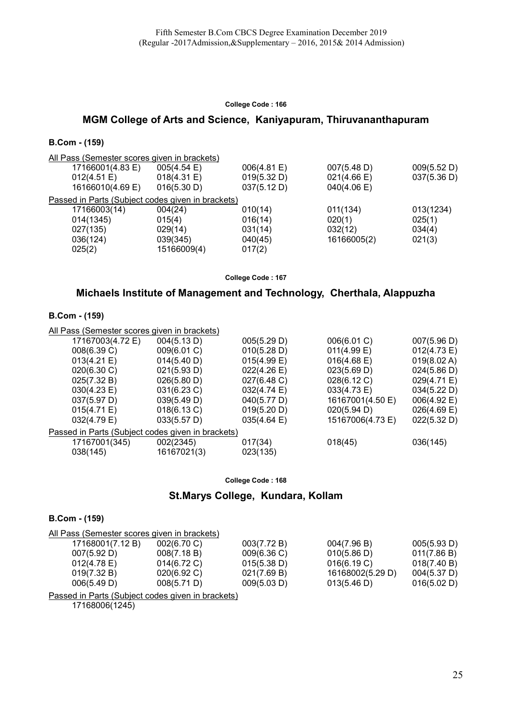### MGM College of Arts and Science, Kaniyapuram, Thiruvananthapuram

#### B.Com - (159)

| All Pass (Semester scores given in brackets)      |                       |             |                       |             |
|---------------------------------------------------|-----------------------|-------------|-----------------------|-------------|
| 17166001(4.83 E)                                  | $005(4.54 \text{ E})$ | 006(4.81 E) | 007(5.48 D)           | 009(5.52 D) |
| 012(4.51 E)                                       | 018(4.31 E)           | 019(5.32 D) | $021(4.66 \text{ E})$ | 037(5.36 D) |
| 16166010(4.69 E)                                  | 016(5.30 D)           | 037(5.12 D) | 040(4.06)             |             |
| Passed in Parts (Subject codes given in brackets) |                       |             |                       |             |
| 17166003(14)                                      | 004(24)               | 010(14)     | 011(134)              | 013(1234)   |
| 014(1345)                                         | 015(4)                | 016(14)     | 020(1)                | 025(1)      |
| 027(135)                                          | 029(14)               | 031(14)     | 032(12)               | 034(4)      |
| 036(124)                                          | 039(345)              | 040(45)     | 16166005(2)           | 021(3)      |
| 025(2)                                            | 15166009(4)           | 017(2)      |                       |             |

College Code : 167

### Michaels Institute of Management and Technology, Cherthala, Alappuzha

#### B.Com - (159)

| All Pass (Semester scores given in brackets) |                                                   |                     |                       |                |  |  |  |
|----------------------------------------------|---------------------------------------------------|---------------------|-----------------------|----------------|--|--|--|
| 17167003(4.72 E)                             | 004(5.13 D)                                       | 005(5.29 D)         | 006(6.01 C)           | 007(5.96 D)    |  |  |  |
| 008(6.39 C)                                  | 009(6.01 C)                                       | 010(5.28 D)         | $011(4.99)$ E)        | 012(4.73 E)    |  |  |  |
| 013(4.21 E)                                  | 014(5.40 D)                                       | $015(4.99)$ E)      | $016(4.68 \text{ E})$ | 019(8.02 A)    |  |  |  |
| 020(6.30 C)                                  | 021(5.93 D)                                       | 022(4.26 E)         | 023(5.69 D)           | 024(5.86 D)    |  |  |  |
| 025(7.32 B)                                  | 026(5.80 D)                                       | 027(6.48 C)         | 028(6.12 C)           | 029(4.71 E)    |  |  |  |
| 030(4.23 E)                                  | 031(6.23 C)                                       | 032(4.74 E)         | 033(4.73 E)           | 034(5.22 D)    |  |  |  |
| 037(5.97 D)                                  | 039(5.49 D)                                       | 040(5.77 D)         | 16167001(4.50 E)      | 006(4.92 E)    |  |  |  |
| 015(4.71 E)                                  | 018(6.13 C)                                       | 019(5.20 D)         | 020(5.94 D)           | $026(4.69)$ E) |  |  |  |
| 032(4.79 E)                                  | 033(5.57 D)                                       | 035(4.64 E)         | 15167006(4.73 E)      | 022(5.32 D)    |  |  |  |
|                                              | Passed in Parts (Subject codes given in brackets) |                     |                       |                |  |  |  |
| 17167001(345)<br>038(145)                    | 002(2345)<br>16167021(3)                          | 017(34)<br>023(135) | 018(45)               | 036(145)       |  |  |  |
|                                              |                                                   |                     |                       |                |  |  |  |

College Code : 168

# St.Marys College, Kundara, Kollam

#### B.Com - (159)

| All Pass (Semester scores given in brackets) |                |             |                  |                       |
|----------------------------------------------|----------------|-------------|------------------|-----------------------|
| 17168001(7.12 B)                             | 002(6.70 C)    | 003(7.72 B) | 004(7.96 B)      | 005(5.93 D)           |
| 007(5.92 D)                                  | 008(7.18 B)    | 009(6.36)   | 010(5.86 D)      | 011(7.86 B)           |
| $012(4.78)$ E)                               | $014(6.72)$ C) | 015(5.38 D) | 016(6.19 C)      | 018(7.40 B)           |
| 019(7.32 B)                                  | 020(6.92 C)    | 021(7.69 B) | 16168002(5.29 D) | $004(5.37 \text{ D})$ |
| 006(5.49 D)                                  | 008(5.71 D)    | 009(5.03 D) | 013(5.46 D)      | 016(5.02 D)           |
|                                              |                |             |                  |                       |

Passed in Parts (Subject codes given in brackets)

17168006(1245)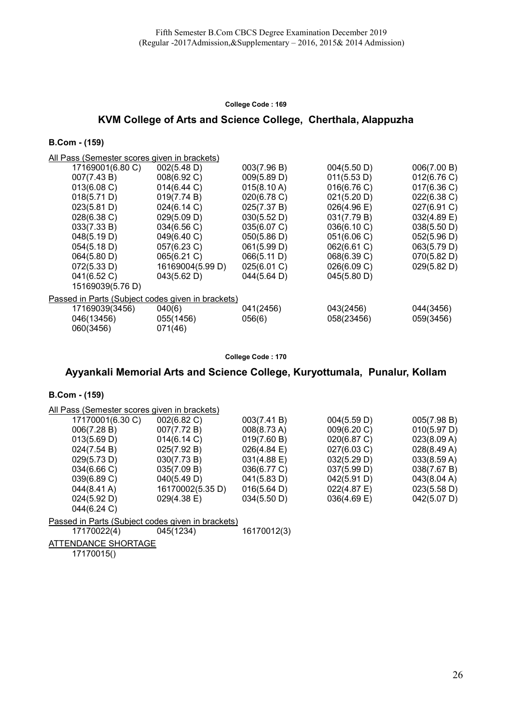# KVM College of Arts and Science College, Cherthala, Alappuzha

#### B.Com - (159)

All Pass (Semester scores given in brackets)

|                                                   | 17169001(6.80 C) | 002(5.48 D)      | 003(7.96 B)           | 004(5.50 D)           | 006(7.00 B) |  |  |
|---------------------------------------------------|------------------|------------------|-----------------------|-----------------------|-------------|--|--|
|                                                   | 007(7.43 B)      | 008(6.92 C)      | 009(5.89 D)           | 011(5.53 D)           | 012(6.76)   |  |  |
|                                                   | 013(6.08 C)      | 014(6.44 C)      | $015(8.10 \text{ A})$ | 016(6.76 C)           | 017(6.36)   |  |  |
|                                                   | 018(5.71 D)      | 019(7.74 B)      | 020(6.78 C)           | 021(5.20 D)           | 022(6.38 C) |  |  |
|                                                   | 023(5.81 D)      | 024(6.14 C)      | 025(7.37 B)           | $026(4.96 \text{ E})$ | 027(6.91 C) |  |  |
|                                                   | 028(6.38 C)      | 029(5.09 D)      | 030(5.52 D)           | 031(7.79 B)           | 032(4.89 E) |  |  |
|                                                   | 033(7.33 B)      | 034(6.56 C)      | 035(6.07 C)           | 036(6.10 C)           | 038(5.50 D) |  |  |
|                                                   | 048(5.19 D)      | 049(6.40 C)      | 050(5.86 D)           | 051(6.06 C)           | 052(5.96 D) |  |  |
|                                                   | 054(5.18 D)      | 057(6.23 C)      | 061(5.99 D)           | 062(6.61 C)           | 063(5.79 D) |  |  |
|                                                   | 064(5.80 D)      | 065(6.21 C)      | 066(5.11 D)           | 068(6.39 C)           | 070(5.82 D) |  |  |
|                                                   | 072(5.33 D)      | 16169004(5.99 D) | 025(6.01 C)           | 026(6.09 C)           | 029(5.82 D) |  |  |
|                                                   | 041(6.52 C)      | 043(5.62 D)      | 044(5.64 D)           | 045(5.80 D)           |             |  |  |
|                                                   | 15169039(5.76 D) |                  |                       |                       |             |  |  |
| Passed in Parts (Subject codes given in brackets) |                  |                  |                       |                       |             |  |  |
|                                                   | 17169039(3456)   | 040(6)           | 041(2456)             | 043(2456)             | 044(3456)   |  |  |
|                                                   | 046(13456)       | 055(1456)        | 056(6)                | 058(23456)            | 059(3456)   |  |  |
|                                                   | 060(3456)        | 071(46)          |                       |                       |             |  |  |
|                                                   |                  |                  |                       |                       |             |  |  |

#### College Code : 170

# Ayyankali Memorial Arts and Science College, Kuryottumala, Punalur, Kollam

#### B.Com - (159)

| All Pass (Semester scores given in brackets)      |                  |                       |                |             |  |  |
|---------------------------------------------------|------------------|-----------------------|----------------|-------------|--|--|
| 17170001(6.30 C)                                  | 002(6.82 C)      | 003(7.41 B)           | 004(5.59 D)    | 005(7.98 B) |  |  |
| 006(7.28 B)                                       | 007(7.72 B)      | $008(8.73 \text{ A})$ | 009(6.20 C)    | 010(5.97 D) |  |  |
| 013(5.69 D)                                       | 014(6.14 C)      | 019(7.60 B)           | 020(6.87 C)    | 023(8.09 A) |  |  |
| 024(7.54 B)                                       | 025(7.92 B)      | 026(4.84)             | 027(6.03 C)    | 028(8.49 A) |  |  |
| 029(5.73 D)                                       | 030(7.73 B)      | $031(4.88 \text{ E})$ | 032(5.29 D)    | 033(8.59 A) |  |  |
| 034(6.66 C)                                       | 035(7.09 B)      | 036(6.77 C)           | 037(5.99 D)    | 038(7.67 B) |  |  |
| 039(6.89 C)                                       | 040(5.49 D)      | 041(5.83 D)           | 042(5.91 D)    | 043(8.04 A) |  |  |
| $044(8.41 \text{ A})$                             | 16170002(5.35 D) | 016(5.64 D)           | $022(4.87)$ E) | 023(5.58 D) |  |  |
| 024(5.92 D)                                       | $029(4.38)$ E)   | 034(5.50 D)           | $036(4.69)$ E) | 042(5.07 D) |  |  |
| 044(6.24 C)                                       |                  |                       |                |             |  |  |
| Passed in Parts (Subject codes given in brackets) |                  |                       |                |             |  |  |
| 17170022(4)                                       | 045(1234)        | 16170012(3)           |                |             |  |  |
|                                                   |                  |                       |                |             |  |  |

ATTENDANCE SHORTAGE 17170015()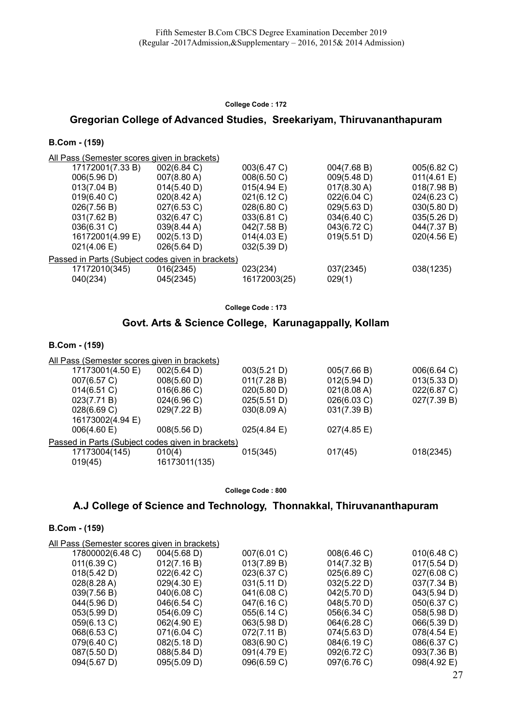# Gregorian College of Advanced Studies, Sreekariyam, Thiruvananthapuram

#### B.Com - (159)

All Pass (Semester scores given in brackets)

|                                                   | 17172001(7.33B)  | 002(6.84 C)           | 003(6.47 C)  | 004(7.68 B) | 005(6.82 C) |  |  |
|---------------------------------------------------|------------------|-----------------------|--------------|-------------|-------------|--|--|
|                                                   | 006(5.96 D)      | 007(8.80 A)           | 008(6.50 C)  | 009(5.48 D) | 011(4.61 E) |  |  |
|                                                   | 013(7.04 B)      | 014(5.40 D)           | 015(4.94)    | 017(8.30 A) | 018(7.98 B) |  |  |
|                                                   | 019(6.40 C)      | $020(8.42 \text{ A})$ | 021(6.12 C)  | 022(6.04 C) | 024(6.23 C) |  |  |
|                                                   | 026(7.56 B)      | 027(6.53 C)           | 028(6.80 C)  | 029(5.63 D) | 030(5.80 D) |  |  |
|                                                   | 031(7.62 B)      | 032(6.47 C)           | 033(6.81 C)  | 034(6.40 C) | 035(5.26 D) |  |  |
|                                                   | 036(6.31 C)      | 039(8.44 A)           | 042(7.58 B)  | 043(6.72 C) | 044(7.37 B) |  |  |
|                                                   | 16172001(4.99 E) | 002(5.13 D)           | 014(4.03 E)  | 019(5.51 D) | 020(4.56 E) |  |  |
|                                                   | 021(4.06 E)      | 026(5.64 D)           | 032(5.39 D)  |             |             |  |  |
| Passed in Parts (Subject codes given in brackets) |                  |                       |              |             |             |  |  |
|                                                   | 17172010(345)    | 016(2345)             | 023(234)     | 037(2345)   | 038(1235)   |  |  |
|                                                   | 040(234)         | 045(2345)             | 16172003(25) | 029(1)      |             |  |  |
|                                                   |                  |                       |              |             |             |  |  |

College Code : 173

### Govt. Arts & Science College, Karunagappally, Kollam

#### B.Com - (159)

| All Pass (Semester scores given in brackets)      |             |             |             |  |  |  |
|---------------------------------------------------|-------------|-------------|-------------|--|--|--|
| 002(5.64 D)                                       | 003(5.21 D) | 005(7.66 B) | 006(6.64 C) |  |  |  |
| 008(5.60 D)                                       | 011(7.28 B) | 012(5.94 D) | 013(5.33 D) |  |  |  |
| 016(6.86)                                         | 020(5.80 D) | 021(8.08 A) | 022(6.87 C) |  |  |  |
| 024(6.96)                                         | 025(5.51 D) | 026(6.03 C) | 027(7.39 B) |  |  |  |
| 029(7.22 B)                                       | 030(8.09 A) | 031(7.39 B) |             |  |  |  |
|                                                   |             |             |             |  |  |  |
| 008(5.56 D)                                       | 025(4.84)   | 027(4.85 E) |             |  |  |  |
| Passed in Parts (Subject codes given in brackets) |             |             |             |  |  |  |
| 010(4)                                            | 015(345)    | 017(45)     | 018(2345)   |  |  |  |
| 16173011(135)                                     |             |             |             |  |  |  |
|                                                   |             |             |             |  |  |  |

College Code : 800

# A.J College of Science and Technology, Thonnakkal, Thiruvananthapuram

| All Pass (Semester scores given in brackets) |                       |             |             |             |
|----------------------------------------------|-----------------------|-------------|-------------|-------------|
| 17800002(6.48 C)                             | $004(5.68 \text{ D})$ | 007(6.01 C) | 008(6.46 C) | 010(6.48 C) |
| 011(6.39 C)                                  | 012(7.16 B)           | 013(7.89 B) | 014(7.32 B) | 017(5.54 D) |
| 018(5.42 D)                                  | 022(6.42 C)           | 023(6.37 C) | 025(6.89 C) | 027(6.08 C) |
| 028(8.28 A)                                  | 029(4.30 E)           | 031(5.11 D) | 032(5.22 D) | 037(7.34 B) |
| 039(7.56 B)                                  | 040(6.08 C)           | 041(6.08 C) | 042(5.70 D) | 043(5.94 D) |
| 044(5.96 D)                                  | 046(6.54 C)           | 047(6.16 C) | 048(5.70 D) | 050(6.37 C) |
| 053(5.99 D)                                  | 054(6.09 C)           | 055(6.14 C) | 056(6.34 C) | 058(5.98 D) |
| 059(6.13 C)                                  | 062(4.90 E)           | 063(5.98 D) | 064(6.28 C) | 066(5.39 D) |
| 068(6.53 C)                                  | 071(6.04 C)           | 072(7.11 B) | 074(5.63 D) | 078(4.54 E) |
| 079(6.40 C)                                  | 082(5.18 D)           | 083(6.90 C) | 084(6.19 C) | 086(6.37 C) |
| 087(5.50 D)                                  | 088(5.84 D)           | 091(4.79 E) | 092(6.72 C) | 093(7.36 B) |
| 094(5.67 D)                                  | 095(5.09 D)           | 096(6.59 C) | 097(6.76 C) | 098(4.92 E) |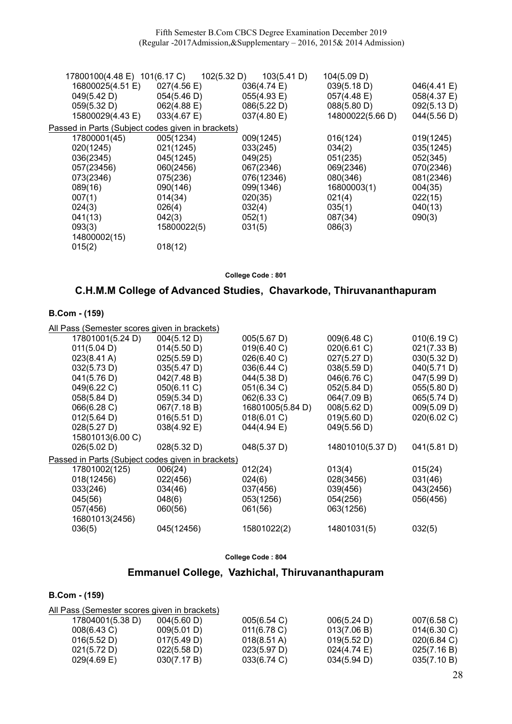Fifth Semester B.Com CBCS Degree Examination December 2019 (Regular -2017Admission,&Supplementary – 2016, 2015& 2014 Admission)

| 17800100(4.48 E) 101(6.17 C)                      |                       | 102(5.32 D) | 103(5.41 D) | 104(5.09 D)      |             |
|---------------------------------------------------|-----------------------|-------------|-------------|------------------|-------------|
| 16800025(4.51 E)                                  | $027(4.56 \text{ E})$ |             | 036(4.74 E) | 039(5.18 D)      | 046(4.41 E) |
| 049(5.42 D)                                       | 054(5.46 D)           |             | 055(4.93 E) | 057(4.48 E)      | 058(4.37 E) |
| 059(5.32 D)                                       | 062(4.88 E)           |             | 086(5.22 D) | 088(5.80 D)      | 092(5.13 D) |
| 15800029(4.43 E)                                  | 033(4.67 E)           |             | 037(4.80 E) | 14800022(5.66 D) | 044(5.56 D) |
| Passed in Parts (Subject codes given in brackets) |                       |             |             |                  |             |
| 17800001(45)                                      | 005(1234)             | 009(1245)   |             | 016(124)         | 019(1245)   |
| 020(1245)                                         | 021(1245)             | 033(245)    |             | 034(2)           | 035(1245)   |
| 036(2345)                                         | 045(1245)             | 049(25)     |             | 051(235)         | 052(345)    |
| 057(23456)                                        | 060(2456)             | 067(2346)   |             | 069(2346)        | 070(2346)   |
| 073(2346)                                         | 075(236)              |             | 076(12346)  | 080(346)         | 081(2346)   |
| 089(16)                                           | 090(146)              | 099(1346)   |             | 16800003(1)      | 004(35)     |
| 007(1)                                            | 014(34)               | 020(35)     |             | 021(4)           | 022(15)     |
| 024(3)                                            | 026(4)                | 032(4)      |             | 035(1)           | 040(13)     |
| 041(13)                                           | 042(3)                | 052(1)      |             | 087(34)          | 090(3)      |
| 093(3)                                            | 15800022(5)           | 031(5)      |             | 086(3)           |             |
| 14800002(15)                                      |                       |             |             |                  |             |
| 015(2)                                            | 018(12)               |             |             |                  |             |
|                                                   |                       |             |             |                  |             |

College Code : 801

# C.H.M.M College of Advanced Studies, Chavarkode, Thiruvananthapuram

#### B.Com - (159)

All Pass (Semester scores given in brackets)

| 17801001(5.24 D)                                  | 004(5.12 D) | 005(5.67 D)      | 009(6.48 C)      | 010(6.19 C) |
|---------------------------------------------------|-------------|------------------|------------------|-------------|
| 011(5.04 D)                                       | 014(5.50 D) | 019(6.40 C)      | 020(6.61 C)      | 021(7.33 B) |
| $023(8.41 \text{ A})$                             | 025(5.59 D) | 026(6.40 C)      | 027(5.27 D)      | 030(5.32 D) |
| 032(5.73 D)                                       | 035(5.47 D) | 036(6.44 C)      | 038(5.59 D)      | 040(5.71 D) |
| 041(5.76 D)                                       | 042(7.48 B) | 044(5.38 D)      | 046(6.76 C)      | 047(5.99 D) |
| 049(6.22 C)                                       | 050(6.11 C) | 051(6.34 C)      | 052(5.84 D)      | 055(5.80 D) |
| 058(5.84 D)                                       | 059(5.34 D) | 062(6.33 C)      | 064(7.09 B)      | 065(5.74 D) |
| 066(6.28 C)                                       | 067(7.18 B) | 16801005(5.84 D) | 008(5.62 D)      | 009(5.09 D) |
| 012(5.64 D)                                       | 016(5.51 D) | 018(6.01 C)      | 019(5.60 D)      | 020(6.02 C) |
| 028(5.27 D)                                       | 038(4.92 E) | 044(4.94 E)      | 049(5.56 D)      |             |
| 15801013(6.00 C)                                  |             |                  |                  |             |
| 026(5.02 D)                                       | 028(5.32 D) | 048(5.37 D)      | 14801010(5.37 D) | 041(5.81 D) |
| Passed in Parts (Subject codes given in brackets) |             |                  |                  |             |
| 17801002(125)                                     | 006(24)     | 012(24)          | 013(4)           | 015(24)     |
| 018(12456)                                        | 022(456)    | 024(6)           | 028(3456)        | 031(46)     |
| 033(246)                                          | 034(46)     | 037(456)         | 039(456)         | 043(2456)   |
| 045(56)                                           | 048(6)      | 053(1256)        | 054(256)         | 056(456)    |
| 057(456)                                          | 060(56)     | 061(56)          | 063(1256)        |             |
| 16801013(2456)                                    |             |                  |                  |             |
| 036(5)                                            | 045(12456)  | 15801022(2)      | 14801031(5)      | 032(5)      |
|                                                   |             |                  |                  |             |

College Code : 804

# Emmanuel College, Vazhichal, Thiruvananthapuram

| All Pass (Semester scores given in brackets) |             |                       |                |                |
|----------------------------------------------|-------------|-----------------------|----------------|----------------|
| 17804001(5.38 D)                             | 004(5.60 D) | 005(6.54 C)           | 006(5.24 D)    | 007(6.58 C)    |
| 008(6.43 C)                                  | 009(5.01 D) | $011(6.78)$ C)        | 013(7.06 B)    | $014(6.30)$ C) |
| 016(5.52 D)                                  | 017(5.49 D) | $018(8.51 \text{ A})$ | 019(5.52 D)    | 020(6.84)      |
| 021(5.72 D)                                  | 022(5.58 D) | 023(5.97 D)           | $024(4.74)$ E) | 025(7.16 B)    |
| $029(4.69)$ E)                               | 030(7.17 B) | 033(6.74 C)           | 034(5.94 D)    | 035(7.10 B)    |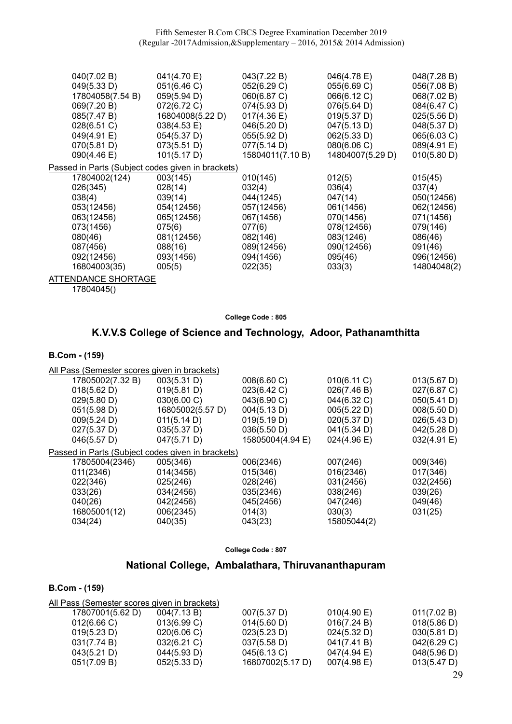| 040(7.02 B)<br>041(4.70 E)<br>043(7.22 B)<br>046(4.78 E)                | 048(7.28 B) |
|-------------------------------------------------------------------------|-------------|
| 049(5.33 D)<br>051(6.46 C)<br>052(6.29 C)<br>055(6.69 C)                | 056(7.08 B) |
| 17804058(7.54 B)<br>066(6.12 C)<br>059(5.94 D)<br>060(6.87 C)           | 068(7.02 B) |
| 069(7.20 B)<br>072(6.72 C)<br>074(5.93 D)<br>076(5.64 D)                | 084(6.47 C) |
| 16804008(5.22 D)<br>019(5.37 D)<br>085(7.47 B)<br>$017(4.36 \text{ E})$ | 025(5.56 D) |
| $038(4.53 \text{ E})$<br>047(5.13 D)<br>028(6.51 C)<br>046(5.20 D)      | 048(5.37 D) |
|                                                                         |             |
| 062(5.33 D)<br>049(4.91 E)<br>055(5.92 D)<br>054(5.37 D)                | 065(6.03 C) |
| 077(5.14 D)<br>080(6.06 C)<br>070(5.81 D)<br>073(5.51 D)                | 089(4.91 E) |
| 14804007(5.29 D)<br>090(4.46 E)<br>101(5.17 D)<br>15804011(7.10 B)      | 010(5.80 D) |
| Passed in Parts (Subject codes given in brackets)                       |             |
| 17804002(124)<br>003(145)<br>012(5)<br>010(145)                         | 015(45)     |
| 026(345)<br>028(14)<br>032(4)<br>036(4)                                 | 037(4)      |
| 038(4)<br>039(14)<br>044(1245)<br>047(14)                               | 050(12456)  |
| 053(12456)<br>054(12456)<br>057(12456)<br>061(1456)                     | 062(12456)  |
| 063(12456)<br>065(12456)<br>067(1456)<br>070(1456)                      | 071(1456)   |
| 073(1456)<br>075(6)<br>077(6)<br>078(12456)                             | 079(146)    |
| 083(1246)<br>080(46)<br>082(146)<br>081(12456)                          | 086(46)     |
| 088(16)<br>090(12456)<br>087(456)<br>089(12456)                         | 091(46)     |
| 092(12456)<br>093(1456)<br>094(1456)<br>095(46)                         | 096(12456)  |
| 16804003(35)<br>005(5)<br>022(35)<br>033(3)                             | 14804048(2) |
| ATTENDANCE SHORTAGE                                                     |             |

17804045()

College Code : 805

# K.V.V.S College of Science and Technology, Adoor, Pathanamthitta

### B.Com - (159)

| All Pass (Semester scores given in brackets)      |                  |                  |             |             |
|---------------------------------------------------|------------------|------------------|-------------|-------------|
| 17805002(7.32 B)                                  | 003(5.31 D)      | 008(6.60 C)      | 010(6.11 C) | 013(5.67 D) |
| 018(5.62 D)                                       | 019(5.81 D)      | 023(6.42 C)      | 026(7.46 B) | 027(6.87 C) |
| 029(5.80 D)                                       | 030(6.00 C)      | 043(6.90 C)      | 044(6.32 C) | 050(5.41 D) |
| 051(5.98 D)                                       | 16805002(5.57 D) | 004(5.13 D)      | 005(5.22 D) | 008(5.50 D) |
| 009(5.24 D)                                       | 011(5.14 D)      | 019(5.19 D)      | 020(5.37 D) | 026(5.43 D) |
| 027(5.37 D)                                       | 035(5.37 D)      | 036(5.50 D)      | 041(5.34 D) | 042(5.28 D) |
| 046(5.57 D)                                       | 047(5.71 D)      | 15805004(4.94 E) | 024(4.96 E) | 032(4.91 E) |
| Passed in Parts (Subject codes given in brackets) |                  |                  |             |             |
| 17805004(2346)                                    | 005(346)         | 006(2346)        | 007(246)    | 009(346)    |
| 011(2346)                                         | 014(3456)        | 015(346)         | 016(2346)   | 017(346)    |
| 022(346)                                          | 025(246)         | 028(246)         | 031(2456)   | 032(2456)   |
| 033(26)                                           | 034(2456)        | 035(2346)        | 038(246)    | 039(26)     |
| 040(26)                                           | 042(2456)        | 045(2456)        | 047(246)    | 049(46)     |
| 16805001(12)                                      | 006(2345)        | 014(3)           | 030(3)      | 031(25)     |
| 034(24)                                           | 040(35)          | 043(23)          | 15805044(2) |             |

| <b>College Code: 807</b> |  |  |
|--------------------------|--|--|

# National College, Ambalathara, Thiruvananthapuram

| All Pass (Semester scores given in brackets) |                |                  |             |             |
|----------------------------------------------|----------------|------------------|-------------|-------------|
| 17807001(5.62 D)                             | 004(7.13 B)    | 007(5.37 D)      | 010(4.90 E) | 011(7.02 B) |
| $012(6.66 \text{ C})$                        | 013(6.99 C)    | 014(5.60 D)      | 016(7.24 B) | 018(5.86 D) |
| 019(5.23 D)                                  | 020(6.06 C)    | 023(5.23 D)      | 024(5.32 D) | 030(5.81 D) |
| 031(7.74 B)                                  | $032(6.21)$ C) | 037(5.58 D)      | 041(7.41 B) | 042(6.29 C) |
| 043(5.21 D)                                  | 044(5.93 D)    | 045(6.13 C)      | 047(4.94 E) | 048(5.96 D) |
| 051(7.09 B)                                  | 052(5.33 D)    | 16807002(5.17 D) | 007(4.98 E) | 013(5.47 D) |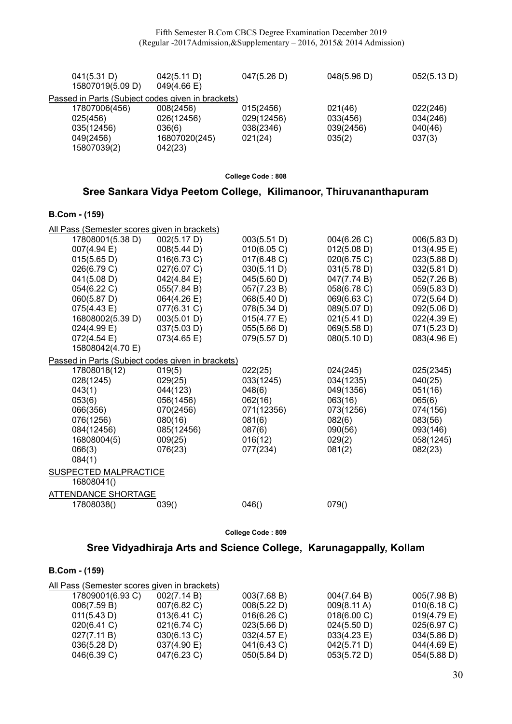| 041(5.31 D)<br>15807019(5.09 D)                   | 042(5.11 D)<br>049(4.66 E) | 047(5.26 D) | 048(5.96 D) | 052(5.13 D) |
|---------------------------------------------------|----------------------------|-------------|-------------|-------------|
| Passed in Parts (Subject codes given in brackets) |                            |             |             |             |
| 17807006(456)                                     | 008(2456)                  | 015(2456)   | 021(46)     | 022(246)    |
| 025(456)                                          | 026(12456)                 | 029(12456)  | 033(456)    | 034(246)    |
| 035(12456)                                        | 036(6)                     | 038(2346)   | 039(2456)   | 040(46)     |
| 049(2456)                                         | 16807020(245)              | 021(24)     | 035(2)      | 037(3)      |
| 15807039(2)                                       | 042(23)                    |             |             |             |

### Sree Sankara Vidya Peetom College, Kilimanoor, Thiruvananthapuram

### B.Com - (159)

| All Pass (Semester scores given in brackets)      |             |             |             |                       |  |  |
|---------------------------------------------------|-------------|-------------|-------------|-----------------------|--|--|
| 17808001(5.38 D)                                  | 002(5.17 D) | 003(5.51 D) | 004(6.26 C) | 006(5.83 D)           |  |  |
| 007(4.94 E)                                       | 008(5.44 D) | 010(6.05 C) | 012(5.08 D) | 013(4.95 E)           |  |  |
| 015(5.65 D)                                       | 016(6.73 C) | 017(6.48 C) | 020(6.75 C) | 023(5.88 D)           |  |  |
| 026(6.79 C)                                       | 027(6.07 C) | 030(5.11 D) | 031(5.78 D) | 032(5.81 D)           |  |  |
| 041(5.08 D)                                       | 042(4.84 E) | 045(5.60 D) | 047(7.74 B) | 052(7.26 B)           |  |  |
| 054(6.22 C)                                       | 055(7.84 B) | 057(7.23 B) | 058(6.78 C) | 059(5.83 D)           |  |  |
| 060(5.87 D)                                       | 064(4.26 E) | 068(5.40 D) | 069(6.63 C) | $072(5.64 \text{ D})$ |  |  |
| 075(4.43 E)                                       | 077(6.31 C) | 078(5.34 D) | 089(5.07 D) | 092(5.06 D)           |  |  |
| 16808002(5.39 D)                                  | 003(5.01 D) | 015(4.77 E) | 021(5.41 D) | 022(4.39 E)           |  |  |
| 024(4.99 E)                                       | 037(5.03 D) | 055(5.66 D) | 069(5.58 D) | 071(5.23 D)           |  |  |
| $072(4.54 \text{ E})$                             | 073(4.65 E) | 079(5.57 D) | 080(5.10 D) | 083(4.96 E)           |  |  |
| 15808042(4.70 E)                                  |             |             |             |                       |  |  |
| Passed in Parts (Subject codes given in brackets) |             |             |             |                       |  |  |
| 17808018(12)                                      | 019(5)      | 022(25)     | 024(245)    | 025(2345)             |  |  |
| 028(1245)                                         | 029(25)     | 033(1245)   | 034(1235)   | 040(25)               |  |  |
| 043(1)                                            | 044(123)    | 048(6)      | 049(1356)   | 051(16)               |  |  |
| 053(6)                                            | 056(1456)   | 062(16)     | 063(16)     | 065(6)                |  |  |
| 066(356)                                          | 070(2456)   | 071(12356)  | 073(1256)   | 074(156)              |  |  |
| 076(1256)                                         | 080(16)     | 081(6)      | 082(6)      | 083(56)               |  |  |
| 084(12456)                                        | 085(12456)  | 087(6)      | 090(56)     | 093(146)              |  |  |
| 16808004(5)                                       | 009(25)     | 016(12)     | 029(2)      | 058(1245)             |  |  |
| 066(3)                                            | 076(23)     | 077(234)    | 081(2)      | 082(23)               |  |  |
| 084(1)                                            |             |             |             |                       |  |  |
| <b>SUSPECTED MALPRACTICE</b>                      |             |             |             |                       |  |  |
| 16808041()                                        |             |             |             |                       |  |  |
| ATTENDANCE SHORTAGE                               |             |             |             |                       |  |  |
| 17808038()                                        | 039()       | 046()       | 079()       |                       |  |  |
|                                                   |             |             |             |                       |  |  |

College Code : 809

# Sree Vidyadhiraja Arts and Science College, Karunagappally, Kollam

| <b>B.Com - (159)</b> |  |  |
|----------------------|--|--|
|----------------------|--|--|

| All Pass (Semester scores given in brackets) |                       |                       |                       |                |
|----------------------------------------------|-----------------------|-----------------------|-----------------------|----------------|
| 17809001(6.93 C)                             | 002(7.14 B)           | 003(7.68 B)           | 004(7.64 B)           | 005(7.98 B)    |
| 006(7.59 B)                                  | 007(6.82 C)           | 008(5.22 D)           | $009(8.11 \text{ A})$ | 010(6.18 C)    |
| 011(5.43 D)                                  | $013(6.41)$ C)        | 016(6.26)             | 018(6.00 C)           | $019(4.79)$ E) |
| 020(6.41 C)                                  | 021(6.74 C)           | 023(5.66 D)           | 024(5.50 D)           | 025(6.97 C)    |
| 027(7.11 B)                                  | 030(6.13 C)           | $032(4.57 \text{ E})$ | $033(4.23 \text{ E})$ | 034(5.86 D)    |
| 036(5.28 D)                                  | $037(4.90 \text{ E})$ | 041(6.43 C)           | 042(5.71 D)           | $044(4.69)$ E) |
| 046(6.39 C)                                  | 047(6.23 C)           | 050(5.84 D)           | 053(5.72 D)           | 054(5.88 D)    |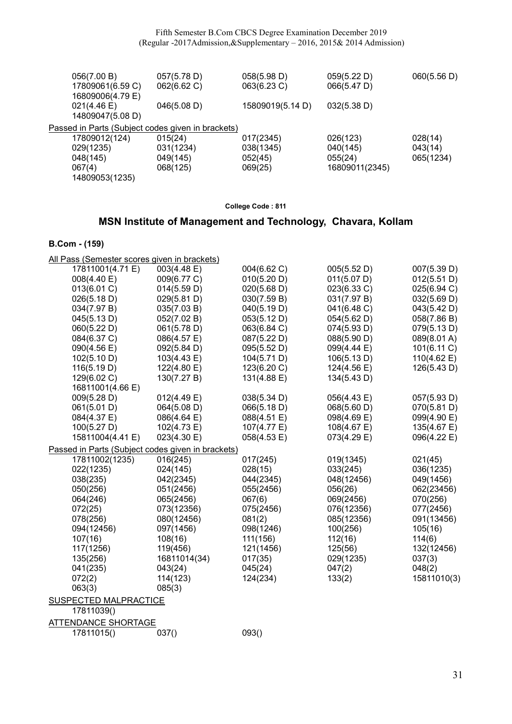| 056(7.00 B)<br>17809061(6.59 C)<br>16809006(4.79 E) | 057(5.78 D)<br>062(6.62 C) | 058(5.98 D)<br>063(6.23 C) | 059(5.22 D)<br>066(5.47 D) | 060(5.56 D) |
|-----------------------------------------------------|----------------------------|----------------------------|----------------------------|-------------|
| $021(4.46 \text{ E})$<br>14809047(5.08 D)           | 046(5.08 D)                | 15809019(5.14 D)           | 032(5.38 D)                |             |
| Passed in Parts (Subject codes given in brackets)   |                            |                            |                            |             |
| 17809012(124)                                       | 015(24)                    | 017(2345)                  | 026(123)                   | 028(14)     |
| 029(1235)                                           | 031(1234)                  | 038(1345)                  | 040(145)                   | 043(14)     |
| 048(145)                                            | 049(145)                   | 052(45)                    | 055(24)                    | 065(1234)   |
| 067(4)                                              | 068(125)                   | 069(25)                    | 16809011(2345)             |             |
| 14809053(1235)                                      |                            |                            |                            |             |

# MSN Institute of Management and Technology, Chavara, Kollam

| All Pass (Semester scores given in brackets)      |                |             |             |                       |
|---------------------------------------------------|----------------|-------------|-------------|-----------------------|
| 17811001(4.71 E)                                  | 003(4.48 E)    | 004(6.62 C) | 005(5.52 D) | 007(5.39 D)           |
| 008(4.40 E)                                       | 009(6.77 C)    | 010(5.20 D) | 011(5.07 D) | 012(5.51 D)           |
| 013(6.01 C)                                       | 014(5.59 D)    | 020(5.68 D) | 023(6.33 C) | 025(6.94 C)           |
| 026(5.18 D)                                       | 029(5.81 D)    | 030(7.59 B) | 031(7.97 B) | 032(5.69 D)           |
| 034(7.97 B)                                       | 035(7.03 B)    | 040(5.19 D) | 041(6.48 C) | 043(5.42 D)           |
| 045(5.13D)                                        | 052(7.02 B)    | 053(5.12 D) | 054(5.62 D) | 058(7.86 B)           |
| 060(5.22 D)                                       | 061(5.78 D)    | 063(6.84 C) | 074(5.93 D) | 079(5.13 D)           |
| 084(6.37 C)                                       | 086(4.57 E)    | 087(5.22 D) | 088(5.90 D) | 089(8.01 A)           |
| 090(4.56 E)                                       | 092(5.84 D)    | 095(5.52 D) | 099(4.44 E) | 101(6.11 C)           |
| 102(5.10 D)                                       | 103(4.43 E)    | 104(5.71 D) | 106(5.13 D) | $110(4.62 \text{ E})$ |
| 116(5.19 D)                                       | 122(4.80 E)    | 123(6.20 C) | 124(4.56 E) | 126(5.43 D)           |
| 129(6.02 C)                                       | 130(7.27 B)    | 131(4.88 E) | 134(5.43 D) |                       |
| 16811001(4.66 E)                                  |                |             |             |                       |
| 009(5.28 D)                                       | 012(4.49 E)    | 038(5.34 D) | 056(4.43 E) | 057(5.93 D)           |
| 061(5.01 D)                                       | 064(5.08 D)    | 066(5.18 D) | 068(5.60 D) | 070(5.81 D)           |
| 084(4.37 E)                                       | 086(4.64 E)    | 088(4.51 E) | 098(4.69 E) | 099(4.90 E)           |
| 100(5.27 D)                                       | 102(4.73 E)    | 107(4.77 E) | 108(4.67 E) | 135(4.67 E)           |
| 15811004(4.41 E)                                  | $023(4.30)$ E) | 058(4.53 E) | 073(4.29 E) | 096(4.22 E)           |
| Passed in Parts (Subject codes given in brackets) |                |             |             |                       |
| 17811002(1235)                                    | 016(245)       | 017(245)    | 019(1345)   | 021(45)               |
| 022(1235)                                         | 024(145)       | 028(15)     | 033(245)    | 036(1235)             |
| 038(235)                                          | 042(2345)      | 044(2345)   | 048(12456)  | 049(1456)             |
| 050(256)                                          | 051(2456)      | 055(2456)   | 056(26)     | 062(23456)            |
| 064(246)                                          | 065(2456)      | 067(6)      | 069(2456)   | 070(256)              |
| 072(25)                                           | 073(12356)     | 075(2456)   | 076(12356)  | 077(2456)             |
| 078(256)                                          | 080(12456)     | 081(2)      | 085(12356)  | 091(13456)            |
| 094(12456)                                        | 097(1456)      | 098(1246)   | 100(256)    | 105(16)               |
| 107(16)                                           | 108(16)        | 111(156)    | 112(16)     | 114(6)                |
| 117(1256)                                         | 119(456)       | 121(1456)   | 125(56)     | 132(12456)            |
| 135(256)                                          | 16811014(34)   | 017(35)     | 029(1235)   | 037(3)                |
| 041(235)                                          | 043(24)        | 045(24)     | 047(2)      | 048(2)                |
| 072(2)                                            | 114(123)       | 124(234)    | 133(2)      | 15811010(3)           |
| 063(3)                                            | 085(3)         |             |             |                       |
| <b>SUSPECTED MALPRACTICE</b>                      |                |             |             |                       |
| 17811039()                                        |                |             |             |                       |
| ATTENDANCE SHORTAGE                               |                |             |             |                       |
| 17811015()                                        | 037()          | 093()       |             |                       |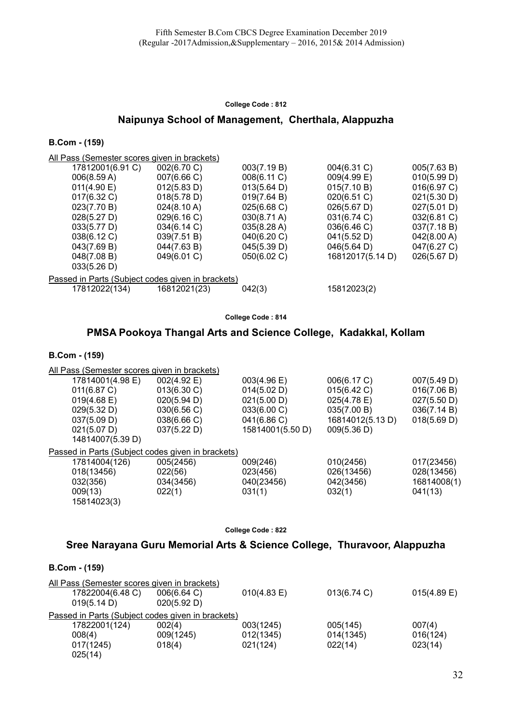### Naipunya School of Management, Cherthala, Alappuzha

#### B.Com - (159)

All Pass (Semester scores given in brackets)

|                                                   | 17812001(6.91 C) | 002(6.70 C)           | 003(7.19 B)           | 004(6.31 C)      | 005(7.63 B)           |  |
|---------------------------------------------------|------------------|-----------------------|-----------------------|------------------|-----------------------|--|
|                                                   | 006(8.59 A)      | 007(6.66 C)           | 008(6.11 C)           | 009(4.99 E)      | 010(5.99 D)           |  |
|                                                   | 011(4.90 E)      | 012(5.83 D)           | 013(5.64 D)           | 015(7.10 B)      | 016(6.97 C)           |  |
|                                                   | $017(6.32)$ C)   | 018(5.78 D)           | 019(7.64 B)           | 020(6.51 C)      | 021(5.30 D)           |  |
|                                                   | 023(7.70 B)      | $024(8.10 \text{ A})$ | 025(6.68 C)           | 026(5.67 D)      | 027(5.01 D)           |  |
|                                                   | 028(5.27 D)      | 029(6.16 C)           | $030(8.71 \text{ A})$ | 031(6.74 C)      | 032(6.81 C)           |  |
|                                                   | 033(5.77 D)      | 034(6.14 C)           | 035(8.28 A)           | 036(6.46)        | 037(7.18 B)           |  |
|                                                   | 038(6.12 C)      | 039(7.51 B)           | 040(6.20 C)           | 041(5.52 D)      | 042(8.00 A)           |  |
|                                                   | 043(7.69 B)      | 044(7.63 B)           | 045(5.39 D)           | 046(5.64 D)      | 047(6.27 C)           |  |
|                                                   | 048(7.08 B)      | 049(6.01 C)           | 050(6.02 C)           | 16812017(5.14 D) | $026(5.67 \text{ D})$ |  |
|                                                   | 033(5.26 D)      |                       |                       |                  |                       |  |
| Passed in Parts (Subject codes given in brackets) |                  |                       |                       |                  |                       |  |
|                                                   | 17812022(134)    | 16812021(23)          | 042(3)                | 15812023(2)      |                       |  |
|                                                   |                  |                       |                       |                  |                       |  |

#### College Code : 814

### PMSA Pookoya Thangal Arts and Science College, Kadakkal, Kollam

#### B.Com - (159)

| All Pass (Semester scores given in brackets) |                                                   |                  |                  |             |  |
|----------------------------------------------|---------------------------------------------------|------------------|------------------|-------------|--|
| 17814001(4.98 E)                             | 002(4.92 E)                                       | 003(4.96 E)      | 006(6.17 C)      | 007(5.49 D) |  |
| 011(6.87 C)                                  | 013(6.30 C)                                       | 014(5.02 D)      | 015(6.42 C)      | 016(7.06 B) |  |
| $019(4.68 \text{ E})$                        | 020(5.94 D)                                       | 021(5.00 D)      | 025(4.78 E)      | 027(5.50 D) |  |
| 029(5.32 D)                                  | 030(6.56 C)                                       | 033(6.00 C)      | 035(7.00 B)      | 036(7.14 B) |  |
| 037(5.09 D)                                  | 038(6.66 C)                                       | 041(6.86 C)      | 16814012(5.13 D) | 018(5.69 D) |  |
| 021(5.07 D)                                  | 037(5.22 D)                                       | 15814001(5.50 D) | 009(5.36 D)      |             |  |
| 14814007(5.39 D)                             |                                                   |                  |                  |             |  |
|                                              | Passed in Parts (Subject codes given in brackets) |                  |                  |             |  |
| 17814004(126)                                | 005(2456)                                         | 009(246)         | 010(2456)        | 017(23456)  |  |
| 018(13456)                                   | 022(56)                                           | 023(456)         | 026(13456)       | 028(13456)  |  |
| 032(356)                                     | 034(3456)                                         | 040(23456)       | 042(3456)        | 16814008(1) |  |
| 009(13)                                      | 022(1)                                            | 031(1)           | 032(1)           | 041(13)     |  |
| 15814023(3)                                  |                                                   |                  |                  |             |  |

College Code : 822

### Sree Narayana Guru Memorial Arts & Science College, Thuravoor, Alappuzha

| <b>B.Com - (159)</b>                              |                            |             |           |                |
|---------------------------------------------------|----------------------------|-------------|-----------|----------------|
| All Pass (Semester scores given in brackets)      |                            |             |           |                |
| 17822004(6.48 C)<br>019(5.14 D)                   | 006(6.64 C)<br>020(5.92 D) | 010(4.83 E) | 013(6.74) | $015(4.89)$ E) |
| Passed in Parts (Subject codes given in brackets) |                            |             |           |                |
| 17822001(124)                                     | 002(4)                     | 003(1245)   | 005(145)  | 007(4)         |
| 008(4)                                            | 009(1245)                  | 012(1345)   | 014(1345) | 016(124)       |
| 017(1245)                                         | 018(4)                     | 021(124)    | 022(14)   | 023(14)        |
| 025(14)                                           |                            |             |           |                |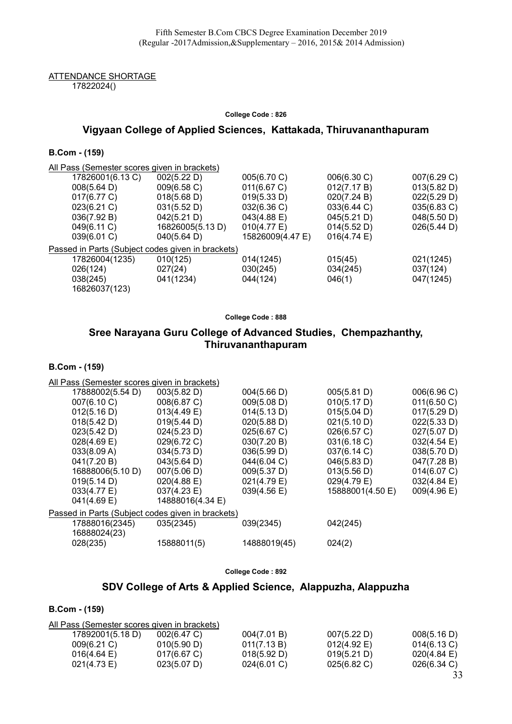ATTENDANCE SHORTAGE 17822024()

#### College Code : 826

### Vigyaan College of Applied Sciences, Kattakada, Thiruvananthapuram

B.Com - (159)

| All Pass (Semester scores given in brackets)      |                  |                       |             |             |
|---------------------------------------------------|------------------|-----------------------|-------------|-------------|
| 17826001(6.13 C)                                  | 002(5.22 D)      | 005(6.70 C)           | 006(6.30 C) | 007(6.29 C) |
| 008(5.64 D)                                       | 009(6.58 C)      | 011(6.67 C)           | 012(7.17 B) | 013(5.82 D) |
| 017(6.77 C)                                       | 018(5.68 D)      | 019(5.33 D)           | 020(7.24 B) | 022(5.29 D) |
| 023(6.21 C)                                       | 031(5.52 D)      | 032(6.36 C)           | 033(6.44 C) | 035(6.83 C) |
| 036(7.92 B)                                       | 042(5.21 D)      | 043(4.88 E)           | 045(5.21 D) | 048(5.50 D) |
| 049(6.11 C)                                       | 16826005(5.13 D) | $010(4.77 \text{ E})$ | 014(5.52 D) | 026(5.44 D) |
| 039(6.01 C)                                       | 040(5.64 D)      | 15826009(4.47 E)      | 016(4.74)   |             |
| Passed in Parts (Subject codes given in brackets) |                  |                       |             |             |
| 17826004(1235)                                    | 010(125)         | 014(1245)             | 015(45)     | 021(1245)   |
| 026(124)                                          | 027(24)          | 030(245)              | 034(245)    | 037(124)    |
| 038(245)                                          | 041(1234)        | 044(124)              | 046(1)      | 047(1245)   |
| 16826037(123)                                     |                  |                       |             |             |
|                                                   |                  |                       |             |             |

College Code : 888

# Sree Narayana Guru College of Advanced Studies, Chempazhanthy, Thiruvananthapuram

B.Com - (159)

| All Pass (Semester scores given in brackets)      |                  |              |                  |                       |
|---------------------------------------------------|------------------|--------------|------------------|-----------------------|
| 17888002(5.54 D)                                  | 003(5.82 D)      | 004(5.66 D)  | 005(5.81 D)      | 006(6.96 C)           |
| 007(6.10 C)                                       | 008(6.87 C)      | 009(5.08 D)  | 010(5.17 D)      | 011(6.50 C)           |
| 012(5.16 D)                                       | 013(4.49 E)      | 014(5.13 D)  | 015(5.04 D)      | 017(5.29 D)           |
| 018(5.42 D)                                       | 019(5.44 D)      | 020(5.88 D)  | 021(5.10 D)      | 022(5.33 D)           |
| 023(5.42 D)                                       | 024(5.23 D)      | 025(6.67 C)  | 026(6.57 C)      | 027(5.07 D)           |
| $028(4.69)$ E)                                    | 029(6.72 C)      | 030(7.20 B)  | 031(6.18 C)      | $032(4.54 \text{ E})$ |
| 033(8.09 A)                                       | 034(5.73 D)      | 036(5.99 D)  | 037(6.14 C)      | 038(5.70 D)           |
| 041(7.20 B)                                       | 043(5.64 D)      | 044(6.04 C)  | 046(5.83 D)      | 047(7.28 B)           |
| 16888006(5.10 D)                                  | 007(5.06 D)      | 009(5.37 D)  | 013(5.56 D)      | 014(6.07 C)           |
| 019(5.14 D)                                       | 020(4.88 E)      | 021(4.79 E)  | 029(4.79 E)      | 032(4.84 E)           |
| 033(4.77 E)                                       | 037(4.23 E)      | 039(4.56 E)  | 15888001(4.50 E) | 009(4.96 E)           |
| $041(4.69)$ E)                                    | 14888016(4.34 E) |              |                  |                       |
| Passed in Parts (Subject codes given in brackets) |                  |              |                  |                       |
| 17888016(2345)                                    | 035(2345)        | 039(2345)    | 042(245)         |                       |
| 16888024(23)                                      |                  |              |                  |                       |
| 028(235)                                          | 15888011(5)      | 14888019(45) | 024(2)           |                       |

| College Code: 892 |  |  |  |
|-------------------|--|--|--|
|-------------------|--|--|--|

# SDV College of Arts & Applied Science, Alappuzha, Alappuzha

| All Pass (Semester scores given in brackets) |             |             |                       |                |
|----------------------------------------------|-------------|-------------|-----------------------|----------------|
| 17892001(5.18 D)                             | 002(6.47 C) | 004(7.01 B) | 007(5.22 D)           | 008(5.16 D)    |
| 009(6.21)                                    | 010(5.90 D) | 011(7.13 B) | $012(4.92 \text{ E})$ | 014(6.13 C)    |
| 016(4.64)                                    | 017(6.67 C) | 018(5.92 D) | 019(5.21 D)           | 020(4.84)      |
| 021(4.73 E)                                  | 023(5.07 D) | 024(6.01 C) | $025(6.82)$ C)        | $026(6.34)$ C) |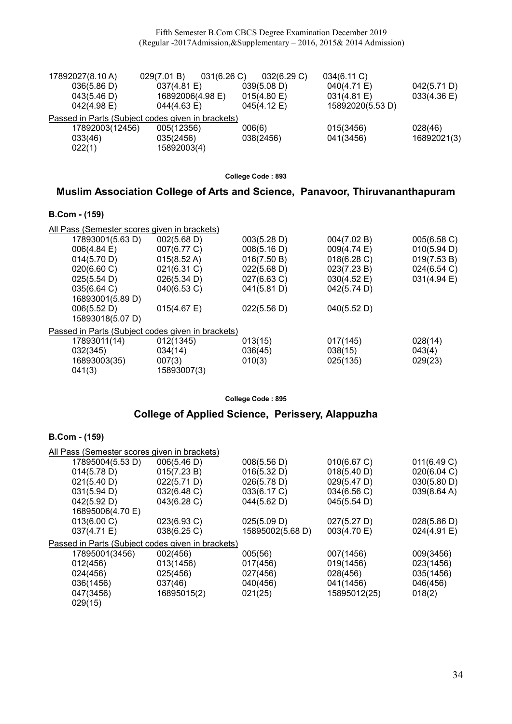Fifth Semester B.Com CBCS Degree Examination December 2019 (Regular -2017Admission,&Supplementary – 2016, 2015& 2014 Admission)

| 17892027(8.10 A) | 031(6.26)<br>029(7.01 B)                          | 032(6.29 C) | 034(6.11 C)      |                |
|------------------|---------------------------------------------------|-------------|------------------|----------------|
| 036(5.86 D)      | 037(4.81)                                         | 039(5.08 D) | 040(4.71 E)      | 042(5.71 D)    |
| 043(5.46 D)      | 16892006(4.98 E)                                  | 015(4.80 E) | 031(4.81 E)      | $033(4.36)$ E) |
| $042(4.98)$ E)   | $044(4.63 \text{ E})$                             | 045(4.12 E) | 15892020(5.53 D) |                |
|                  | Passed in Parts (Subject codes given in brackets) |             |                  |                |
| 17892003(12456)  | 005(12356)                                        | 006(6)      | 015(3456)        | 028(46)        |
| 033(46)          | 035(2456)                                         | 038(2456)   | 041(3456)        | 16892021(3)    |
| 022(1)           | 15892003(4)                                       |             |                  |                |

College Code : 893

### Muslim Association College of Arts and Science, Panavoor, Thiruvananthapuram

### B.Com - (159)

| All Pass (Semester scores given in brackets)      |                       |             |                       |             |
|---------------------------------------------------|-----------------------|-------------|-----------------------|-------------|
| 17893001(5.63 D)                                  | 002(5.68 D)           | 003(5.28 D) | 004(7.02 B)           | 005(6.58 C) |
| $006(4.84 \text{ E})$                             | 007(6.77 C)           | 008(5.16 D) | 009(4.74 E)           | 010(5.94 D) |
| 014(5.70 D)                                       | $015(8.52 \text{ A})$ | 016(7.50 B) | 018(6.28)             | 019(7.53 B) |
| 020(6.60 C)                                       | 021(6.31 C)           | 022(5.68 D) | 023(7.23 B)           | 024(6.54 C) |
| 025(5.54 D)                                       | 026(5.34 D)           | 027(6.63 C) | $030(4.52 \text{ E})$ | 031(4.94 E) |
| 035(6.64 C)                                       | 040(6.53 C)           | 041(5.81 D) | 042(5.74 D)           |             |
| 16893001(5.89 D)                                  |                       |             |                       |             |
| 006(5.52 D)                                       | 015(4.67)             | 022(5.56 D) | 040(5.52 D)           |             |
| 15893018(5.07 D)                                  |                       |             |                       |             |
| Passed in Parts (Subject codes given in brackets) |                       |             |                       |             |
| 17893011(14)                                      | 012(1345)             | 013(15)     | 017(145)              | 028(14)     |
| 032(345)                                          | 034(14)               | 036(45)     | 038(15)               | 043(4)      |
| 16893003(35)                                      | 007(3)                | 010(3)      | 025(135)              | 029(23)     |
| 041(3)                                            | 15893007(3)           |             |                       |             |

College Code : 895

# College of Applied Science, Perissery, Alappuzha

| All Pass (Semester scores given in brackets) |                  |                                                   |                       |
|----------------------------------------------|------------------|---------------------------------------------------|-----------------------|
| 17895004(5.53 D)<br>006(5.46 D)              | 008(5.56 D)      | 010(6.67 C)                                       | 011(6.49 C)           |
| 015(7.23 B)                                  | 016(5.32 D)      | 018(5.40 D)                                       | 020(6.04 C)           |
| 022(5.71 D)                                  | 026(5.78 D)      | 029(5.47 D)                                       | 030(5.80 D)           |
| 032(6.48 C)                                  | 033(6.17 C)      | 034(6.56 C)                                       | 039(8.64 A)           |
| 043(6.28)                                    | 044(5.62 D)      | 045(5.54 D)                                       |                       |
| 16895006(4.70 E)                             |                  |                                                   |                       |
| 023(6.93 C)                                  | 025(5.09 D)      | 027(5.27 D)                                       | $028(5.86 \text{ D})$ |
| 038(6.25 C)                                  | 15895002(5.68 D) | 003(4.70 E)                                       | 024(4.91 E)           |
|                                              |                  |                                                   |                       |
| 002(456)                                     | 005(56)          | 007(1456)                                         | 009(3456)             |
| 013(1456)                                    | 017(456)         | 019(1456)                                         | 023(1456)             |
| 025(456)                                     | 027(456)         | 028(456)                                          | 035(1456)             |
| 037(46)                                      | 040(456)         | 041(1456)                                         | 046(456)              |
| 16895015(2)                                  | 021(25)          | 15895012(25)                                      | 018(2)                |
|                                              |                  |                                                   |                       |
|                                              |                  | Passed in Parts (Subject codes given in brackets) |                       |